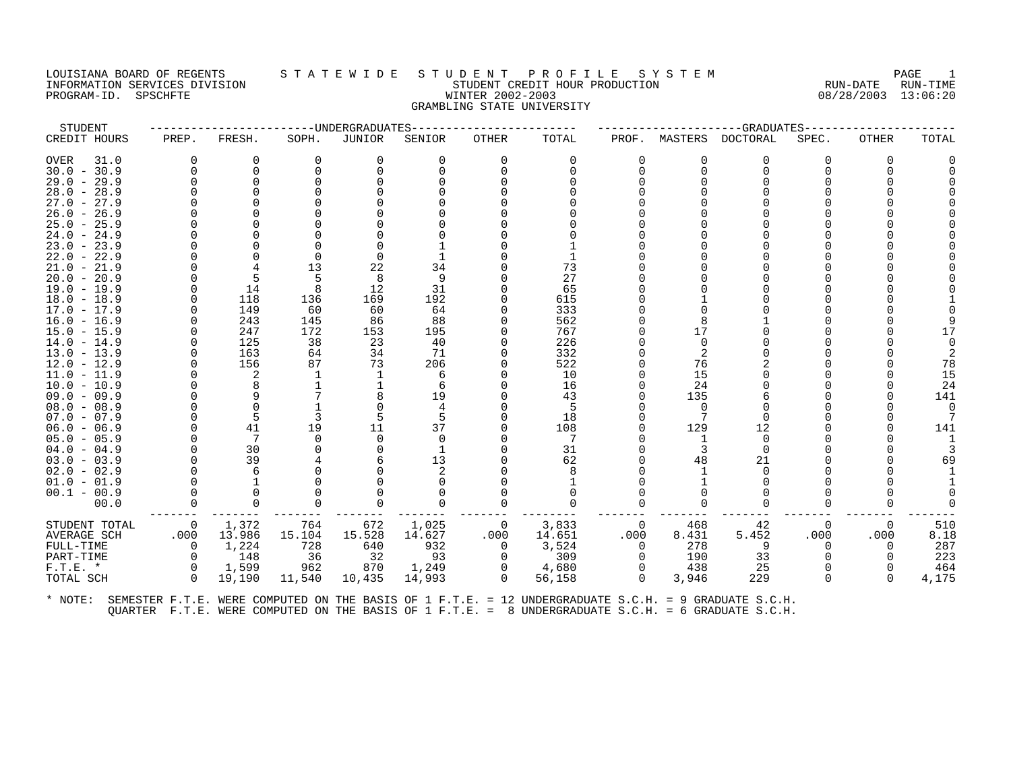### LOUISIANA BOARD OF REGENTS STA TEWIDE STUDENT PROFILE SYSTEM NAGE 1 INFORMATION SERVICES DIVISION SUBSERVICES ON STUDENT STUDENT CREDIT HOUR PRODUCTION SUBSERVICES AND PRODUCTION<br>INFORMATION SERVICES DIVISION STUDENT STUDENT CREDIT HOUR PRODUCTION SUBSERVICES (13:06:20 PROGRAM-ID. SPSCHFTE WINTER 2002-2003 GRAMBLING STATE UNIVERSITY

| STUDENT       |              |          |          | -----UNDERGRADUATES |          |             |          |          |          | --GRADUATES-    |              |       |             |
|---------------|--------------|----------|----------|---------------------|----------|-------------|----------|----------|----------|-----------------|--------------|-------|-------------|
| CREDIT HOURS  | PREP.        | FRESH.   | SOPH.    | JUNIOR              | SENIOR   | OTHER       | TOTAL    | PROF.    | MASTERS  | <b>DOCTORAL</b> | SPEC.        | OTHER | TOTAL       |
| OVER<br>31.0  | <sup>0</sup> | O        | $\Omega$ | $\Omega$            | $\Omega$ | $\Omega$    | $\Omega$ | $\Omega$ | O        | O               | <sup>0</sup> | 0     |             |
| $30.0 - 30.9$ | U            | $\Omega$ | $\Omega$ | $\Omega$            | U        |             |          | $\Omega$ | $\Omega$ | $\Omega$        |              |       |             |
| $29.0 - 29.9$ |              | $\Omega$ |          |                     |          |             |          |          |          |                 |              |       |             |
| $28.0 - 28.9$ |              |          |          |                     |          |             |          |          |          |                 |              |       |             |
| $27.0 - 27.9$ |              |          |          |                     |          |             |          |          |          |                 |              |       |             |
| $26.0 - 26.9$ |              |          |          |                     |          |             |          |          |          |                 |              |       |             |
| $25.0 - 25.9$ |              |          |          |                     |          |             |          |          |          |                 |              |       |             |
| $24.0 - 24.9$ |              |          |          |                     |          |             |          |          |          |                 |              |       |             |
| $23.0 - 23.9$ |              |          |          |                     |          |             |          |          |          |                 |              |       |             |
| $22.0 - 22.9$ |              |          | $\Omega$ |                     |          |             |          |          |          |                 |              |       |             |
| $21.0 - 21.9$ |              |          | 13       | 22                  | 34       |             | 73       |          |          |                 |              |       |             |
| $20.0 - 20.9$ |              |          | .5       | 8                   | 9        |             | 27       |          |          |                 |              |       |             |
| $19.0 - 19.9$ |              | 14       | 8        | 12                  | 31       |             | 65       |          |          |                 |              |       |             |
| $18.0 - 18.9$ |              | 118      | 136      | 169                 | 192      |             | 615      |          |          |                 |              |       |             |
| $17.0 - 17.9$ |              | 149      | 60       | 60                  | 64       |             | 333      |          |          |                 |              |       |             |
| $16.0 - 16.9$ |              | 243      | 145      | 86                  | 88       |             | 562      |          |          |                 |              |       |             |
| $15.0 - 15.9$ |              | 247      | 172      | 153                 | 195      |             | 767      |          | 17       |                 |              |       | 17          |
| $14.0 - 14.9$ |              | 125      | 38       | 23                  | 40       |             | 226      |          | $\Omega$ |                 |              |       |             |
| $13.0 - 13.9$ |              | 163      | 64       | 34                  | 71       |             | 332      |          | 2        |                 |              |       |             |
| $12.0 - 12.9$ |              | 156      | 87       | 73                  | 206      |             | 522      |          | 76       |                 |              |       | 78          |
| $11.0 - 11.9$ |              | 2        |          |                     | 6        |             | 10       |          | 15       |                 |              |       | 15          |
| $10.0 - 10.9$ |              |          |          |                     | 6        |             | 16       |          | 24       |                 |              |       | 24          |
| $09.0 - 09.9$ |              |          |          |                     | 19       |             | 43       |          | 135      |                 |              |       | 141         |
| $08.0 - 08.9$ |              |          |          |                     |          |             | .5       |          | $\Omega$ |                 |              |       | $\mathbf 0$ |
| $07.0 - 07.9$ |              | 5        | 3        |                     | 5        |             | 18       |          | 7        | $\cap$          |              |       |             |
| $06.0 - 06.9$ |              | 41       | 19       | 11                  | 37       |             | 108      |          | 129      | 12              |              |       | 141         |
| $05.0 - 05.9$ |              | 7        | $\Omega$ | $\Omega$            | $\Omega$ |             | 7        |          | -1       | $\Omega$        |              |       |             |
| $04.0 - 04.9$ |              | 30       |          |                     |          |             | 31       |          |          | $\cap$          |              |       |             |
| $03.0 - 03.9$ |              | 39       |          |                     | 13       |             | 62       |          | 48       | 21              |              |       | 69          |
| $02.0 - 02.9$ |              | 6        |          |                     |          |             |          |          |          |                 |              |       |             |
| $01.0 - 01.9$ |              |          |          |                     |          |             |          |          |          |                 |              |       |             |
| $00.1 - 00.9$ |              | $\Omega$ |          |                     |          |             |          |          |          |                 |              |       |             |
| 00.0          | O            | $\Omega$ |          |                     | $\Omega$ |             |          |          | $\Omega$ |                 |              |       |             |
| STUDENT TOTAL | 0            | 1,372    | 764      | 672                 | 1,025    | - 0         | 3,833    | 0        | 468      | 42              | 0            | 0     | 510         |
| AVERAGE SCH   | .000         | 13.986   | 15.104   | 15.528              | 14.627   | .000        | 14.651   | .000     | 8.431    | 5.452           | .000         | .000  | 8.18        |
| FULL-TIME     | $\Omega$     | 1,224    | 728      | 640                 | 932      | $\Omega$    | 3,524    | $\Omega$ | 278      | 9               | <sup>n</sup> | 0     | 287         |
| PART-TIME     | $\Omega$     | 148      | 36       | - 32                | 93       | $\Omega$    | 309      | $\Omega$ | 190      | 33              |              |       | 223         |
| $F.T.E.$ *    | $\Omega$     | 1,599    | 962      | 870                 | 1,249    | 0           | 4,680    | $\Omega$ | 438      | 25              |              |       | 464         |
| TOTAL SCH     | $\Omega$     | 19,190   | 11,540   | 10,435              | 14,993   | $\mathbf 0$ | 56,158   | $\Omega$ | 3,946    | 229             | $\Omega$     | 0     | 4,175       |
|               |              |          |          |                     |          |             |          |          |          |                 |              |       |             |
|               |              |          |          |                     |          |             |          |          |          |                 |              |       |             |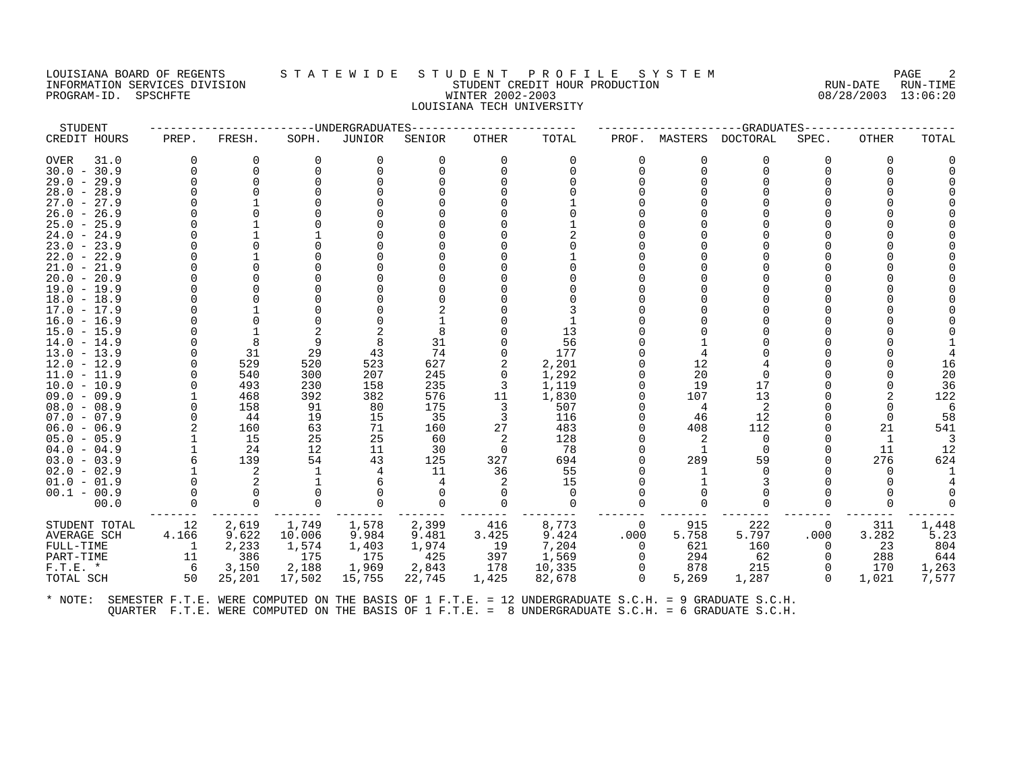# LOUISIANA BOARD OF REGENTS STATEWIDE STUDENT PROFILE SYSTEM NAGE 2 INFORMATION SERVICES DIVISION STATE STATE STUDENT CREDIT HOUR PRODUCTION SUM-DATE RUN-DATE RUN-TIME<br>PROGRAM-ID. SPSCHFTE STATE MINTER 2002-2003 WINTER 2002-2003 08/28/2003 13:06:20 PROGRAM-ID. SPSCHFTE WINTER 2002-2003 LOUISIANA TECH UNIVERSITY

| STUDENT       |       |          |        | ----UNDERGRADUATES |          |          |          |          |         | --GRADUATES-- |          |          |       |
|---------------|-------|----------|--------|--------------------|----------|----------|----------|----------|---------|---------------|----------|----------|-------|
| CREDIT HOURS  | PREP. | FRESH.   | SOPH.  | JUNIOR             | SENIOR   | OTHER    | TOTAL    | PROF.    | MASTERS | DOCTORAL      | SPEC.    | OTHER    | TOTAL |
| 31.0<br>OVER  |       | 0        | 0      | 0                  | $\Omega$ | 0        | 0        |          | 0       | 0             | 0        | $\Omega$ |       |
| $30.0 - 30.9$ |       | $\Omega$ | ∩      | $\Omega$           |          | $\Omega$ | ∩        |          | 0       | $\Omega$      |          | O        |       |
| $29.0 - 29.9$ |       | $\cap$   |        |                    |          |          |          |          |         |               |          |          |       |
| $28.0 - 28.9$ |       |          |        |                    |          |          |          |          |         |               |          |          |       |
| $27.0 - 27.9$ |       |          |        |                    |          |          |          |          |         |               |          |          |       |
| $26.0 - 26.9$ |       |          |        |                    |          |          |          |          |         |               |          |          |       |
| $25.0 - 25.9$ |       |          |        |                    |          |          |          |          |         |               |          |          |       |
| $24.0 - 24.9$ |       |          |        |                    |          |          |          |          |         |               |          |          |       |
| $23.0 - 23.9$ |       |          |        |                    |          |          |          |          |         |               |          |          |       |
| $22.0 - 22.9$ |       |          |        |                    |          |          |          |          |         |               |          |          |       |
| $21.0 - 21.9$ |       |          |        |                    |          |          |          |          |         |               |          |          |       |
| $20.0 - 20.9$ |       |          |        |                    |          |          |          |          |         |               |          |          |       |
| $19.0 - 19.9$ |       |          |        |                    |          |          |          |          |         |               |          |          |       |
| $18.0 - 18.9$ |       |          |        |                    |          |          |          |          |         |               |          |          |       |
| $17.0 - 17.9$ |       |          |        |                    |          |          |          |          |         |               |          |          |       |
| $16.0 - 16.9$ |       |          |        |                    |          |          |          |          |         |               |          |          |       |
| $15.0 - 15.9$ |       |          |        |                    |          |          | 13       |          |         |               |          |          |       |
| $14.0 - 14.9$ |       | 8        | 9      | 8                  | 31       |          | 56       |          |         |               |          |          |       |
| $13.0 - 13.9$ |       | 31       | 29     | 43                 | 74       |          | 177      |          |         |               |          |          |       |
| $12.0 - 12.9$ |       | 529      | 520    | 523                | 627      |          | 2,201    |          | 12      |               |          |          |       |
| $11.0 - 11.9$ |       | 540      | 300    | 207                | 245      | 0        | 1,292    |          | 20      | $\Omega$      |          |          | 20    |
| $10.0 - 10.9$ |       | 493      | 230    | 158                | 235      | 3        | 1,119    |          | 19      | 17            |          |          | 36    |
| $09.0 - 09.9$ |       | 468      | 392    | 382                | 576      | 11       | 1,830    |          | 107     | 13            |          |          | 122   |
| $08.0 - 08.9$ |       | 158      | 91     | 80                 | 175      | 3        | 507      |          | 4       | 2             |          |          |       |
| $07.0 - 07.9$ |       | 44       | 19     | 15                 | 35       | 3        | 116      |          | 46      | 12            |          |          | 58    |
| $06.0 - 06.9$ |       | 160      | 63     | 71                 | 160      | 27       | 483      |          | 408     | 112           |          | 21       | 541   |
| $05.0 - 05.9$ |       | 15       | 25     | 25                 | 60       | 2        | 128      |          |         | $\Omega$      |          |          |       |
| $04.0 - 04.9$ |       | 24       | 12     | 11                 | 30       | 0        | 78       |          |         | $\Omega$      |          | 11       | 12    |
| $03.0 - 03.9$ |       | 139      | 54     | 43                 | 125      | 327      | 694      |          | 289     | 59            |          | 276      | 624   |
| $02.0 - 02.9$ |       | 2        |        |                    | 11       | 36       | 55       |          |         | ∩             |          |          |       |
| $01.0 - 01.9$ |       | 2        |        |                    |          |          | 15       |          |         |               |          |          |       |
| $00.1 - 00.9$ |       |          |        |                    |          | $\Omega$ | $\Omega$ |          |         |               |          |          |       |
| 00.0          |       | $\Omega$ |        |                    |          |          | $\Omega$ |          |         | O             |          |          |       |
| STUDENT TOTAL | 12    | 2,619    | 1,749  | 1,578              | 2,399    | 416      | 8,773    | $\Omega$ | 915     | 222           | 0        | 311      | 1,448 |
| AVERAGE SCH   | 4.166 | 9.622    | 10.006 | 9.984              | 9.481    | 3.425    | 9.424    | .000     | 5.758   | 5.797         | .000     | 3.282    | 5.23  |
| FULL-TIME     | -1    | 2,233    | 1,574  | 1,403              | 1,974    | 19       | 7,204    | $\Omega$ | 621     | 160           | $\Omega$ | 23       | 804   |
| PART-TIME     | 11    | 386      | 175    | 175                | 425      | 397      | 1,569    |          | 294     | 62            | $\Omega$ | 288      | 644   |
| $F.T.E. *$    | -6    | 3,150    | 2,188  | 1,969              | 2,843    | 178      | 10,335   |          | 878     | 215           | $\Omega$ | 170      | 1,263 |
| TOTAL SCH     | 50    | 25,201   | 17,502 | 15,755             | 22,745   | 1,425    | 82,678   | $\Omega$ | 5,269   | 1,287         | $\Omega$ | 1,021    | 7,577 |
|               |       |          |        |                    |          |          |          |          |         |               |          |          |       |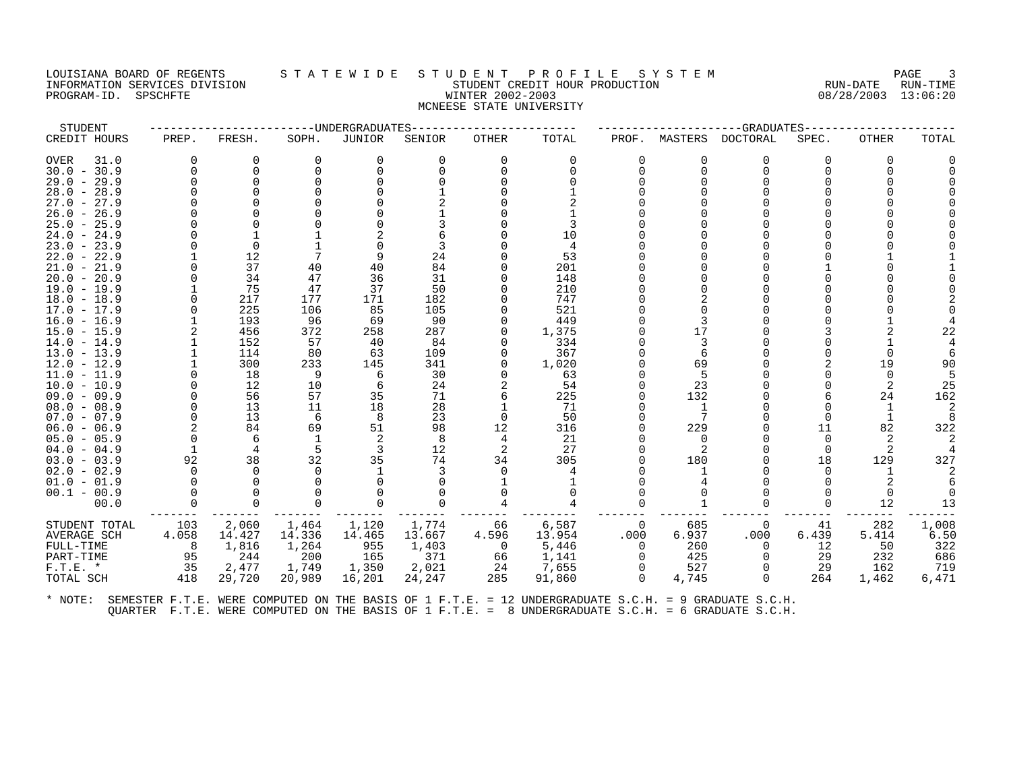# LOUISIANA BOARD OF REGENTS STATEWIDE STUDE NT PROFILE SYSTEM PAGE 3<br>INFORMATION SERVICES DIVISION STATE WILLE STUDENT CREDIT HOUR PRODUCTION RUN-DATE RUN-TIME INFORMATION SERVICES DIVISION STATE REDUCTION SERVICES DIVISION STATE RUN-DATE RUN-TIME ROBBERT CREDIT HOUR PRODUCTION PROGRAM-ID. SPSCHFTE WINTER 2002-2003 08/28/2003 13:06:20 MCNEESE STATE UNIVERSITY

| STUDENT       |              |          |          | -------------WNDERGRADUATES |          |              |          |          |          | --GRADUATES----- |          |              |       |
|---------------|--------------|----------|----------|-----------------------------|----------|--------------|----------|----------|----------|------------------|----------|--------------|-------|
| CREDIT HOURS  | PREP.        | FRESH.   | SOPH.    | JUNIOR                      | SENIOR   | OTHER        | TOTAL    | PROF.    | MASTERS  | <b>DOCTORAL</b>  | SPEC.    | <b>OTHER</b> | TOTAL |
| OVER<br>31.0  | 0            | $\Omega$ | $\Omega$ | $\Omega$                    | $\Omega$ | $\Omega$     | $\Omega$ | $\Omega$ | O        | $\Omega$         | 0        | 0            |       |
| $30.0 - 30.9$ | $\Omega$     | $\Omega$ |          |                             | $\Omega$ | <sup>n</sup> |          | $\Omega$ | $\Omega$ | $\Omega$         |          |              |       |
| $29.0 - 29.9$ |              | $\Omega$ |          |                             |          |              |          |          |          |                  |          |              |       |
| $28.0 - 28.9$ |              |          |          |                             |          |              |          |          |          |                  |          |              |       |
| $27.0 - 27.9$ |              |          |          |                             |          |              |          |          |          |                  |          |              |       |
| $26.0 - 26.9$ |              |          |          |                             |          |              |          |          |          |                  |          |              |       |
| $25.0 - 25.9$ |              |          |          |                             |          |              |          |          |          |                  |          |              |       |
| $24.0 - 24.9$ |              |          |          |                             |          |              | 10       |          |          |                  |          |              |       |
| $23.0 - 23.9$ |              | $\Omega$ |          |                             |          |              | 4        |          |          |                  |          |              |       |
| $22.0 - 22.9$ |              | 12       |          | 9                           | 24       |              | 53       |          |          |                  |          |              |       |
| $21.0 - 21.9$ |              | 37       | 40       | 40                          | 84       |              | 201      |          |          |                  |          |              |       |
| $20.0 - 20.9$ |              | 34       | 47       | 36                          | 31       |              | 148      |          |          |                  |          |              |       |
| $19.0 - 19.9$ |              | 75       | 47       | 37                          | 50       |              | 210      |          |          |                  |          |              |       |
| $18.0 - 18.9$ |              | 217      | 177      | 171                         | 182      |              | 747      |          |          |                  |          |              |       |
| 17.0 - 17.9   |              | 225      | 106      | 85                          | 105      |              | 521      |          |          |                  |          |              |       |
| $16.0 - 16.9$ |              | 193      | 96       | 69                          | 90       |              | 449      |          |          |                  |          |              |       |
| $15.0 - 15.9$ |              | 456      | 372      | 258                         | 287      |              | 1,375    |          | 17       |                  |          |              | 22    |
| $14.0 - 14.9$ |              | 152      | 57       | 40                          | 84       | $\Omega$     | 334      |          | 3        |                  |          |              |       |
| $13.0 - 13.9$ |              | 114      | 80       | 63                          | 109      |              | 367      |          | 6        |                  |          |              |       |
| $12.0 - 12.9$ |              | 300      | 233      | 145                         | 341      | $\Omega$     | 1,020    |          | 69       |                  |          | 19           | 90    |
| $11.0 - 11.9$ |              | 18       | -9       | 6                           | 30       |              | 63       |          | .5       |                  |          |              |       |
| $10.0 - 10.9$ |              | 12       | 10       | 6                           | 24       |              | 54       |          | 23       |                  |          | 2            | 25    |
| $09.0 - 09.9$ |              | 56       | 57       | 35                          | 71       |              | 225      |          | 132      |                  |          | 24           | 162   |
| $08.0 - 08.9$ |              | 13       | 11       | 18                          | 28       |              | 71       |          | -1       |                  |          |              |       |
| $07.0 - 07.9$ |              | 13       | 6        | 8                           | 23       | 0            | 50       |          | 7        |                  |          |              |       |
| $06.0 - 06.9$ |              | 84       | 69       | 51                          | 98       | 12           | 316      |          | 229      |                  | 11       | 82           | 322   |
| $05.0 - 05.9$ |              | 6        |          | 2                           | 8        | 4            | 21       |          | $\Omega$ |                  | $\Omega$ |              |       |
| $04.0 - 04.9$ |              | 4        | .5       | 3                           | 12       | 2            | 27       |          | 2        |                  | $\Omega$ |              |       |
| $03.0 - 03.9$ | 92           | 38       | 32       | 35                          | 74       | 34           | 305      |          | 180      |                  | 18       | 129          | 327   |
| $02.0 - 02.9$ | <sup>n</sup> | $\Omega$ |          |                             |          | $\Omega$     |          |          |          |                  |          |              |       |
| $01.0 - 01.9$ |              | $\Omega$ |          |                             |          |              |          |          |          |                  |          |              |       |
| $00.1 - 00.9$ |              | $\Omega$ |          |                             |          |              |          |          |          |                  |          | $\Omega$     |       |
| 00.0          |              | $\Omega$ |          |                             |          |              |          |          |          |                  | 0        | 12           | 13    |
| STUDENT TOTAL | 103          | 2,060    | 1,464    | 1,120                       | 1,774    | 66           | 6,587    | $\Omega$ | 685      | 0                | 41       | 282          | 1,008 |
| AVERAGE SCH   | 4.058        | 14.427   | 14.336   | 14.465                      | 13.667   | 4.596        | 13.954   | .000     | 6.937    | .000             | 6.439    | 5.414        | 6.50  |
| FULL-TIME     | -8           | 1,816    | 1,264    | 955                         | 1,403    | $\Omega$     | 5,446    | $\Omega$ | 260      | $\Omega$         | 12       | 50           | 322   |
| PART-TIME     | 95           | 244      | 200      | 165                         | 371      | 66           | 1,141    | $\Omega$ | 425      | $\Omega$         | 29       | 232          | 686   |
| $F.T.E. *$    | 35           | 2,477    | 1,749    | 1,350                       | 2,021    | 24           | 7,655    | $\Omega$ | 527      | $\Omega$         | 29       | 162          | 719   |
| TOTAL SCH     | 418          | 29,720   | 20,989   | 16,201                      | 24,247   | 285          | 91,860   | $\Omega$ | 4,745    | $\Omega$         | 264      | 1,462        | 6,471 |
|               |              |          |          |                             |          |              |          |          |          |                  |          |              |       |
|               |              |          |          |                             |          |              |          |          |          |                  |          |              |       |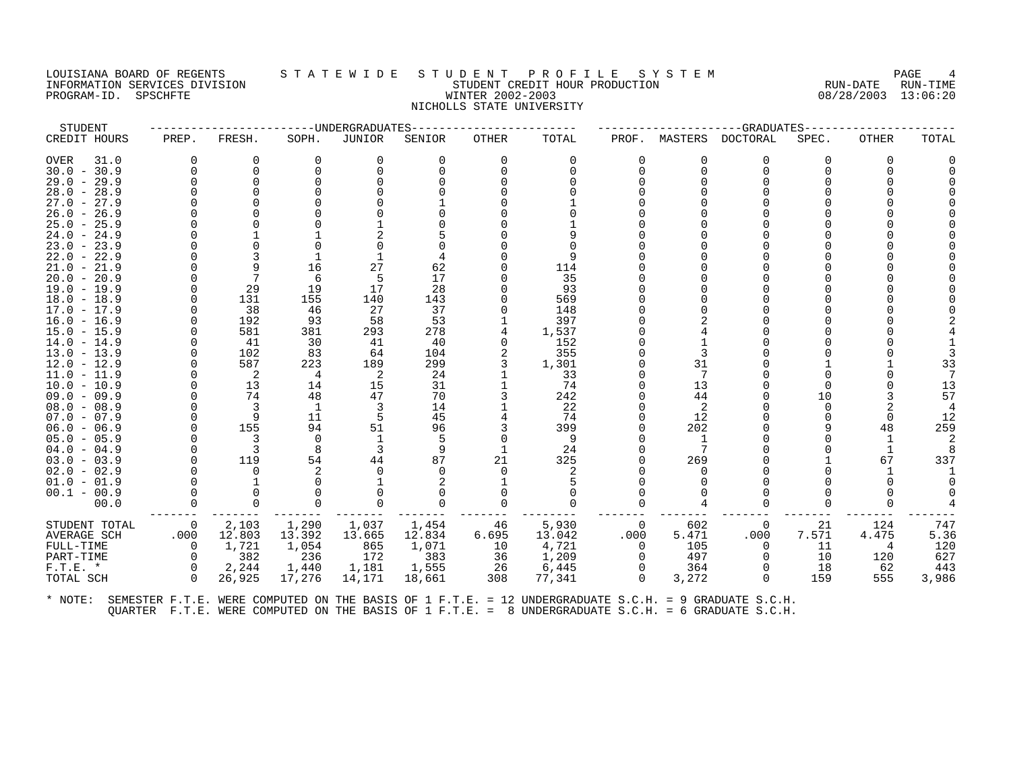## LOUISIANA BOARD OF REGENTS STATEWIDE STUDENT PROFILE SYSTEM PAGE 4<br>INFORMATION SERVICES DIVISION STATEWIDE STUDENT CREDIT HOUR PRODUCTION RUN-DATE RUN-TIME UI INFORMATION SERVICES DIVISION SERVICES DIVISION SERVICES DIVISION RUN-DATE RUN-TIME<br>ININTER 2002-2003 RUN-DATE 2002-2003 PROGRAM-ID. SPSCHFTE WINTER 2002-2003 NICHOLLS STATE UNIVERSITY

| STUDENT                        |                |                            | -------------UNDERGRADUATES |          |          |              |          |          |                | --GRADUATES---- |       |       |           |
|--------------------------------|----------------|----------------------------|-----------------------------|----------|----------|--------------|----------|----------|----------------|-----------------|-------|-------|-----------|
| CREDIT HOURS                   | PREP.          | FRESH.                     | SOPH.                       | JUNIOR   | SENIOR   | <b>OTHER</b> | TOTAL    | PROF.    | MASTERS        | <b>DOCTORAL</b> | SPEC. | OTHER | TOTAL     |
| OVER<br>31.0                   | <sup>0</sup>   | O                          | $\Omega$                    | $\Omega$ | $\Omega$ | $\Omega$     | 0        | $\Omega$ | $\Omega$       | 0               | 0     |       |           |
| $30.0 - 30.9$                  |                | $\Omega$                   |                             |          |          | ∩            |          | $\Omega$ | $\Omega$       | ∩               |       |       |           |
| $29.0 - 29.9$                  |                |                            |                             |          |          |              |          |          |                |                 |       |       |           |
| $28.0 - 28.9$                  |                |                            |                             |          |          |              |          |          |                |                 |       |       |           |
| $27.0 - 27.9$                  |                |                            |                             |          |          |              |          |          |                |                 |       |       |           |
| $26.0 - 26.9$                  |                |                            |                             |          |          |              |          |          |                |                 |       |       |           |
| $25.0 - 25.9$                  |                |                            |                             |          |          |              |          |          |                |                 |       |       |           |
| $24.0 - 24.9$                  |                |                            |                             |          |          |              |          |          |                |                 |       |       |           |
| $23.0 - 23.9$                  |                |                            |                             |          |          |              |          |          |                |                 |       |       |           |
| $22.0 - 22.9$                  |                |                            |                             |          |          |              |          |          |                |                 |       |       |           |
| $21.0 - 21.9$                  |                |                            | 16                          | 27       | 62       |              | 114      |          |                |                 |       |       |           |
| $20.0 - 20.9$                  |                |                            | 6                           |          | 17       |              | 35       |          |                |                 |       |       |           |
| $19.0 - 19.9$                  |                | 29                         | 19                          | 17       | 28       |              | 93       |          |                |                 |       |       |           |
| $18.0 - 18.9$                  |                | 131                        | 155                         | 140      | 143      |              | 569      |          |                |                 |       |       |           |
| 17.0 - 17.9                    |                | 38                         | 46                          | 27       | 37       |              | 148      |          |                |                 |       |       |           |
| $16.0 - 16.9$                  |                | 192                        | 93                          | 58       | 53       |              | 397      |          |                |                 |       |       |           |
| $15.0 - 15.9$                  |                | 581                        | 381                         | 293      | 278      |              | 1,537    |          |                |                 |       |       |           |
| $14.0 - 14.9$                  |                | 41                         | 30                          | 41       | 40       | $\Omega$     | 152      |          |                |                 |       |       |           |
| $13.0 - 13.9$                  |                | 102                        | 83                          | 64       | 104      |              | 355      |          |                |                 |       |       |           |
| $12.0 - 12.9$                  |                | 587                        | 223                         | 189      | 299      |              | 1,301    |          | 31             |                 |       |       | 33        |
| $11.0 - 11.9$                  |                | $\overline{\phantom{0}}^2$ | 4                           | -2       | 24       |              | 33       |          | 7              |                 |       |       |           |
| $10.0 - 10.9$                  |                | 13                         | 14                          | 15       | 31       |              | 74       |          | 13             |                 |       |       | 13        |
| $09.0 - 09.9$                  |                | 74                         | 48                          | 47       | 70       |              | 242      |          | 44             |                 | 10    |       | 57        |
| $08.0 - 08.9$                  |                | 3<br>9                     | -1                          | 3        | 14       |              | 22<br>74 |          | $\overline{2}$ |                 |       |       |           |
| $07.0 - 07.9$<br>$06.0 - 06.9$ |                | 155                        | 11<br>94                    | 51       | 45<br>96 |              | 399      |          | 12<br>202      |                 |       | 48    | 12<br>259 |
|                                |                |                            |                             |          | .5       |              |          |          |                |                 |       |       |           |
| $05.0 - 05.9$<br>$04.0 - 04.9$ |                | 3                          | $\Omega$                    | 3        | 9        |              | 9<br>24  |          | -1<br>7        |                 |       |       |           |
| $03.0 - 03.9$                  |                | 119                        | 54                          | 44       | 87       | 21           | 325      |          | 269            |                 |       | 67    | 337       |
| $02.0 - 02.9$                  |                |                            |                             |          |          |              |          |          |                |                 |       |       |           |
| $01.0 - 01.9$                  |                |                            |                             |          |          |              |          |          |                |                 |       |       |           |
| $00.1 - 00.9$                  |                |                            |                             |          |          |              |          |          |                |                 |       |       |           |
| 00.0                           | 0              |                            |                             | 0        |          | ∩            | ∩        |          |                |                 |       |       |           |
|                                |                |                            |                             |          |          |              |          |          |                |                 |       |       |           |
| STUDENT TOTAL                  | $\overline{0}$ | 2,103                      | 1,290                       | 1,037    | 1,454    | 46           | 5,930    | 0        | 602            | $\mathbf 0$     | 21    | 124   | 747       |
| AVERAGE SCH                    | .000           | 12.803                     | 13.392                      | 13.665   | 12.834   | 6.695        | 13.042   | .000     | 5.471          | .000            | 7.571 | 4.475 | 5.36      |
| FULL-TIME                      | $\Omega$       | 1,721                      | 1,054                       | 865      | 1,071    | 10           | 4,721    | $\Omega$ | 105            | 0               | 11    |       | 120       |
| PART-TIME                      | $\Omega$       | 382                        | 236                         | 172      | 383      | 36           | 1,209    | $\Omega$ | 497            | $\Omega$        | 10    | 120   | 627       |
| $F.T.E. *$                     | $\Omega$       | 2,244                      | 1,440                       | 1,181    | 1,555    | 26           | 6,445    | $\Omega$ | 364            |                 | 18    | 62    | 443       |
| TOTAL SCH                      | $\Omega$       | 26,925                     | 17,276                      | 14,171   | 18,661   | 308          | 77,341   | $\Omega$ | 3,272          | $\Omega$        | 159   | 555   | 3,986     |
|                                |                |                            |                             |          |          |              |          |          |                |                 |       |       |           |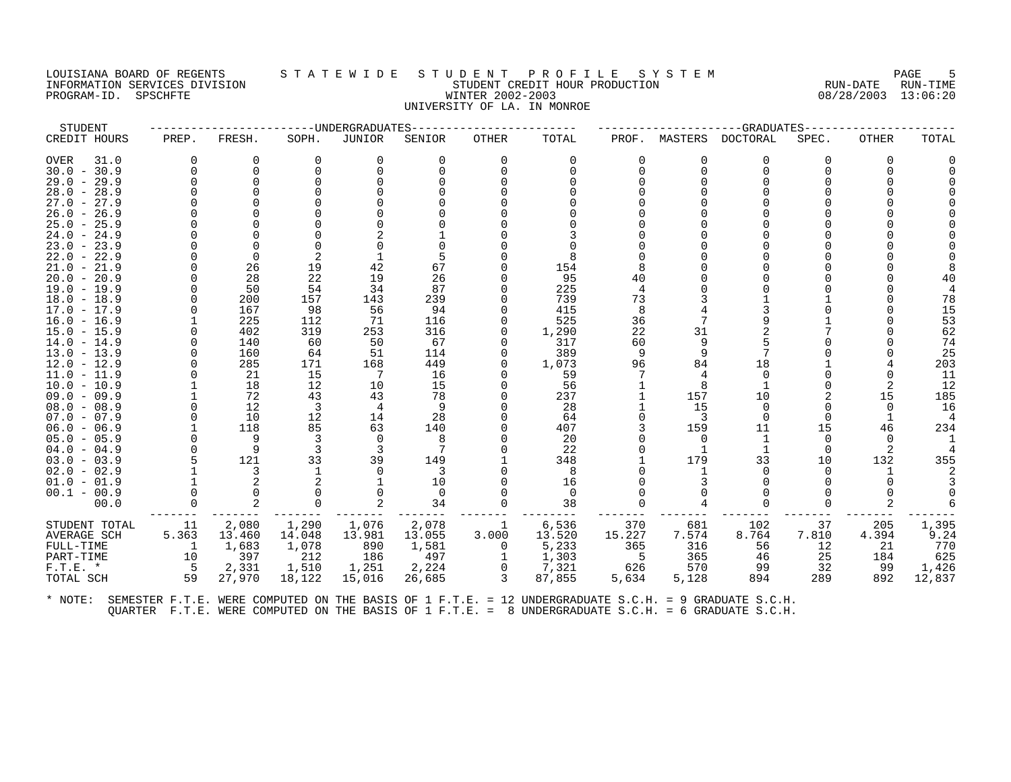#### LOUISIANA BOARD OF REGENTS S T A T E W I D E S T U D E N T P R O F I L E S Y S T E M PAGE 5 INFORMATION SERVICES DIVISION STUDENT CREDIT HOUR PRODUCTION RUN-DATE RUN-TIME PROGRAM-ID. SPSCHFTE WINTER 2002-2003 08/28/2003 13:06:20 UNIVERSITY OF LA. IN MONROE

| STUDENT             |          |             | ------------UNDERGRADUATES |          |          |              |          |        |          | -GRADUATES |          |              |        |
|---------------------|----------|-------------|----------------------------|----------|----------|--------------|----------|--------|----------|------------|----------|--------------|--------|
| CREDIT HOURS        | PREP.    | FRESH.      | SOPH.                      | JUNIOR   | SENIOR   | <b>OTHER</b> | TOTAL    | PROF.  | MASTERS  | DOCTORAL   | SPEC.    | <b>OTHER</b> | TOTAL  |
| <b>OVER</b><br>31.0 | 0        | $\Omega$    | $\Omega$                   | 0        | 0        | $\Omega$     | $\Omega$ |        | 0        | 0          | $\Omega$ | $\Omega$     |        |
| $30.0 - 30.9$       | $\Omega$ | $\Omega$    | $\Omega$                   | $\Omega$ |          | $\Omega$     | $\Omega$ |        | $\Omega$ | $\Omega$   |          |              |        |
| $29.0 - 29.9$       |          | $\mathbf 0$ |                            |          |          |              |          |        |          |            |          |              |        |
| $28.0 - 28.9$       |          |             |                            |          |          |              |          |        |          |            |          |              |        |
| $27.0 - 27.9$       |          |             |                            |          |          |              |          |        |          |            |          |              |        |
| $26.0 - 26.9$       |          |             |                            |          |          |              |          |        |          |            |          |              |        |
| $25.0 - 25.9$       |          |             |                            |          |          |              |          |        |          |            |          |              |        |
| $24.0 - 24.9$       |          |             |                            |          |          |              |          |        |          |            |          |              |        |
| $23.0 - 23.9$       |          | $\Omega$    | $\Omega$                   |          |          |              |          |        |          |            |          |              |        |
| $22.0 - 22.9$       |          | 0           | 2                          |          |          |              | 8        |        |          |            |          |              |        |
| $21.0 - 21.9$       |          | 26          | 19                         | 42       | 67       |              | 154      |        |          |            |          |              |        |
| $20.0 - 20.9$       |          | 28          | 22                         | 19       | 26       |              | 95       | 40     |          |            |          |              |        |
| $19.0 - 19.9$       |          | 50          | 54                         | 34       | 87       |              | 225      |        |          |            |          |              |        |
| $18.0 - 18.9$       |          | 200         | 157                        | 143      | 239      |              | 739      | 73     |          |            |          |              | 78     |
| $17.0 - 17.9$       |          | 167         | 98                         | 56       | 94       |              | 415      |        |          |            |          |              | 15     |
| $16.0 - 16.9$       |          | 225         | 112                        | 71       | 116      |              | 525      | 36     |          |            |          |              | 53     |
| $15.0 - 15.9$       |          | 402         | 319                        | 253      | 316      | 0            | 1,290    | 22     | 31       |            |          |              | 62     |
| $14.0 - 14.9$       |          | 140         | 60                         | 50       | 67       | O            | 317      | 60     | 9        |            |          |              | 74     |
| $13.0 - 13.9$       |          | 160         | 64                         | 51       | 114      | $\Omega$     | 389      | 9      | 9        |            |          |              | 25     |
| $12.0 - 12.9$       |          | 285         | 171                        | 168      | 449      | 0            | 1,073    | 96     | 84       | 18         |          |              | 203    |
| $11.0 - 11.9$       |          | 21          | 15                         | 7        | 16       | O            | 59       |        | 4        | $\Omega$   |          |              | 11     |
| $10.0 - 10.9$       |          | 18          | 12                         | 10       | 15       |              | 56       |        |          |            |          |              | 12     |
| $09.0 - 09.9$       |          | 72          | 43                         | 43       | 78       |              | 237      |        | 157      | 10         |          | 15           | 185    |
| $08.0 - 08.9$       |          | 12          | 3                          | 4        | 9        |              | 28       |        | 15       | $\Omega$   | $\Omega$ | $\Omega$     | 16     |
| $07.0 - 07.9$       |          | 10          | 12                         | 14       | 28       |              | 64       |        | 3        | $\Omega$   | $\Omega$ |              |        |
| $06.0 - 06.9$       |          | 118         | 85                         | 63       | 140      |              | 407      |        | 159      | 11         | 15       | 46           | 234    |
| $05.0 - 05.9$       |          | 9           | -3                         | 0        | 8        |              | 20       |        | 0        | 1          | 0        | $\Omega$     |        |
| $04.0 - 04.9$       |          | 9           | 3                          | 3        |          |              | 22       |        | -1       |            | $\Omega$ |              |        |
| $03.0 - 03.9$       |          | 121         | 33                         | 39       | 149      |              | 348      |        | 179      | 33         | 10       | 132          | 355    |
| $02.0 - 02.9$       |          | 3           |                            | $\Omega$ | 3        |              | 8        |        |          | $\Omega$   | $\Omega$ | 1            |        |
| $01.0 - 01.9$       |          | 2           |                            |          | 10       |              | 16       |        |          | ∩          |          |              |        |
| $00.1 - 00.9$       |          |             |                            |          | $\Omega$ |              | $\Omega$ |        |          |            |          |              |        |
| 00.0                |          | 2           | $\Omega$                   |          | 34       | $\Omega$     | 38       |        | 4        | $\Omega$   | $\Omega$ |              |        |
| STUDENT TOTAL       | 11       | 2,080       | 1,290                      | 1,076    | 2,078    | 1            | 6,536    | 370    | 681      | 102        | 37       | 205          | 1,395  |
| AVERAGE SCH         | 5.363    | 13.460      | 14.048                     | 13.981   | 13.055   | 3.000        | 13.520   | 15.227 | 7.574    | 8.764      | 7.810    | 4.394        | 9.24   |
| FULL-TIME           | -1       | 1,683       | 1,078                      | 890      | 1,581    | 0            | 5,233    | 365    | 316      | 56         | 12       | 21           | 770    |
| PART-TIME           | 10       | 397         | 212                        | 186      | 497      | 1            | 1,303    | .5     | 365      | 46         | 25       | 184          | 625    |
| $F.T.E. *$          | $-5$     | 2,331       | 1,510                      | 1,251    | 2,224    | 0            | 7,321    | 626    | 570      | 99         | 32       | 99           | 1,426  |
| TOTAL SCH           | 59       | 27,970      | 18,122                     | 15,016   | 26,685   | 3            | 87,855   | 5,634  | 5,128    | 894        | 289      | 892          | 12,837 |
|                     |          |             |                            |          |          |              |          |        |          |            |          |              |        |
|                     |          |             |                            |          |          |              |          |        |          |            |          |              |        |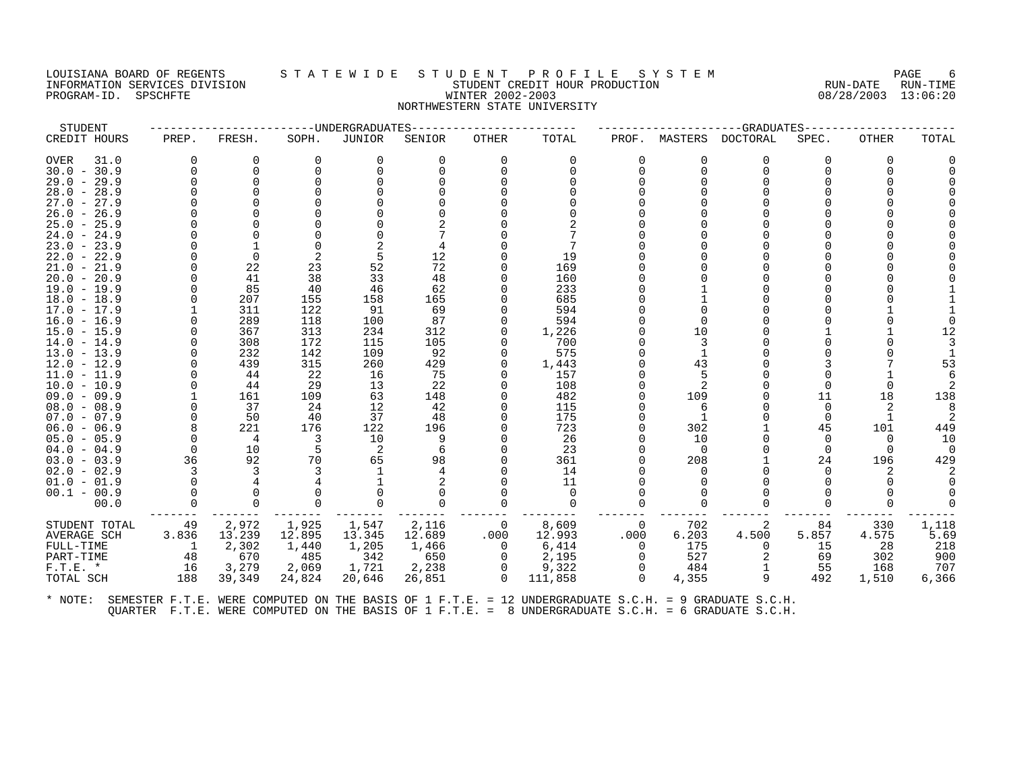### LOUISIANA BOARD OF REGENTS STA TEWIDE STUDENT PROFILE SYSTEM NAGE 6 INFORMATION SERVICES DIVISION SUBSERVICES ON STUDENT STUDENT CREDIT HOUR PRODUCTION SUBSERVICES AND PRODUCTION<br>INFORMATION SERVICES DIVISION STUDENT STUDENT CREDIT HOUR PRODUCTION SUBSERVICES (13:06:20 PROGRAM-ID. SPSCHFTE WINTER 2002-2003 NORTHWESTERN STATE UNIVERSITY

| STUDENT       |                |                | -------------DNDERGRADUATES |                |        |              |          |          |                | --GRADUATES  |          |          |          |
|---------------|----------------|----------------|-----------------------------|----------------|--------|--------------|----------|----------|----------------|--------------|----------|----------|----------|
| CREDIT HOURS  | PREP.          | FRESH.         | SOPH.                       | JUNIOR         | SENIOR | OTHER        | TOTAL    |          | PROF. MASTERS  | DOCTORAL     | SPEC.    | OTHER    | TOTAL    |
| OVER<br>31.0  | $\Omega$       | 0              | $\Omega$                    | 0              | 0      | 0            | $\Omega$ | $\Omega$ | 0              | 0            | ∩        | $\Omega$ |          |
| $30.0 - 30.9$ | $\Omega$       | $\Omega$       | $\Omega$                    | $\Omega$       |        | $\Omega$     | $\Omega$ | $\Omega$ | $\Omega$       | $\Omega$     |          | 0        |          |
| $29.0 - 29.9$ | $\Omega$       | $\Omega$       |                             |                |        |              |          |          |                | <sup>0</sup> |          |          |          |
| $28.0 - 28.9$ |                | $\Omega$       |                             |                |        |              |          |          |                |              |          |          |          |
| $27.0 - 27.9$ |                | ∩              |                             |                |        |              |          |          |                |              |          |          |          |
| $26.0 - 26.9$ |                | O              |                             |                |        |              |          |          |                |              |          |          |          |
| $25.0 - 25.9$ |                |                |                             |                |        |              |          |          |                |              |          |          |          |
| $24.0 - 24.9$ |                | ∩              |                             |                |        |              |          |          |                |              |          |          |          |
| $23.0 - 23.9$ |                |                | $\cap$                      |                |        |              |          |          |                |              |          |          |          |
| $22.0 - 22.9$ |                | $\Omega$       |                             |                | 12     |              | 19       |          |                |              |          |          |          |
| $21.0 - 21.9$ |                | 22             | 23                          | 52             | 72     |              | 169      |          |                |              |          |          |          |
| $20.0 - 20.9$ |                | 41             | 38                          | 33             | 48     |              | 160      |          |                |              |          |          |          |
| $19.0 - 19.9$ |                | 85             | 40                          | 46             | 62     |              | 233      |          |                |              |          |          |          |
| $18.0 - 18.9$ |                | 207            | 155                         | 158            | 165    |              | 685      |          |                |              |          |          |          |
| $17.0 - 17.9$ |                | 311            | 122                         | 91             | 69     |              | 594      |          |                |              |          |          |          |
| $16.0 - 16.9$ |                | 289            | 118                         | 100            | 87     |              | 594      |          | $\Omega$       |              |          |          |          |
| $15.0 - 15.9$ |                | 367            | 313                         | 234            | 312    |              | 1,226    |          | 10             |              |          |          | 12       |
| $14.0 - 14.9$ |                | 308            | 172                         | 115            | 105    |              | 700      |          |                |              |          |          |          |
| $13.0 - 13.9$ |                | 232            | 142                         | 109            | 92     |              | 575      |          | $\overline{1}$ |              |          |          |          |
| $12.0 - 12.9$ |                | 439            | 315                         | 260            | 429    | <sup>0</sup> | 1,443    |          | 43             |              |          |          | 53       |
| 11.0 - 11.9   |                | 44             | 22                          | 16             | 75     |              | 157      |          |                |              |          |          |          |
| $10.0 - 10.9$ |                | 44             | 29                          | 13             | 22     |              | 108      |          |                |              |          |          |          |
| $09.0 - 09.9$ |                | 161            | 109                         | 63             | 148    |              | 482      |          | 109            |              | 11       | 18       | 138      |
| $08.0 - 08.9$ |                | 37             | 24                          | 12             | 42     |              | 115      |          | 6              |              | $\Omega$ | 2        |          |
| $07.0 - 07.9$ |                | 50             | 40                          | 37             | 48     |              | 175      |          |                |              | $\Omega$ |          |          |
| $06.0 - 06.9$ |                | 221            | 176                         | 122            | 196    |              | 723      |          | 302            |              | 45       | 101      | 449      |
| $05.0 - 05.9$ | $\Omega$       | $\overline{4}$ | 3                           | 10             |        |              | 26       |          | 10             |              | $\Omega$ | $\Omega$ | 10       |
| $04.0 - 04.9$ | 0              | 10             | -5                          | $\overline{2}$ |        |              | 23       |          | $\overline{0}$ |              |          | $\Omega$ | $\Omega$ |
| $03.0 - 03.9$ | 36             | 92             | 70                          | 65             | 98     |              | 361      |          | 208            |              | 24       | 196      | 429      |
| $02.0 - 02.9$ | 3              | 3              |                             | 1              |        |              | 14       |          | $\Omega$       |              |          |          |          |
| $01.0 - 01.9$ |                |                |                             |                |        |              | 11       |          |                |              |          |          |          |
| $00.1 - 00.9$ |                | $\Omega$       |                             |                |        |              | $\Omega$ |          |                |              |          |          |          |
| 00.0          |                | $\Omega$       | $\Omega$                    | $\Omega$       |        | $\Omega$     | $\Omega$ |          |                | U            |          |          |          |
| STUDENT TOTAL | 49             | 2,972          | 1,925                       | 1,547          | 2,116  | 0            | 8,609    | 0        | 702            | 2            | 84       | 330      | 1,118    |
| AVERAGE SCH   | 3.836          | 13.239         | 12.895                      | 13.345         | 12.689 | .000         | 12.993   | .000     | 6.203          | 4.500        | 5.857    | 4.575    | 5.69     |
| FULL-TIME     | $\overline{1}$ | 2,302          | 1,440                       | 1,205          | 1,466  | 0            | 6,414    | 0        | 175            | 0            | 15       | 28       | 218      |
| PART-TIME     | 48             | 670            | 485                         | 342            | 650    | $\Omega$     | 2,195    | $\Omega$ | 527            |              | 69       | 302      | 900      |
| $F.T.E. *$    | 16             | 3,279          | 2,069                       | 1,721          | 2,238  | 0            | 9,322    |          | 484            |              | 55       | 168      | 707      |
| TOTAL SCH     | 188            | 39,349         | 24,824                      | 20,646         | 26,851 | $\Omega$     | 111,858  | $\Omega$ | 4,355          | 9            | 492      | 1,510    | 6,366    |
|               |                |                |                             |                |        |              |          |          |                |              |          |          |          |
|               |                |                |                             |                |        |              |          |          |                |              |          |          |          |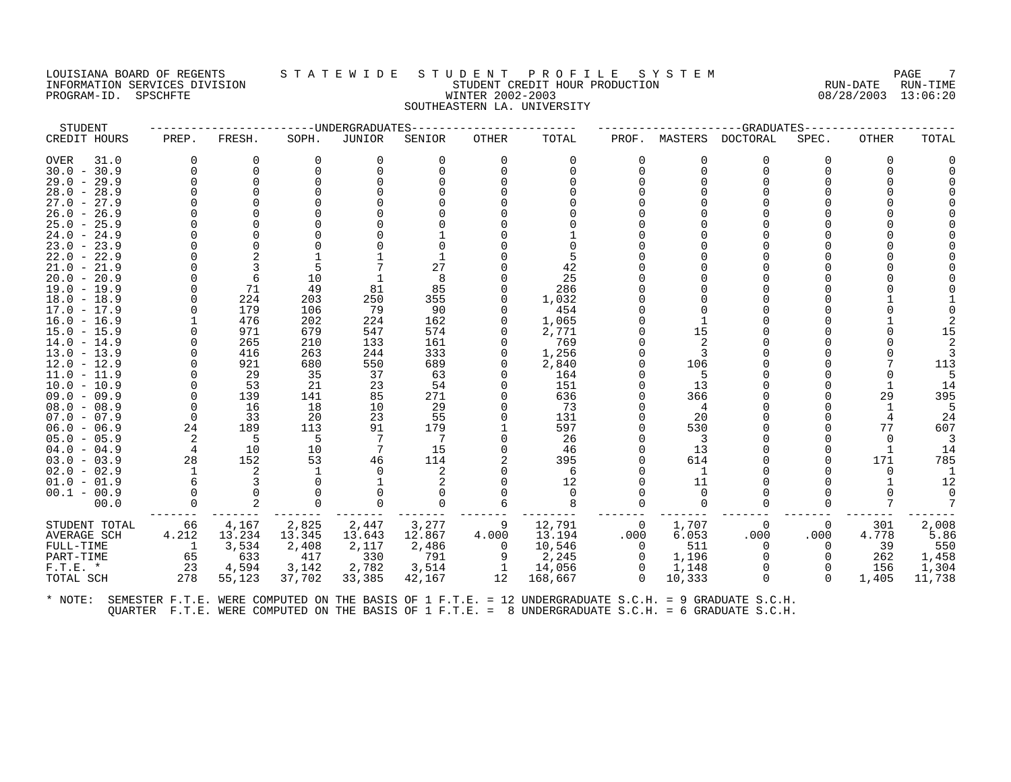# LOUISIANA BOARD OF REGENTS STATEWIDE STUDE STUDENT PROFILE SYSTEM PAGE 7<br>INFORMATION SERVICES DIVISION STATE WILLE STUDENT CREDIT HOUR PRODUCTION RUN-DATE RUN-TIME INFORMATION SERVICES DIVISION SUBSERVICES DIVISION SUBSERVICES SUBSERVICES ON STUDENT CREDIT HOUR PRODUCTION TO<br>PROGRAM-ID. SPSCHFTE SUBSERVICES DIVISION SUBSERVICES ON SUBSERVICES ON THE RUN-DATE RUN-TIME SUBSERVICES DIVI PROGRAM-ID. SPSCHFTE WINTER 2002-2003 SOUTHEASTERN LA. UNIVERSITY

| <b>STUDENT</b>                 |          |            |            | -------UNDERGRADUATES |            |          |                                                                                                      |              |          | ---------GRADUATES---- |          |              |        |
|--------------------------------|----------|------------|------------|-----------------------|------------|----------|------------------------------------------------------------------------------------------------------|--------------|----------|------------------------|----------|--------------|--------|
| CREDIT HOURS                   | PREP.    | FRESH.     | SOPH.      | JUNIOR                | SENIOR     | OTHER    | TOTAL                                                                                                | PROF.        | MASTERS  | DOCTORAL               | SPEC.    | <b>OTHER</b> | TOTAL  |
| <b>OVER</b><br>31.0            | $\Omega$ | 0          | $\Omega$   | 0                     | $\Omega$   | $\Omega$ | $\Omega$                                                                                             | $\Omega$     | $\Omega$ | 0                      | 0        | $\Omega$     |        |
| $30.0 - 30.9$                  |          | 0          |            | $\Omega$              | ∩          | $\Omega$ |                                                                                                      | $\Omega$     | $\Omega$ | 0                      |          | $\Omega$     |        |
| $29.0 -$<br>29.9               |          | $\Omega$   |            | $\Omega$              |            |          |                                                                                                      | $\Omega$     | $\Omega$ | $\Omega$               |          |              |        |
| $28.0 -$<br>28.9               |          |            |            |                       |            |          |                                                                                                      |              |          | $\Omega$               |          |              |        |
| $27.0 - 27.9$                  |          |            |            |                       |            |          |                                                                                                      |              |          |                        |          |              |        |
| $26.0 -$<br>26.9               |          |            |            |                       |            |          |                                                                                                      |              |          | $\Omega$               |          |              |        |
| $25.0 -$<br>25.9               |          |            |            |                       |            |          |                                                                                                      |              |          | $\Omega$               |          |              |        |
| $24.0 - 24.9$                  |          |            |            |                       |            |          |                                                                                                      |              |          |                        |          |              |        |
| $23.0 -$<br>23.9               |          |            |            |                       |            |          |                                                                                                      |              |          | $\Omega$               |          |              |        |
| $22.0 -$<br>22.9               |          |            |            |                       |            |          |                                                                                                      |              |          | $\Omega$               |          |              |        |
| $21.0 - 21.9$                  |          |            |            |                       | 27         |          | 42                                                                                                   |              |          | $\Omega$               |          |              |        |
| $20.0 -$<br>20.9               |          | 6          | 10         |                       | 8          |          | 25                                                                                                   |              |          | $\Omega$               |          |              |        |
| $19.0 - 19.9$                  |          | 71         | 49         | 81                    | 85         |          | 286                                                                                                  |              |          | $\Omega$               |          |              |        |
| $18.0 - 18.9$                  |          | 224        | 203        | 250                   | 355        |          | 1,032                                                                                                |              |          | $\Omega$               |          |              |        |
| $17.0 -$<br>17.9               |          | 179        | 106        | 79                    | 90         | $\Omega$ | 454                                                                                                  |              | $\Omega$ | $\Omega$               |          |              |        |
| $16.0 - 16.9$                  |          | 476        | 202        | 224                   | 162        |          | 1,065                                                                                                |              |          | $\Omega$<br>$\Omega$   |          |              |        |
| $15.0 - 15.9$                  |          | 971<br>265 | 679<br>210 | 547<br>133            | 574<br>161 |          | 2,771<br>769                                                                                         | U            | 15<br>2  | $\Omega$               |          |              | 15     |
| $14.0 - 14.9$<br>$13.0 - 13.9$ |          | 416        |            |                       | 333        | $\Omega$ | 1,256                                                                                                | $\Omega$     |          | $\Omega$               |          |              |        |
| $12.0 - 12.9$                  |          | 921        | 263<br>680 | 244<br>550            | 689        |          | 2,840                                                                                                | U            | 3<br>106 | $\Omega$               |          |              | 113    |
| $11.0 - 11.9$                  |          | 29         | 35         | 37                    | 63         | $\Omega$ | 164                                                                                                  | U            | 5        | $\Omega$               |          |              |        |
| $10.0 - 10.9$                  |          | 53         | 21         | 23                    | 54         |          | 151                                                                                                  | $\Omega$     | 13       | $\Omega$               |          |              | 14     |
| $09.0 - 09.9$                  |          | 139        | 141        | 85                    | 271        |          | 636                                                                                                  | U            | 366      | $\Omega$               |          | 29           | 395    |
| $08.0 - 08.9$                  | 0        | 16         | 18         | 10                    | 29         | $\Omega$ | 73                                                                                                   | U            | 4        | $\Omega$               |          |              | 5      |
| $07.0 - 07.9$                  | $\Omega$ | 33         | 20         | 23                    | 55         |          | 131                                                                                                  | $\Omega$     | 20       | $\Omega$               |          |              | 24     |
| $06.0 - 06.9$                  | 24       | 189        | 113        | 91                    | 179        |          | 597                                                                                                  | $\Omega$     | 530      | $\Omega$               |          | 77           | 607    |
| $05.0 - 05.9$                  | 2        | 5          | 5          | 7                     | 7          | $\Omega$ | 26                                                                                                   | $\Omega$     | 3        | $\Omega$               |          | $\Omega$     | 3      |
| $04.0 - 04.9$                  | 4        | 10         | 10         | 7                     | 15         |          | 46                                                                                                   | <sup>n</sup> | 13       | $\Omega$               |          |              | 14     |
| $03.0 - 03.9$                  | 28       | 152        | 53         | 46                    | 114        |          | 395                                                                                                  | $\Omega$     | 614      | $\Omega$               |          | 171          | 785    |
| $02.0 - 02.9$                  |          | 2          |            | $\Omega$              | 2          | $\Omega$ | 6                                                                                                    | $\Omega$     | 1        | $\Omega$               |          | 0            | 1      |
| $01.0 - 01.9$                  |          | 3          |            |                       | 2          |          | 12                                                                                                   | $\Omega$     | 11       | $\Omega$               |          |              | 12     |
| $00.1 - 00.9$                  |          |            |            | $\Omega$              |            |          |                                                                                                      |              | $\Omega$ | $\Omega$               |          |              |        |
| 00.0                           |          |            | $\Omega$   | $\Omega$              | $\Omega$   |          | 8                                                                                                    | $\Omega$     | $\Omega$ | $\Omega$               |          |              | 7      |
| STUDENT TOTAL                  | 66       | 4,167      | 2,825      | 2,447                 | 3,277      | 9        | 12,791                                                                                               | 0            | 1,707    | 0                      | $\Omega$ | 301          | 2,008  |
| <b>AVERAGE SCH</b>             | 4.212    | 13.234     | 13.345     | 13.643                | 12.867     | 4.000    | 13.194                                                                                               | .000         | 6.053    | .000                   | .000     | 4.778        | 5.86   |
| FULL-TIME                      | 1        | 3,534      | 2,408      | 2,117                 | 2,486      | $\Omega$ | 10,546                                                                                               | $\Omega$     | 511      | $\Omega$               | $\Omega$ | 39           | 550    |
| PART-TIME                      | 65       | 633        | 417        | 330                   | 791        |          | 2,245                                                                                                | $\Omega$     | 1,196    | $\Omega$               | $\Omega$ | 262          | 1,458  |
| $F.T.E.$ *                     | 23       | 4,594      | 3,142      | 2,782                 | 3,514      | -1       | 14,056                                                                                               | 0            | 1,148    | 0                      | $\Omega$ | 156          | 1,304  |
| TOTAL SCH                      | 278      | 55,123     | 37,702     | 33,385                | 42,167     | 12       | 168,667                                                                                              | $\Omega$     | 10,333   | $\Omega$               | $\Omega$ | 1,405        | 11,738 |
| * NOTE:                        |          |            |            |                       |            |          | SEMESTER F.T.E. WERE COMPUTED ON THE BASIS OF 1 F.T.E. = 12 UNDERGRADUATE S.C.H. = 9 GRADUATE S.C.H. |              |          |                        |          |              |        |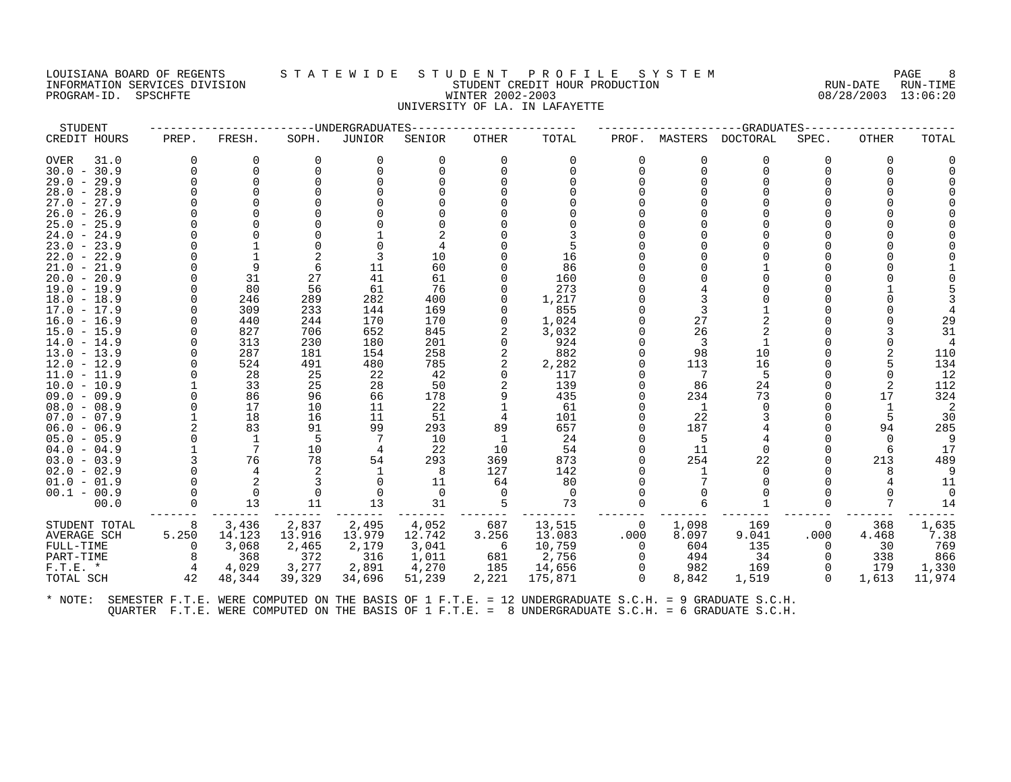### LOUISIANA BOARD OF REGENTS STATEWIDE STUDENT PROFILE SYSTEM NAGE 8 INFORMATION SERVICES DIVISION SUNGLERICAL STUDENT CREDIT HOUR PRODUCTION SUNGLERIC RUN-DATE RUN-TIME RUN-TIME<br>PROGRAM-ID. SPSCHFTE SUN-TIME SUNGLERICAL SERVICE RUN-DATE RUN-TIME SUNGLERICAL SUNGLERICAL SUNGLERICAL SUNGLE PROGRAM-ID. SPSCHFTE WINTER 2002-2003 UNIVERSITY OF LA. IN LAFAYETTE

| STUDENT       |              |             |          | ----UNDERGRADUATES |          |          |          |          |          | -GRADUATES   |          |       |          |
|---------------|--------------|-------------|----------|--------------------|----------|----------|----------|----------|----------|--------------|----------|-------|----------|
| CREDIT HOURS  | PREP.        | FRESH.      | SOPH.    | JUNIOR             | SENIOR   | OTHER    | TOTAL    | PROF.    | MASTERS  | DOCTORAL     | SPEC.    | OTHER | TOTAL    |
| 31.0<br>OVER  | 0            | 0           | 0        | 0                  |          | 0        | 0        |          | 0        | 0            | O        | 0     |          |
| $30.0 - 30.9$ | <sup>n</sup> | $\Omega$    | $\Omega$ | $\Omega$           |          | $\Omega$ | $\Omega$ | 0        | $\Omega$ | $\Omega$     |          | 0     |          |
| $29.0 - 29.9$ |              | ∩           |          |                    |          |          |          |          |          |              |          |       |          |
| $28.0 - 28.9$ |              | O           |          |                    |          |          |          |          |          |              |          |       |          |
| $27.0 - 27.9$ |              |             |          |                    |          |          |          |          |          |              |          |       |          |
| $26.0 - 26.9$ |              |             |          |                    |          |          |          |          |          |              |          |       |          |
| $25.0 - 25.9$ |              |             |          |                    |          |          |          |          |          |              |          |       |          |
| $24.0 - 24.9$ |              |             |          |                    |          |          |          |          |          |              |          |       |          |
| $23.0 - 23.9$ |              |             |          |                    |          |          |          |          |          |              |          |       |          |
| $22.0 - 22.9$ |              |             |          |                    | 10       |          | 16       |          |          |              |          |       |          |
| $21.0 - 21.9$ |              | 9           | 6        | 11                 | 60       |          | 86       |          |          |              |          |       |          |
| $20.0 - 20.9$ |              | 31          | 27       | 41                 | 61       |          | 160      |          |          |              |          |       |          |
| $19.0 - 19.9$ |              | 80          | 56       | 61                 | 76       |          | 273      |          |          |              |          |       |          |
| $18.0 - 18.9$ |              | 246         | 289      | 282                | 400      |          | 1,217    |          |          |              |          |       |          |
| $17.0 - 17.9$ |              | 309         | 233      | 144                | 169      |          | 855      |          |          |              |          |       |          |
| $16.0 - 16.9$ |              | 440         | 244      | 170                | 170      |          | 1,024    |          | 27       |              |          |       | 29       |
| 15.0 - 15.9   |              | 827         | 706      | 652                | 845      |          | 3,032    |          | 26       |              |          |       | 31       |
| $14.0 - 14.9$ |              | 313         | 230      | 180                | 201      |          | 924      |          | 3        | 1            |          |       |          |
| $13.0 - 13.9$ |              | 287         | 181      | 154                | 258      |          | 882      |          | 98       | 10           |          |       | 110      |
| $12.0 - 12.9$ |              | 524         | 491      | 480                | 785      |          | 2,282    |          | 113      | 16           |          |       | 134      |
| 11.0 - 11.9   |              | 28          | 25       | 22                 | 42       |          | 117      |          | 7        | 5            |          |       | 12       |
| $10.0 - 10.9$ |              | 33          | 25       | 28                 | 50       |          | 139      |          | 86       | 24           |          |       | 112      |
| $09.0 - 09.9$ |              | 86          | 96       | 66                 | 178      | 9        | 435      |          | 234      | 73           |          | 17    | 324      |
| $08.0 - 08.9$ |              | 17          | 10       | 11                 | 22       |          | 61       |          | 1        | <sup>n</sup> |          |       | 2        |
| $07.0 - 07.9$ |              | 18          | 16       | 11                 | 51       | 4        | 101      |          | 22       |              |          | 5     | 30       |
| $06.0 - 06.9$ |              | 83          | 91       | 99                 | 293      | 89       | 657      |          | 187      |              |          | 94    | 285      |
| $05.0 - 05.9$ |              | 1           | 5        |                    | 10       | 1        | 24       |          | .5       |              |          |       | 9        |
| $04.0 - 04.9$ |              | 7           | 10       | 4                  | 22       | 10       | 54       |          | 11       | $\Omega$     |          | 6     | 17       |
| $03.0 - 03.9$ |              | 76          | 78       | 54                 | 293      | 369      | 873      |          | 254      | 22           |          | 213   | 489      |
| $02.0 - 02.9$ |              | 4           |          | 1                  | 8        | 127      | 142      |          |          |              |          |       | 9        |
| $01.0 - 01.9$ |              | 2           |          | $\Omega$           | 11       | 64       | 80       |          |          |              |          |       | 11       |
| $00.1 - 00.9$ |              | $\mathbf 0$ | $\Omega$ | 0                  | $\Omega$ | $\Omega$ | 0        |          |          |              |          |       | $\Omega$ |
| 00.0          |              | 13          | 11       | 13                 | 31       | 5        | 73       |          |          |              |          |       | 14       |
| STUDENT TOTAL | 8            | 3,436       | 2,837    | 2,495              | 4,052    | 687      | 13,515   | $\Omega$ | 1,098    | 169          | $\Omega$ | 368   | 1,635    |
| AVERAGE SCH   | 5.250        | 14.123      | 13.916   | 13.979             | 12.742   | 3.256    | 13.083   | .000     | 8.097    | 9.041        | .000     | 4.468 | 7.38     |
| FULL-TIME     | <sup>0</sup> | 3,068       | 2,465    | 2,179              | 3,041    | -6       | 10,759   | $\Omega$ | 604      | 135          | $\Omega$ | 30    | 769      |
| PART-TIME     | 8            | 368         | 372      | 316                | 1,011    | 681      | 2,756    | 0        | 494      | 34           |          | 338   | 866      |
| $F.T.E. *$    | 4            | 4,029       | 3,277    | 2,891              | 4,270    | 185      | 14,656   | 0        | 982      | 169          |          | 179   | 1,330    |
| TOTAL SCH     | 42           | 48,344      | 39,329   | 34,696             | 51,239   | 2,221    | 175,871  | $\Omega$ | 8,842    | 1,519        | $\Omega$ | 1,613 | 11,974   |
|               |              |             |          |                    |          |          |          |          |          |              |          |       |          |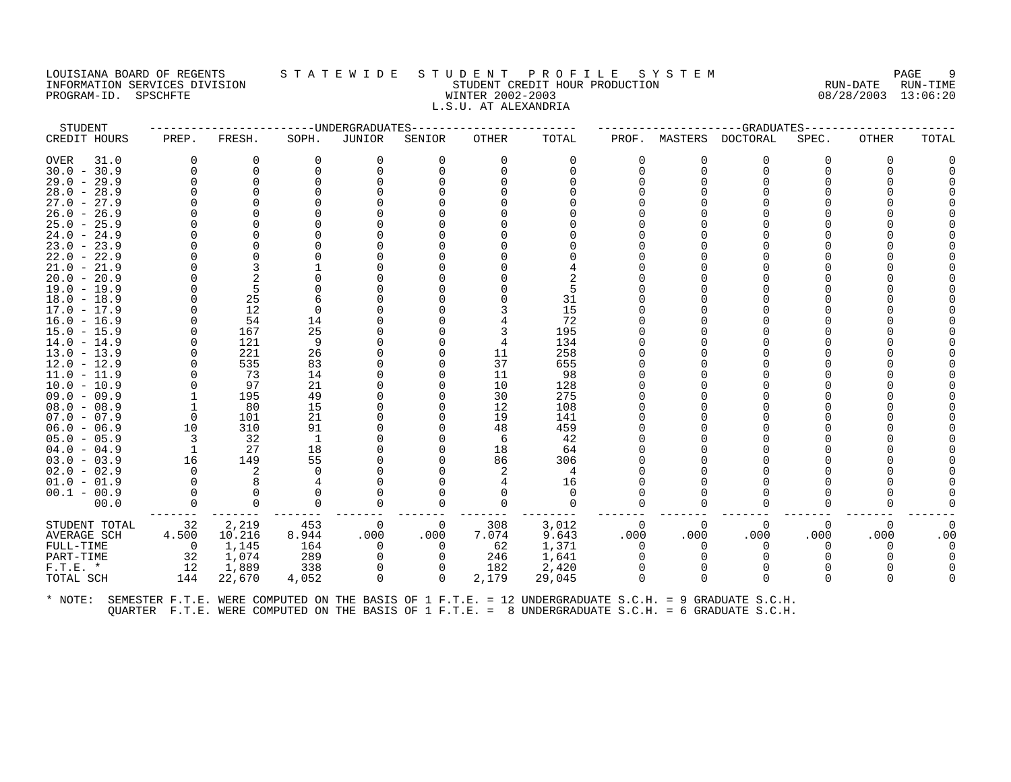### LOUISIANA BOARD OF REGENTS STATEWIDE STUDENT PROFILE SYSTEM NAGE 9 INFORMATION SERVICES DIVISION STATE STATE STUDENT CREDIT HOUR PRODUCTION STATE RUN-DATE RUN-TIME<br>PROGRAM-ID. SPSCHFTE STATE MINTER 2002-2003 WINTER 2002-2003 08/28/2003 13:06:20 PROGRAM-ID. SPSCHFTE WINTER 2002-2003 L.S.U. AT ALEXANDRIA

| STUDENT       |                |          |          | -------UNDERGRADUATES |                |          |          |       |              | ------------GRADUATES---- |          |          |          |
|---------------|----------------|----------|----------|-----------------------|----------------|----------|----------|-------|--------------|---------------------------|----------|----------|----------|
| CREDIT HOURS  | PREP.          | FRESH.   | SOPH.    | JUNIOR                | SENIOR         | OTHER    | TOTAL    | PROF. |              | MASTERS DOCTORAL          | SPEC.    | OTHER    | TOTAL    |
| 31.0<br>OVER  | $\Omega$       | 0        | $\Omega$ | 0                     | 0              | 0        | 0        |       | 0            | 0                         | $\Omega$ | $\Omega$ |          |
| $30.0 - 30.9$ |                | 0        | $\Omega$ | $\Omega$              | $\Omega$       | $\Omega$ | $\Omega$ |       | $\Omega$     | $\Omega$                  | ∩        | $\Omega$ |          |
| $29.0 - 29.9$ |                | $\Omega$ |          |                       |                |          |          |       |              | ∩                         |          |          |          |
| $28.0 - 28.9$ |                |          |          |                       |                |          |          |       |              |                           |          |          |          |
| $27.0 - 27.9$ |                |          |          |                       |                |          |          |       |              |                           |          |          |          |
| $26.0 - 26.9$ |                |          |          |                       |                |          |          |       |              |                           |          |          |          |
| $25.0 - 25.9$ |                |          |          |                       |                |          |          |       |              |                           |          |          |          |
| $24.0 - 24.9$ |                |          |          |                       |                |          |          |       |              |                           |          |          |          |
| $23.0 - 23.9$ |                |          |          |                       |                |          |          |       |              |                           |          |          |          |
| $22.0 - 22.9$ |                | $\Omega$ |          |                       |                |          |          |       |              |                           |          |          |          |
| $21.0 - 21.9$ |                | 3        |          |                       |                |          |          |       |              |                           |          |          |          |
| $20.0 - 20.9$ |                |          |          |                       |                |          |          |       |              |                           |          |          |          |
| $19.0 - 19.9$ |                | 5        |          |                       |                |          | 5        |       |              |                           |          |          |          |
| $18.0 - 18.9$ |                | 25       |          |                       |                |          | 31       |       |              |                           |          |          |          |
| $17.0 - 17.9$ |                | 12       | $\Omega$ |                       |                |          | 15       |       |              |                           |          |          |          |
| $16.0 - 16.9$ |                | 54       | 14       |                       |                |          | 72       |       |              |                           |          |          |          |
| $15.0 - 15.9$ |                | 167      | 25       |                       |                | 3        | 195      |       |              |                           |          |          |          |
| $14.0 - 14.9$ |                | 121      | 9        |                       |                | 4        | 134      |       |              |                           |          |          |          |
| $13.0 - 13.9$ |                | 221      | 26       |                       |                | 11       | 258      |       |              |                           |          |          |          |
| $12.0 - 12.9$ |                | 535      | 83       |                       |                | 37       | 655      |       |              |                           |          |          |          |
| $11.0 - 11.9$ |                | 73       | 14       |                       |                | 11       | 98       |       |              |                           |          |          |          |
| $10.0 - 10.9$ |                | 97       | 21       |                       |                | 10       | 128      |       |              |                           |          |          |          |
| $09.0 - 09.9$ |                | 195      | 49       |                       |                | 30       | 275      |       |              |                           |          |          |          |
| $08.0 - 08.9$ |                | 80       | 15       |                       |                | 12       | 108      |       |              |                           |          |          |          |
| $07.0 - 07.9$ | 0              | 101      | 21       |                       |                | 19       | 141      |       |              |                           |          |          |          |
| $06.0 - 06.9$ | 10             | 310      | 91       |                       |                | 48       | 459      |       |              |                           |          |          |          |
| $05.0 - 05.9$ | -3             | 32       | -1       |                       |                | 6        | 42       |       |              |                           |          |          |          |
| $04.0 - 04.9$ | $\overline{1}$ | 27       | 18       |                       |                | 18       | 64       |       |              |                           |          |          |          |
| $03.0 - 03.9$ | 16             | 149      | 55       |                       |                | 86       | 306      |       |              |                           |          |          |          |
| $02.0 - 02.9$ | $\Omega$       | 2        | $\Omega$ |                       |                | 2        | 4        |       |              |                           |          |          |          |
| $01.0 - 01.9$ |                | 8        |          |                       |                |          | 16       |       |              |                           |          |          |          |
| $00.1 - 00.9$ |                | $\Omega$ |          |                       |                |          | $\Omega$ |       |              |                           |          |          |          |
| 00.0          |                | $\Omega$ | $\Omega$ | $\Omega$              | $\Omega$       | $\Omega$ | $\Omega$ |       | ∩            | $\Omega$                  | $\Omega$ | $\Omega$ |          |
| STUDENT TOTAL | 32             | 2,219    | 453      | 0                     | $\overline{0}$ | 308      | 3,012    |       | $\Omega$     | $\Omega$                  | 0        | 0        | $\Omega$ |
| AVERAGE SCH   | 4.500          | 10.216   | 8.944    | .000                  | .000           | 7.074    | 9.643    | .000  | .000         | .000                      | .000     | .000     | .00      |
| FULL-TIME     | $\Omega$       | 1,145    | 164      | 0                     | $\Omega$       | 62       | 1,371    |       | <sup>0</sup> | 0                         |          |          |          |
| PART-TIME     | 32             | 1,074    | 289      | $\mathbf 0$           | $\Omega$       | 246      | 1,641    |       |              | $\Omega$                  |          |          |          |
| $F.T.E. *$    | 12             | 1,889    | 338      | 0                     |                | 182      | 2,420    |       |              |                           |          |          |          |
| TOTAL SCH     | 144            | 22,670   | 4,052    | 0                     | $\Omega$       | 2,179    | 29,045   |       | 0            | $\Omega$                  | $\Omega$ | $\Omega$ |          |
|               |                |          |          |                       |                |          |          |       |              |                           |          |          |          |
|               |                |          |          |                       |                |          |          |       |              |                           |          |          |          |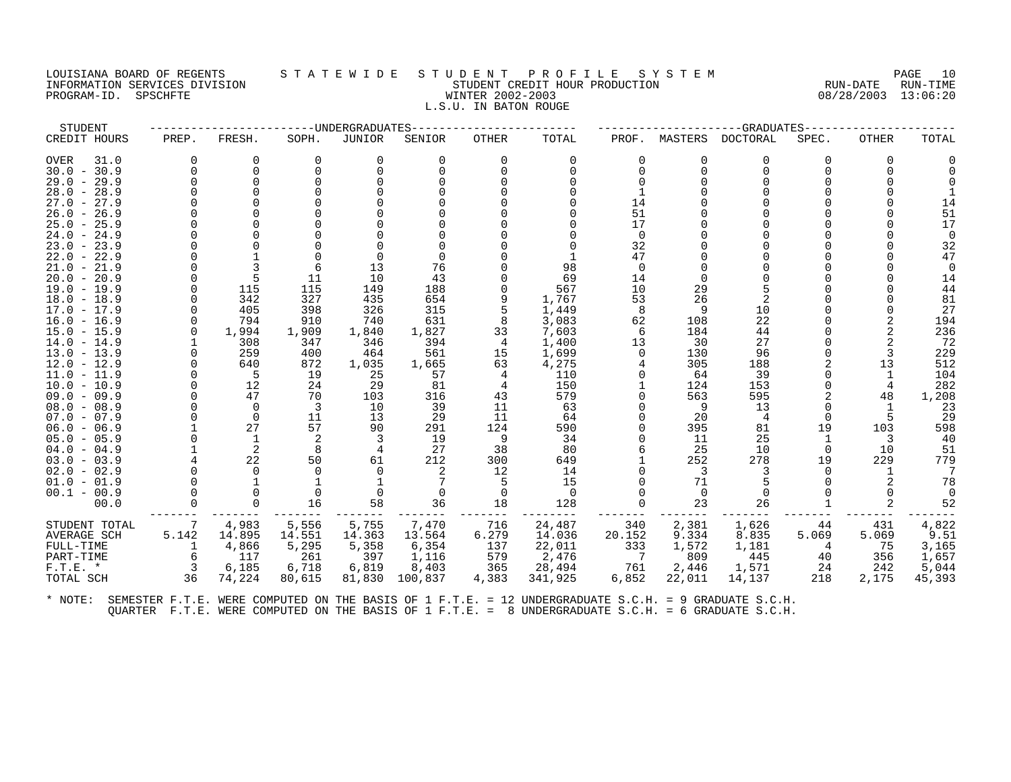#### LOUISIANA BOARD OF REGENTS S T A T E W I D E S T U D E N T P R O F I L E S Y S T E M PAGE 10 INFORMATION SERVICES DIVISION STUDENT CREDIT HOUR PRODUCTION RUN-DATE RUN-TIME PROGRAM-ID. SPSCHFTE WINTER 2002-2003 08/28/2003 13:06:20 L.S.U. IN BATON ROUGE

| <b>DOCTORAL</b><br>CREDIT HOURS<br>FRESH.<br>SOPH.<br><b>JUNIOR</b><br>SENIOR<br><b>OTHER</b><br>TOTAL<br>PROF.<br>MASTERS<br>SPEC.<br>PREP.<br><b>OVER</b><br>31.0<br>$\Omega$<br>$\Omega$<br>U<br>$\Omega$<br>$\Omega$<br>$\Omega$<br>$\Omega$<br>U<br>$\Omega$<br>U<br>U<br>$30.0 - 30.9$<br>$\Omega$<br>$\Omega$<br>$\Omega$<br>$29.0 - 29.9$<br>$\Omega$<br>$28.0 - 28.9$<br>$27.0 - 27.9$<br>14<br>51<br>$26.0 -$<br>26.9<br>$25.0 - 25.9$<br>17<br>$24.0 - 24.9$<br>$\Omega$<br>32<br>$23.0 - 23.9$<br>47<br>$22.0 - 22.9$<br>76<br>13<br>98<br>$21.0 - 21.9$<br>$\Omega$<br>43<br>$20.0 - 20.9$<br>11<br>10<br>69<br>14<br>29<br>115<br>115<br>188<br>567<br>$19.0 - 19.9$<br>149<br>10<br>342<br>327<br>654<br>1,767<br>26<br>2<br>$18.0 - 18.9$<br>435<br>9<br>53<br>$17.0 - 17.9$<br>405<br>398<br>326<br>315<br>1,449<br>8<br>9<br>10<br>22<br>794<br>910<br>631<br>8<br>3,083<br>62<br>108<br>$16.0 - 16.9$<br>740<br>$15.0 - 15.9$<br>1,994<br>1,909<br>1,827<br>33<br>7,603<br>184<br>44<br>1,840<br>6<br>27<br>308<br>13<br>30<br>$14.0 - 14.9$<br>347<br>346<br>394<br>4<br>1,400<br>259<br>561<br>15<br>$13.0 - 13.9$<br>400<br>464<br>1,699<br>130<br>96<br>∩<br>872<br>1,665<br>63<br>4,275<br>$12.0 - 12.9$<br>640<br>1,035<br>305<br>188<br>19<br>39<br>$11.0 - 11.9$<br>25<br>57<br>110<br>64<br>5<br>$10.0 - 10.9$<br>12<br>29<br>124<br>153<br>24<br>81<br>150<br>4<br>$09.0 - 09.9$<br>47<br>70<br>103<br>316<br>43<br>579<br>563<br>595<br>$08.0 - 08.9$<br>$\Omega$<br>3<br>10<br>39<br>11<br>9<br>13<br>63<br>11<br>$07.0 - 07.9$<br>$\Omega$<br>13<br>29<br>11<br>20<br>64<br>$\overline{4}$<br>27<br>57<br>395<br>19<br>$06.0 - 06.9$<br>90<br>291<br>124<br>590<br>81<br>25<br>2<br>19<br>9<br>34<br>$05.0 - 05.9$<br>1<br>11<br>2<br>38<br>8<br>27<br>80<br>25<br>10<br>$04.0 - 04.9$<br>4<br>$\Omega$<br>22<br>212<br>278<br>50<br>61<br>300<br>252<br>19<br>$03.0 - 03.9$<br>649<br>$02.0 - 02.9$<br>12<br>3<br>2<br>14<br>15<br>71<br>$01.0 - 01.9$<br>$00.1 - 00.9$<br>$\Omega$<br>$\Omega$<br>$\Omega$<br>$\Omega$<br>00.0<br>16<br>58<br>36<br>18<br>128<br>23<br>26<br>4,983<br>5,755<br>7,470<br>STUDENT TOTAL<br>5,556<br>716<br>24,487<br>340<br>2,381<br>1,626<br>7<br>44<br>5.142<br>14.895<br>14.036<br>AVERAGE SCH<br>14.551<br>14.363<br>13.564<br>6.279<br>20.152<br>9.334<br>8.835<br>5.069 | STUDENT   |       | ---UNDERGRADUATES |       |     |        |     |       | -GRADUATES |                                           |                                                                                                                                                         |
|-----------------------------------------------------------------------------------------------------------------------------------------------------------------------------------------------------------------------------------------------------------------------------------------------------------------------------------------------------------------------------------------------------------------------------------------------------------------------------------------------------------------------------------------------------------------------------------------------------------------------------------------------------------------------------------------------------------------------------------------------------------------------------------------------------------------------------------------------------------------------------------------------------------------------------------------------------------------------------------------------------------------------------------------------------------------------------------------------------------------------------------------------------------------------------------------------------------------------------------------------------------------------------------------------------------------------------------------------------------------------------------------------------------------------------------------------------------------------------------------------------------------------------------------------------------------------------------------------------------------------------------------------------------------------------------------------------------------------------------------------------------------------------------------------------------------------------------------------------------------------------------------------------------------------------------------------------------------------------------------------------------------------------------------------------------------------------------------------------------------------------------------------------------------------------------------------------------------------------------------------------------------------------------------------------------------------------------------------|-----------|-------|-------------------|-------|-----|--------|-----|-------|------------|-------------------------------------------|---------------------------------------------------------------------------------------------------------------------------------------------------------|
|                                                                                                                                                                                                                                                                                                                                                                                                                                                                                                                                                                                                                                                                                                                                                                                                                                                                                                                                                                                                                                                                                                                                                                                                                                                                                                                                                                                                                                                                                                                                                                                                                                                                                                                                                                                                                                                                                                                                                                                                                                                                                                                                                                                                                                                                                                                                               |           |       |                   |       |     |        |     |       |            | <b>OTHER</b>                              | TOTAL                                                                                                                                                   |
|                                                                                                                                                                                                                                                                                                                                                                                                                                                                                                                                                                                                                                                                                                                                                                                                                                                                                                                                                                                                                                                                                                                                                                                                                                                                                                                                                                                                                                                                                                                                                                                                                                                                                                                                                                                                                                                                                                                                                                                                                                                                                                                                                                                                                                                                                                                                               |           |       |                   |       |     |        |     |       |            | 0<br>13<br>48<br>103<br>3<br>10<br>229    | 51<br>17<br>32<br>47<br>14<br>44<br>81<br>27<br>194<br>236<br>72<br>229<br>512<br>104<br>282<br>1,208<br>23<br>29<br>598<br>40<br>51<br>779<br>78<br>52 |
| 5,295<br>4<br>117<br>397<br>579<br>2,476<br>809<br>445<br>261<br>1,116<br>7<br>40<br>PART-TIME<br>6,185<br>6,718<br>6,819<br>365<br>761<br>1,571<br>$F.T.E. *$<br>8,403<br>28,494<br>2,446<br>24<br>36<br>74,224<br>80,615<br>81,830<br>100,837<br>4,383<br>341,925<br>6,852<br>22,011<br>14,137<br>218<br>TOTAL SCH                                                                                                                                                                                                                                                                                                                                                                                                                                                                                                                                                                                                                                                                                                                                                                                                                                                                                                                                                                                                                                                                                                                                                                                                                                                                                                                                                                                                                                                                                                                                                                                                                                                                                                                                                                                                                                                                                                                                                                                                                          | FULL-TIME | 4,866 | 5,358             | 6,354 | 137 | 22,011 | 333 | 1,572 | 1,181      | 431<br>5.069<br>75<br>356<br>242<br>2,175 | 4,822<br>9.51<br>3,165<br>1,657<br>5,044<br>45,393                                                                                                      |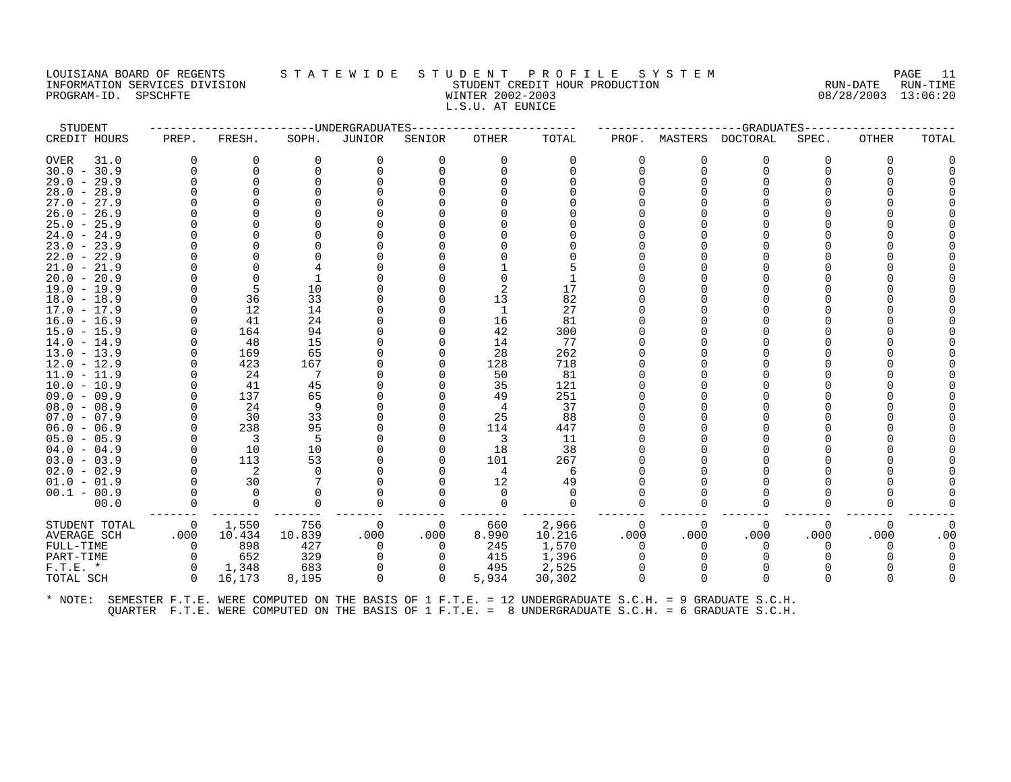#### LOUISIANA BOARD OF REGENTS S T A T E W I D E S T U D E N T P R O F I L E S Y S T E M PAGE 11 INFORMATION SERVICES DIVISION STUDENT CREDIT HOUR PRODUCTION RUN-DATE RUN-TIME PROGRAM-ID. SPSCHFTE WINTER 2002-2003 08/28/2003 13:06:20 L.S.U. AT EUNICE

| STUDENT                                                                                                      |          |                            |          | ------------------------UNDERGRADUATES |              | ----------------------- |          |              |              | -------------------GRADUATES---------- |          |              |       |
|--------------------------------------------------------------------------------------------------------------|----------|----------------------------|----------|----------------------------------------|--------------|-------------------------|----------|--------------|--------------|----------------------------------------|----------|--------------|-------|
| CREDIT HOURS                                                                                                 | PREP.    | FRESH.                     | SOPH.    | JUNIOR                                 | SENIOR       | OTHER                   | TOTAL    | PROF.        | MASTERS      | DOCTORAL                               | SPEC.    | <b>OTHER</b> | TOTAL |
| OVER<br>31.0                                                                                                 | 0        | 0                          | 0        | 0                                      | 0            | 0                       | 0        | 0            | 0            | 0                                      | $\Omega$ |              |       |
| $30.0 - 30.9$                                                                                                | $\Omega$ | 0                          |          | 0                                      |              |                         | 0        | 0            | $\Omega$     | 0                                      |          |              |       |
| $29.0 - 29.9$                                                                                                |          |                            |          |                                        |              |                         |          | <sup>n</sup> | U            |                                        |          |              |       |
| $28.0 - 28.9$                                                                                                |          |                            |          |                                        |              |                         |          |              |              |                                        |          |              |       |
| $27.0 - 27.9$                                                                                                |          |                            |          |                                        |              |                         |          |              |              |                                        |          |              |       |
| $26.0 - 26.9$                                                                                                |          |                            |          |                                        |              |                         |          |              |              |                                        |          |              |       |
| $25.0 - 25.9$                                                                                                |          |                            |          |                                        |              |                         |          |              |              |                                        |          |              |       |
| $24.0 - 24.9$                                                                                                |          |                            |          |                                        |              |                         |          |              |              |                                        |          |              |       |
| $23.0 - 23.9$                                                                                                |          |                            |          |                                        |              |                         |          |              |              |                                        |          |              |       |
| $22.0 - 22.9$                                                                                                |          |                            |          |                                        |              |                         |          |              |              |                                        |          |              |       |
| $21.0 - 21.9$                                                                                                |          |                            |          |                                        |              |                         |          |              |              |                                        |          |              |       |
| $20.0 - 20.9$                                                                                                |          | $\Omega$                   |          |                                        |              |                         |          |              |              |                                        |          |              |       |
| 19.0 - 19.9                                                                                                  |          | 5                          | 10       |                                        |              |                         | 17       |              |              |                                        |          |              |       |
| $18.0 - 18.9$                                                                                                |          | 36                         | 33       |                                        |              | 13                      | 82       |              |              |                                        |          |              |       |
| $17.0 - 17.9$                                                                                                | $\Omega$ | 12                         | 14       |                                        |              | 1                       | 27       |              |              |                                        |          |              |       |
| $16.0 - 16.9$                                                                                                |          | 41                         | 24       |                                        |              | 16                      | 81       |              |              |                                        |          |              |       |
| $15.0 - 15.9$                                                                                                | ∩        | 164                        | 94       |                                        |              | 42                      | 300      |              |              |                                        |          |              |       |
| $14.0 - 14.9$                                                                                                | $\Omega$ | 48                         | 15       |                                        |              | 14                      | 77       |              |              |                                        |          |              |       |
| $13.0 - 13.9$                                                                                                |          | 169                        | 65       |                                        |              | 28                      | 262      |              |              |                                        |          |              |       |
| $12.0 - 12.9$                                                                                                |          | 423                        | 167      |                                        |              | 128                     | 718      |              |              |                                        |          |              |       |
| $11.0 - 11.9$                                                                                                |          | 24                         | - 7      |                                        |              | 50                      | 81       |              |              |                                        |          |              |       |
| $10.0 - 10.9$                                                                                                | $\Omega$ | 41                         | 45       |                                        |              | 35                      | 121      |              |              |                                        |          |              |       |
| $09.0 - 09.9$                                                                                                | ∩        | 137                        | 65       |                                        |              | 49                      | 251      |              |              |                                        |          |              |       |
| $08.0 - 08.9$                                                                                                |          | 24                         | 9        |                                        |              | 4                       | 37       |              |              |                                        |          |              |       |
| $07.0 - 07.9$                                                                                                | $\Omega$ | 30                         | 33       |                                        |              | 25                      | 88       |              |              |                                        |          |              |       |
| $06.0 - 06.9$                                                                                                |          | 238                        | 95       |                                        |              | 114                     | 447      |              |              |                                        |          |              |       |
| $05.0 - 05.9$                                                                                                | $\Omega$ | $\overline{\phantom{a}}$   | 5        |                                        |              | -3                      | 11       |              |              |                                        |          |              |       |
| $04.0 - 04.9$                                                                                                | $\Omega$ | 10                         | 10       |                                        | O            | 18                      | 38       |              |              |                                        |          |              |       |
| $03.0 - 03.9$                                                                                                | $\Omega$ | 113                        | 53       |                                        |              | 101                     | 267      |              |              |                                        |          |              |       |
| $02.0 - 02.9$                                                                                                | $\Omega$ | $\overline{\phantom{0}}^2$ | $\Omega$ |                                        |              | 4                       | 6        |              |              |                                        |          |              |       |
| $01.0 - 01.9$                                                                                                |          | 30                         |          |                                        |              | 12                      | 49       |              |              |                                        |          |              |       |
| $00.1 - 00.9$                                                                                                |          | $\Omega$                   |          |                                        |              | $\Omega$                | $\Omega$ |              |              |                                        |          |              |       |
| 00.0                                                                                                         |          | 0                          | 0        |                                        | 0<br>.       | $\Omega$                | 0        |              | 0            | $\Omega$                               | 0        |              |       |
| STUDENT TOTAL                                                                                                | 0        | 1,550                      | 756      | 0                                      | 0            | 660                     | 2,966    | $\Omega$     | $\Omega$     | $\Omega$                               | 0        | $\Omega$     |       |
| AVERAGE SCH                                                                                                  | .000     | 10.434                     | 10.839   | .000                                   | .000         | 8.990                   | 10.216   | .000         | .000         | .000                                   | .000     | .000         | .00   |
| FULL-TIME                                                                                                    | $\Omega$ | 898                        | 427      | $\Omega$                               | $\Omega$     | 245                     | 1,570    | $\Omega$     | $\Omega$     | $\Omega$                               | 0        | $\Omega$     |       |
| PART-TIME                                                                                                    | 0        | 652                        | 329      |                                        | 0            | 415                     | 1,396    | $\Omega$     | <sup>0</sup> |                                        |          |              |       |
| $F.T.E.$ *                                                                                                   | 0        | 1,348                      | 683      | $\Omega$                               | $\mathbf{0}$ | 495                     | 2,525    | $\Omega$     | $\Omega$     | $\Omega$                               |          |              |       |
| TOTAL SCH                                                                                                    | $\Omega$ | 16,173                     | 8,195    | $\Omega$                               | 0            | 5,934                   | 30,302   | $\Omega$     | $\Omega$     | $\Omega$                               | 0        |              |       |
| * NOTE: SEMESTER F.T.E. WERE COMPUTED ON THE BASIS OF 1 F.T.E. = 12 UNDERGRADUATE S.C.H. = 9 GRADUATE S.C.H. |          |                            |          |                                        |              |                         |          |              |              |                                        |          |              |       |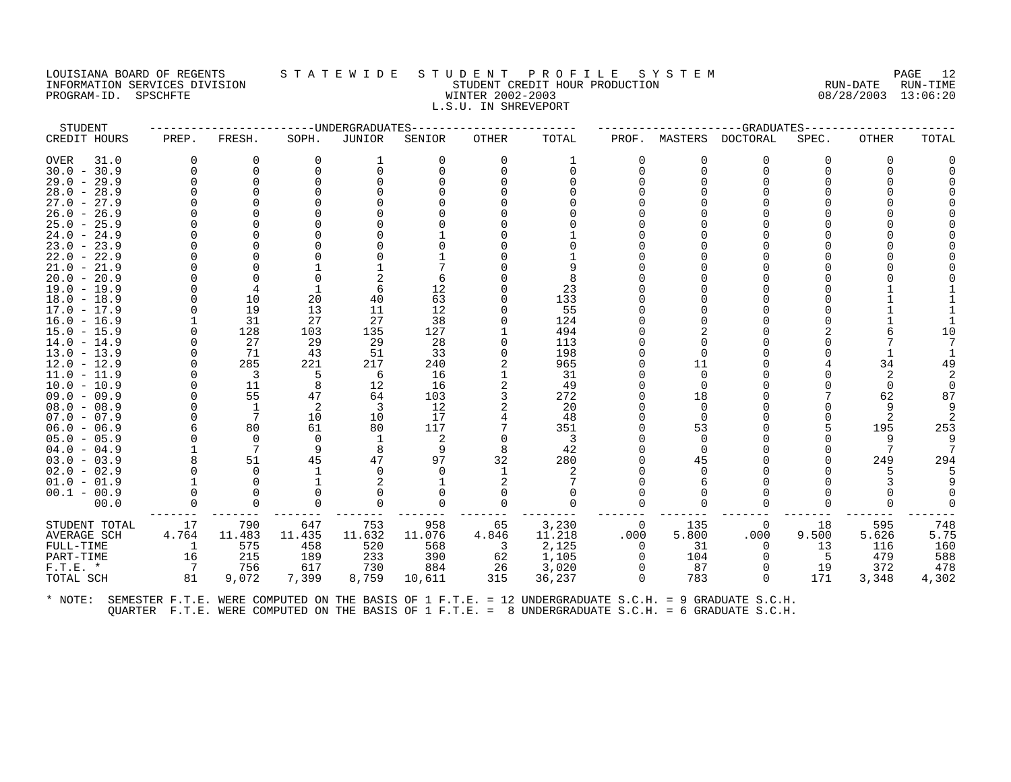## LOUISIANA BOARD OF REGENTS STATEWIDE STUDENT PROFILE SYSTEM PAGE 12<br>INFORMATION SERVICES DIVISION STATEWIDE STUDENT CREDIT HOUR PRODUCTION RUN-DATE RUN-TIME INFORMATION SERVICES DIVISION STORMATION STUDENT CREDIT HOUR PRODUCTION SUM-DATE RUN-DATE RUN-TIME<br>PROGRAM-ID. SPSCHFTE SUM-TION STORMATION MINTER 2002-2003 RUN-DATE RUN-TIME PROGRAM-ID. SPSCHFTE WINTER 2002-2003 L.S.U. IN SHREVEPORT

| STUDENT             |                |                         | -------------DNDERGRADUATES |          |              |          |          |          |          | --GRADUATES----- |       |       |       |
|---------------------|----------------|-------------------------|-----------------------------|----------|--------------|----------|----------|----------|----------|------------------|-------|-------|-------|
| CREDIT HOURS        | PREP.          | FRESH.                  | SOPH.                       | JUNIOR   | SENIOR       | OTHER    | TOTAL    | PROF.    | MASTERS  | <b>DOCTORAL</b>  | SPEC. | OTHER | TOTAL |
| <b>OVER</b><br>31.0 | 0              | $\Omega$                | $\Omega$                    |          | $\Omega$     | $\Omega$ |          | 0        | O        | $\Omega$         | 0     | 0     |       |
| $30.0 - 30.9$       | $\Omega$       | $\Omega$                |                             | $\Omega$ |              | $\Omega$ | $\Omega$ | $\Omega$ | $\Omega$ | $\Omega$         |       |       |       |
| $29.0 - 29.9$       |                | $\Omega$                |                             |          |              |          |          |          |          |                  |       |       |       |
| $28.0 - 28.9$       |                |                         |                             |          |              |          |          |          |          |                  |       |       |       |
| $27.0 - 27.9$       |                |                         |                             |          |              |          |          |          |          |                  |       |       |       |
| $26.0 - 26.9$       |                |                         |                             |          |              |          |          |          |          |                  |       |       |       |
| $25.0 - 25.9$       |                |                         |                             |          |              |          |          |          |          |                  |       |       |       |
| $24.0 - 24.9$       |                |                         |                             |          |              |          |          |          |          |                  |       |       |       |
| $23.0 - 23.9$       |                |                         |                             |          |              |          |          |          |          |                  |       |       |       |
| $22.0 - 22.9$       |                |                         |                             |          |              |          |          |          |          |                  |       |       |       |
| $21.0 - 21.9$       |                |                         |                             |          |              |          |          |          |          |                  |       |       |       |
| $20.0 - 20.9$       |                |                         |                             |          |              |          |          |          |          |                  |       |       |       |
| $19.0 - 19.9$       |                |                         |                             | 6        | 12           |          | 23       |          |          |                  |       |       |       |
| $18.0 - 18.9$       |                | 10                      | 20                          | 40       | 63           |          | 133      |          |          |                  |       |       |       |
| $17.0 - 17.9$       |                | 19                      | 13                          | 11       | 12           |          | 55       |          |          |                  |       |       |       |
| $16.0 - 16.9$       |                | 31                      | 27                          | 27       | 38           |          | 124      |          |          |                  |       |       |       |
| $15.0 - 15.9$       |                | 128                     | 103                         | 135      | 127          |          | 494      |          |          |                  |       |       | 10    |
| $14.0 - 14.9$       |                | 27                      | 29                          | 29       | 28           |          | 113      |          |          |                  |       |       |       |
| $13.0 - 13.9$       |                | 71                      | 43                          | 51       | 33           |          | 198      |          |          |                  |       |       |       |
| $12.0 - 12.9$       |                | 285                     | 221                         | 217      | 240          |          | 965      |          | 11       |                  |       | 34    |       |
| $11.0 - 11.9$       |                | $\overline{\mathbf{3}}$ | -5                          | 6        | 16           |          | 31       |          | $\Omega$ |                  |       |       |       |
| $10.0 - 10.9$       |                | 11                      | 8                           | 12       | 16           |          | 49       |          |          |                  |       |       |       |
| $09.0 - 09.9$       |                | 55                      | 47                          | 64       | 103          |          | 272      |          | 18       |                  |       | 62    | 87    |
| $08.0 - 08.9$       |                | <sup>1</sup>            | 2                           | 3        | 12           |          | 20       |          | $\Omega$ |                  |       |       |       |
| $07.0 - 07.9$       |                | 7                       | 10                          | 10       | 17           |          | 48       |          | $\Omega$ |                  |       |       |       |
| $06.0 - 06.9$       |                | 80                      | 61                          | 80       | 117          |          | 351      |          | 53       |                  |       | 195   | 253   |
| $05.0 - 05.9$       |                | $\Omega$                | 0                           |          | 2            | 0        | - 3      |          | 0        |                  |       | 9     |       |
| $04.0 - 04.9$       |                |                         | -9                          | 8        | 9            | 8        | 42       |          | ∩        |                  |       |       |       |
| $03.0 - 03.9$       |                | 51                      | 45                          | 47       | 97           | 32       | 280      |          | 45       |                  |       | 249   | 294   |
| $02.0 - 02.9$       |                | $\Omega$                |                             | $\Omega$ |              |          | 2        |          |          |                  |       |       |       |
| $01.0 - 01.9$       |                | $\Omega$                |                             |          |              |          |          |          |          |                  |       |       |       |
| $00.1 - 00.9$       |                |                         |                             |          |              |          |          |          |          |                  |       |       |       |
| 00.0                |                | $\Omega$                |                             |          | <sup>0</sup> | $\Omega$ | $\Omega$ | $\Omega$ |          | $\Omega$         |       |       |       |
| STUDENT TOTAL       | 17             | 790                     | 647                         | 753      | 958          | 65       | 3,230    | 0        | 135      | $\Omega$         | 18    | 595   | 748   |
| AVERAGE SCH         | 4.764          | 11.483                  | 11.435                      | 11.632   | 11.076       | 4.846    | 11.218   | .000     | 5.800    | .000             | 9.500 | 5.626 | 5.75  |
| FULL-TIME           | -1             | 575                     | 458                         | 520      | 568          | -3       | 2,125    | 0        | 31       | 0                | 13    | 116   | 160   |
| PART-TIME           | 16             | 215                     | 189                         | 233      | 390          | 62       | 1,105    | $\Omega$ | 104      | $\Omega$         | -5    | 479   | 588   |
| $F.T.E. *$          | $\overline{7}$ | 756                     | 617                         | 730      | 884          | 26       | 3,020    |          | 87       |                  | 19    | 372   | 478   |
| TOTAL SCH           | 81             | 9,072                   | 7,399                       | 8,759    | 10,611       | 315      | 36,237   | $\Omega$ | 783      | $\Omega$         | 171   | 3,348 | 4,302 |
|                     |                |                         |                             |          |              |          |          |          |          |                  |       |       |       |
|                     |                |                         |                             |          |              |          |          |          |          |                  |       |       |       |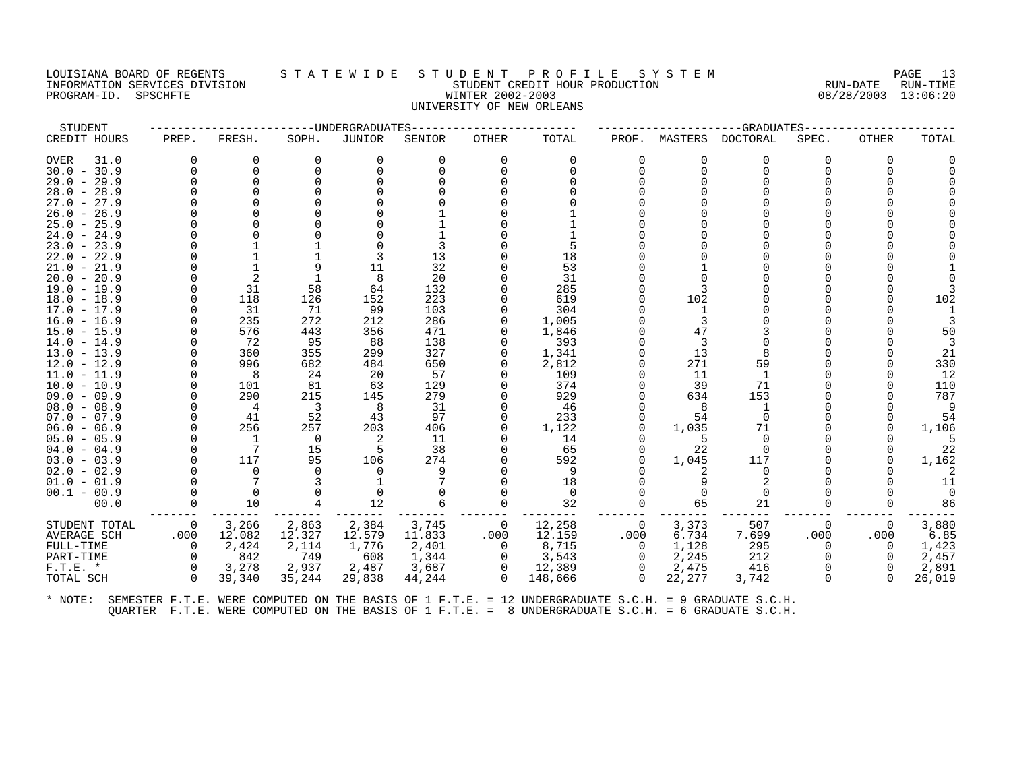## LOUISIANA BOARD OF REGENTS STATEWIDE STUDENT PROFILE SYSTEM NAGE 13 INFORMATION SERVICES DIVISION SUBSERVICES ON STUDENT STUDENT CREDIT HOUR PRODUCTION RUN-DATE RUN-DATE RUN-TIME<br>INFORMATION SERVICES DIVISION STUDENT STUDENT CREDIT HOUR PRODUCTION 808/28/2003 13:06:20 PROGRAM-ID. SPSCHFTE WINTER 2002-2003 UNIVERSITY OF NEW ORLEANS

| STUDENT             |             |                 |                         | -UNDERGRADUATES |          |              |          |                |                | -GRADUATES     |          |              |        |
|---------------------|-------------|-----------------|-------------------------|-----------------|----------|--------------|----------|----------------|----------------|----------------|----------|--------------|--------|
| CREDIT HOURS        | PREP.       | FRESH.          | SOPH.                   | JUNIOR          | SENIOR   | <b>OTHER</b> | TOTAL    | PROF.          | MASTERS        | DOCTORAL       | SPEC.    | <b>OTHER</b> | TOTAL  |
| <b>OVER</b><br>31.0 | $\Omega$    | $\Omega$        | $\Omega$                | $\Omega$        | $\Omega$ | $\Omega$     | $\Omega$ | $\Omega$       | 0              | $\Omega$       | $\Omega$ | 0            |        |
| $30.0 - 30.9$       | $\Omega$    | $\Omega$        | $\Omega$                | $\Omega$        |          | $\Omega$     | $\Omega$ | $\Omega$       | $\Omega$       | $\Omega$       | $\Omega$ | 0            |        |
| $29.0 - 29.9$       |             | $\Omega$        |                         | $\Omega$        |          |              |          |                | $\cap$         | $\Omega$       |          |              |        |
| $28.0 - 28.9$       |             |                 |                         |                 |          |              |          |                |                |                |          |              |        |
| $27.0 - 27.9$       |             |                 |                         |                 |          |              |          |                |                | $\cap$         |          |              |        |
| $26.0 - 26.9$       |             |                 |                         |                 |          |              |          |                |                |                |          |              |        |
| $25.0 - 25.9$       |             |                 |                         |                 |          |              |          |                |                |                |          |              |        |
| $24.0 - 24.9$       |             |                 |                         |                 |          |              |          |                |                | $\cap$         |          |              |        |
| $23.0 - 23.9$       |             |                 |                         |                 |          |              |          |                |                | $\Omega$       |          |              |        |
| 22.0<br>$-22.9$     |             |                 |                         | 3               | 13       |              | 18       |                |                |                |          |              |        |
| $21.0 - 21.9$       |             |                 |                         | 11              | 32       |              | 53       |                |                | $\cap$         |          |              |        |
| $20.0 - 20.9$       |             | 2               |                         | 8               | 20       |              | 31       |                |                |                |          |              |        |
| $19.0 - 19.9$       | $\Omega$    | 31              | 58                      | 64              | 132      |              | 285      |                |                |                |          |              |        |
| $18.0 - 18.9$       |             | 118             | 126                     | 152             | 223      |              | 619      |                | 102            |                |          |              | 102    |
| $17.0 - 17.9$       |             | 31              | 71                      | 99              | 103      |              | 304      |                |                |                |          |              |        |
| $16.0 - 16.9$       |             | 235             | 272                     | 212             | 286      |              | 1,005    |                | $\overline{3}$ | $\Omega$       |          |              |        |
| $15.0 - 15.9$       |             | 576             | 443                     | 356             | 471      | $\Omega$     | 1,846    |                | 47             |                |          |              | 50     |
| $14.0 - 14.9$       | $\cap$      | 72              | 95                      | 88              | 138      |              | 393      |                | 3              | $\Omega$       |          |              |        |
| $13.0 - 13.9$       | $\Omega$    | 360             | 355                     | 299             | 327      | $\Omega$     | 1,341    |                | 13             | 8              |          |              | 21     |
| $12.0 - 12.9$       |             | 996             | 682                     | 484             | 650      | $\Omega$     | 2,812    |                | 271            | 59             |          |              | 330    |
| $11.0 - 11.9$       |             | 8               | 24                      | 20              | 57       |              | 109      |                | 11             |                |          |              | 12     |
| $10.0 - 10.9$       |             | 101             | 81                      | 63              | 129      |              | 374      |                | 39             | 71             |          |              | 110    |
| $09.0 - 09.9$       |             | 290             | 215                     | 145             | 279      |              | 929      |                | 634            | 153            |          |              | 787    |
| $08.0 - 08.9$       |             | $\overline{4}$  | $\overline{\mathbf{3}}$ | 8               | 31       |              | 46       |                | 8              | 1              |          |              | 9      |
| $07.0 - 07.9$       |             | 41              | 52                      | 43              | 97       | $\Omega$     | 233      | <sup>o</sup>   | 54             | $\Omega$       |          |              | 54     |
| $06.0 - 06.9$       |             | 256             | 257                     | 203             | 406      | $\Omega$     | 1,122    | 0              | 1,035          | 71             |          | $\Omega$     | 1,106  |
| $05.0 - 05.9$       |             | -1              | $\overline{0}$          | 2               | 11       |              | 14       |                | -5             | $\Omega$       |          |              |        |
| $04.0 - 04.9$       |             | $7\overline{ }$ | 15                      | 5               | 38       |              | 65       | <sup>n</sup>   | 22             | $\Omega$       |          |              | 22     |
| $03.0 - 03.9$       |             | 117             | 95                      | 106             | 274      |              | 592      | $\Omega$       | 1,045          | 117            |          |              | 1,162  |
| $02.0 - 02.9$       |             | $\Omega$        |                         | $\Omega$        | 9        |              | 9        |                |                | $\Omega$       |          |              |        |
| $01.0 - 01.9$       |             | 7               |                         |                 |          |              | 18       |                | 9              | $\overline{2}$ |          |              | 11     |
| $00.1 - 00.9$       | $\Omega$    | $\mathbf 0$     |                         | $\mathbf 0$     |          |              | $\Omega$ |                |                | $\Omega$       |          |              | $\cap$ |
| 00.0                | $\mathbf 0$ | 10              |                         | 12              | 6        | $\Omega$     | 32       |                | 65             | 21             |          |              | 86     |
| STUDENT TOTAL       | 0           | 3,266           | 2,863                   | 2,384           | 3,745    | 0            | 12,258   | 0              | 3,373          | 507            | 0        | 0            | 3,880  |
| <b>AVERAGE SCH</b>  | .000        | 12.082          | 12.327                  | 12.579          | 11.833   | .000         | 12.159   | .000           | 6.734          | 7.699          | .000     | .000         | 6.85   |
| FULL-TIME           | 0           | 2,424           | 2,114                   | 1,776           | 2,401    | 0            | 8,715    | $\Omega$       | 1,128          | 295            | $\Omega$ | $\Omega$     | 1,423  |
| PART-TIME           | $\Omega$    | 842             | 749                     | 608             | 1,344    | 0            | 3,543    | $\Omega$       | 2,245          | 212            | $\cap$   | $\Omega$     | 2,457  |
| $F.T.E.$ *          | 0           | 3,278           | 2,937                   | 2,487           | 3,687    | 0            | 12,389   | $\overline{0}$ | 2,475          | 416            |          | 0            | 2,891  |
| TOTAL SCH           | $\Omega$    | 39,340          | 35,244                  | 29,838          | 44,244   | $\Omega$     | 148,666  | $\Omega$       | 22,277         | 3,742          | $\Omega$ | $\cap$       | 26,019 |
|                     |             |                 |                         |                 |          |              |          |                |                |                |          |              |        |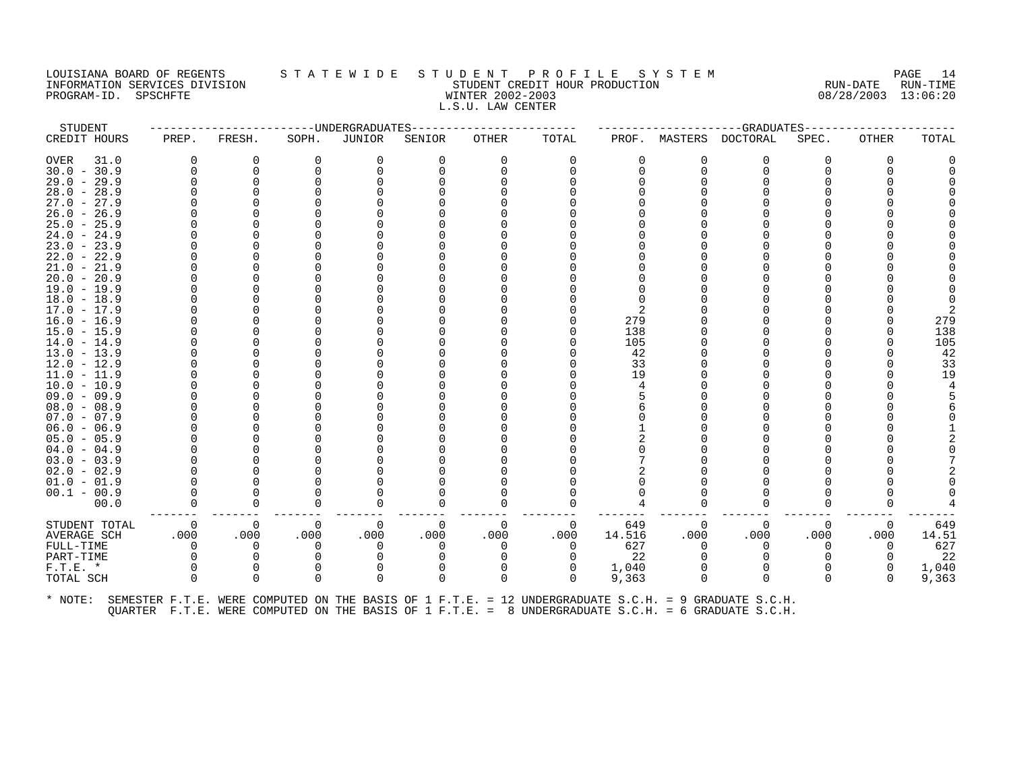## LOUISIANA BOARD OF REGENTS STATEWIDE STUDENT PROFILE SYSTEM PAGE 14<br>INFORMATION SERVICES DIVISION STATE WILLE STUDENT CREDIT HOUR PRODUCTION RUN-DATE RUN-TIME INFORMATION SERVICES DIVISION SUBSERVICES ON STUDENT STUDENT CREDIT HOUR PRODUCTION RUN-DATE RUN-DATE RUN-TIME<br>INFORMATION SERVICES DIVISION STUDENT STUDENT CREDIT HOUR PRODUCTION 808/28/2003 13:06:20 PROGRAM-ID. SPSCHFTE WINTER 2002-2003 L.S.U. LAW CENTER

| STUDENT                        |              |          |              | -----UNDERGRADUATES |          |          |          |          |          | --GRADUATES                                                                                          |              |              |          |
|--------------------------------|--------------|----------|--------------|---------------------|----------|----------|----------|----------|----------|------------------------------------------------------------------------------------------------------|--------------|--------------|----------|
| CREDIT HOURS                   | PREP.        | FRESH.   | SOPH.        | JUNIOR              | SENIOR   | OTHER    | TOTAL    | PROF.    | MASTERS  | DOCTORAL                                                                                             | SPEC.        | <b>OTHER</b> | TOTAL    |
| <b>OVER</b><br>31.0            | 0            | 0        | 0            | 0                   | $\Omega$ | $\Omega$ | 0        | 0        | 0        | 0                                                                                                    | O            | O            |          |
| $30.0 - 30.9$                  |              | 0        |              | O                   |          | n        |          | $\Omega$ | $\Omega$ | $\Omega$                                                                                             |              |              |          |
| $29.0 - 29.9$                  |              |          |              |                     |          |          |          |          |          |                                                                                                      |              |              |          |
| $28.0 - 28.9$                  |              |          |              |                     |          |          |          |          |          |                                                                                                      |              |              |          |
| $27.0 - 27.9$                  |              |          |              |                     |          |          |          |          |          |                                                                                                      |              |              |          |
| $26.0 - 26.9$                  |              |          |              |                     |          |          |          |          |          |                                                                                                      |              |              |          |
| $25.0 - 25.9$                  |              |          |              |                     |          |          |          |          |          |                                                                                                      |              |              |          |
| $24.0 - 24.9$                  |              |          |              |                     |          |          |          |          |          |                                                                                                      |              |              |          |
| $23.0 -$<br>23.9               |              |          |              |                     |          |          |          |          |          |                                                                                                      |              |              |          |
| $22.0 - 22.9$                  |              |          |              |                     |          |          |          |          |          |                                                                                                      |              |              |          |
| $21.0 - 21.9$                  |              |          |              |                     |          |          |          |          |          |                                                                                                      |              |              |          |
| $20.0 -$<br>20.9               |              |          |              |                     |          |          |          |          |          |                                                                                                      |              |              |          |
| $19.0 - 19.9$                  |              |          |              |                     |          |          |          |          |          |                                                                                                      |              |              |          |
| $18.0 - 18.9$                  |              |          |              |                     |          |          |          |          |          |                                                                                                      |              |              |          |
| $17.0 - 17.9$                  |              |          |              |                     |          |          |          |          |          |                                                                                                      |              |              |          |
| $16.0 - 16.9$                  |              |          |              |                     |          |          |          | 279      |          |                                                                                                      |              |              | 279      |
| $15.0 - 15.9$                  |              |          |              |                     |          |          |          | 138      |          |                                                                                                      |              |              | 138      |
| $14.0 - 14.9$                  |              |          |              |                     |          |          |          | 105      |          |                                                                                                      |              |              | 105      |
| $13.0 - 13.9$                  |              |          |              |                     |          |          |          | 42<br>33 |          |                                                                                                      |              |              | 42<br>33 |
| $12.0 - 12.9$<br>$11.0 - 11.9$ |              |          |              |                     |          |          |          | 19       |          |                                                                                                      |              |              | 19       |
| $10.0 - 10.9$                  |              |          |              |                     |          |          |          | 4        |          |                                                                                                      |              |              |          |
| $09.0 - 09.9$                  |              |          |              |                     |          |          |          |          |          |                                                                                                      |              |              |          |
| $08.0 - 08.9$                  |              |          |              |                     |          |          |          |          |          |                                                                                                      |              |              |          |
| $07.0 - 07.9$                  |              |          |              |                     |          |          |          |          |          |                                                                                                      |              |              |          |
| $06.0 - 06.9$                  |              |          |              |                     |          |          |          |          |          |                                                                                                      |              |              |          |
| $05.0 - 05.9$                  |              |          |              |                     |          |          |          |          |          |                                                                                                      |              |              |          |
| $04.0 - 04.9$                  |              |          |              |                     |          |          |          |          |          |                                                                                                      |              |              |          |
| $03.0 - 03.9$                  |              |          |              |                     |          |          |          |          |          |                                                                                                      |              |              |          |
| $02.0 - 02.9$                  |              |          |              |                     |          |          |          |          |          |                                                                                                      |              |              |          |
| $01.0 - 01.9$                  |              |          |              |                     |          |          |          |          |          |                                                                                                      |              |              |          |
| $00.1 - 00.9$                  |              |          |              |                     |          |          |          |          |          |                                                                                                      |              |              |          |
| 00.0                           |              |          | <sup>0</sup> | O                   |          |          |          |          |          | n                                                                                                    |              |              |          |
| STUDENT TOTAL                  | 0            | 0        | 0            | 0                   | $\Omega$ | 0        | 0        | 649      | $\Omega$ | 0                                                                                                    | 0            | 0            | 649      |
| AVERAGE SCH                    | .000         | .000     | .000         | .000                | .000     | .000     | .000     | 14.516   | .000     | .000                                                                                                 | .000         | .000         | 14.51    |
| FULL-TIME                      | <sup>n</sup> | $\Omega$ | U            | $\Omega$            |          | ∩        | $\Omega$ | 627      | ∩        | $\Omega$                                                                                             | U            | $\Omega$     | 627      |
| PART-TIME                      |              |          |              |                     |          |          |          | 22       |          |                                                                                                      |              |              | 22       |
| $F.T.E.$ *                     |              | 0        |              | 0                   |          | $\Omega$ | 0        | 1,040    |          | $\Omega$                                                                                             |              | 0            | 1,040    |
| TOTAL SCH                      |              | $\Omega$ | $\Omega$     | $\Omega$            | $\Omega$ | $\Omega$ | $\Omega$ | 9,363    | $\Omega$ | $\Omega$                                                                                             | <sup>0</sup> | 0            | 9,363    |
| * NOTE:                        |              |          |              |                     |          |          |          |          |          | SEMESTER F.T.E. WERE COMPUTED ON THE BASIS OF 1 F.T.E. = 12 UNDERGRADUATE S.C.H. = 9 GRADUATE S.C.H. |              |              |          |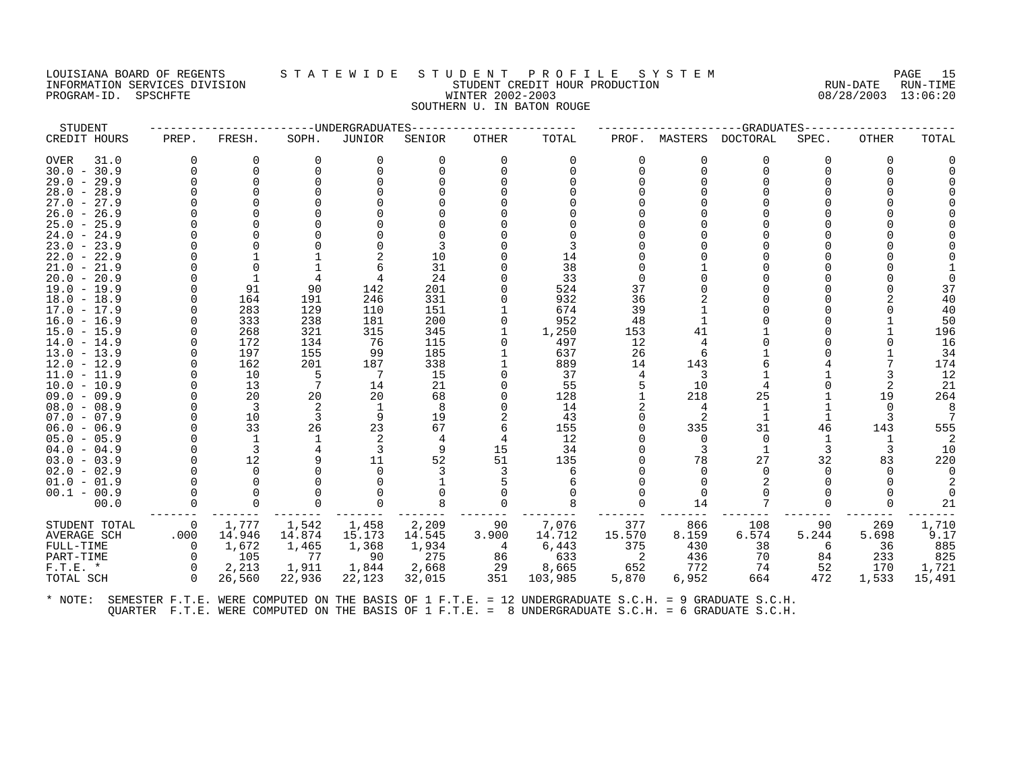# LOUISIANA BOARD OF REGENTS STATEWIDE STUDENT PROFILE SYSTEM PAGE 15<br>INFORMATION SERVICES DIVISION STATE WILLE STUDENT CREDIT HOUR PRODUCTION RUN-DATE RUN-TIME INFORMATION SERVICES DIVISION STORES STORE STORE SERVICES ON STORE REDUCTION PROGRAM-ID. SPSCHFTE WINTER 2002-2003 08/28/2003 13:06:20 SOUTHERN U. IN BATON ROUGE

| STUDENT                        |                |                |            | -----UNDERGRADUATES |            |          |            |          |              | -GRADUATES   |       |       |          |
|--------------------------------|----------------|----------------|------------|---------------------|------------|----------|------------|----------|--------------|--------------|-------|-------|----------|
| CREDIT HOURS                   | PREP.          | FRESH.         | SOPH.      | JUNIOR              | SENIOR     | OTHER    | TOTAL      | PROF.    | MASTERS      | DOCTORAL     | SPEC. | OTHER | TOTAL    |
| OVER<br>31.0                   | $\Omega$       | $\Omega$       | $\Omega$   | 0                   | $\Omega$   | $\Omega$ | 0          | $\Omega$ | $\Omega$     | <sup>0</sup> | 0     | 0     |          |
| $30.0 - 30.9$                  | $\Omega$       | $\Omega$       |            |                     |            |          |            | $\Omega$ | $\Omega$     |              |       |       |          |
| $29.0 - 29.9$                  |                | $\Omega$       |            |                     |            |          |            | 0        |              |              |       |       |          |
| $28.0 - 28.9$                  |                |                |            |                     |            |          |            |          |              |              |       |       |          |
| $27.0 - 27.9$                  |                |                |            |                     |            |          |            |          |              |              |       |       |          |
| $26.0 - 26.9$                  |                |                |            |                     |            |          |            |          |              |              |       |       |          |
| $25.0 - 25.9$                  |                |                |            |                     |            |          |            |          |              |              |       |       |          |
| $24.0 - 24.9$                  |                |                |            |                     |            |          |            |          |              |              |       |       |          |
| $23.0 - 23.9$                  |                |                |            |                     |            |          |            |          |              |              |       |       |          |
| $22.0 - 22.9$                  |                |                |            |                     | 10         |          | 14         |          |              |              |       |       |          |
| $21.0 - 21.9$                  |                |                |            |                     | 31         |          | 38         |          |              |              |       |       |          |
| $20.0 - 20.9$                  |                |                |            |                     | 24         |          | 33         |          |              |              |       |       |          |
| $19.0 - 19.9$                  | $\Omega$       | 91             | 90         | 142                 | 201        |          | 524        | 37       |              |              |       |       | 37       |
| $18.0 - 18.9$                  |                | 164            | 191        | 246                 | 331        |          | 932        | 36       |              |              |       |       | 40       |
| $17.0 - 17.9$                  |                | 283<br>333     | 129<br>238 | 110<br>181          | 151<br>200 |          | 674<br>952 | 39<br>48 |              |              |       |       | 40<br>50 |
| $16.0 - 16.9$<br>$15.0 - 15.9$ |                | 268            | 321        | 315                 | 345        |          | 1,250      | 153      | 41           |              |       |       | 196      |
| $14.0 - 14.9$                  |                | 172            | 134        | 76                  | 115        | $\Omega$ | 497        | 12       | 4            |              |       |       | 16       |
| $13.0 - 13.9$                  | $\Omega$       | 197            | 155        | 99                  | 185        |          | 637        | 26       | 6            |              |       |       | 34       |
| $12.0 - 12.9$                  | $\Omega$       | 162            | 201        | 187                 | 338        |          | 889        | 14       | 143          |              |       |       | 174      |
| $11.0 - 11.9$                  |                | 10             | -5         | - 7                 | 15         |          | 37         | 4        | 3            |              |       |       | 12       |
| $10.0 - 10.9$                  |                | 13             |            | 14                  | 21         |          | 55         |          | 10           |              |       |       | 21       |
| $09.0 - 09.9$                  |                | 20             | 20         | 20                  | 68         |          | 128        |          | 218          | 25           |       | 19    | 264      |
| $08.0 - 08.9$                  |                | 3              |            | -1                  | 8          |          | 14         |          | 4            | 1            |       |       | 8        |
| $07.0 - 07.9$                  |                | 10             | 3          | 9                   | 19         |          | 43         | $\Omega$ | 2            |              |       |       | 7        |
| $06.0 - 06.9$                  |                | 33             | 26         | 23                  | 67         |          | 155        |          | 335          | 31           | 46    | 143   | 555      |
| $05.0 - 05.9$                  |                | <sup>1</sup>   |            | 2                   |            |          | 12         | 0        | $\Omega$     | $\Omega$     |       |       | 2        |
| $04.0 - 04.9$                  |                | $\overline{3}$ |            | 3                   | 9          | 15       | 34         |          | 3            | 1            |       |       | 10       |
| $03.0 - 03.9$                  |                | 12             |            | 11                  | 52         | 51       | 135        |          | 78           | 27           | 32    | 83    | 220      |
| $02.0 - 02.9$                  |                | $\cap$         |            | <sup>n</sup>        |            |          |            |          | <sup>n</sup> | <sup>n</sup> |       |       | $\Omega$ |
| $01.0 - 01.9$                  |                |                |            |                     |            |          |            |          | $\Omega$     |              |       |       |          |
| $00.1 - 00.9$                  |                |                |            |                     |            |          |            |          | $\Omega$     |              |       |       |          |
| 00.0                           | $\Omega$       | $\Omega$       |            |                     |            |          |            |          | 14           |              |       |       | 21       |
| STUDENT TOTAL                  | $\overline{0}$ | 1,777          | 1,542      | 1,458               | 2,209      | 90       | 7,076      | 377      | 866          | 108          | 90    | 269   | 1,710    |
| AVERAGE SCH                    | .000           | 14.946         | 14.874     | 15.173              | 14.545     | 3.900    | 14.712     | 15.570   | 8.159        | 6.574        | 5.244 | 5.698 | 9.17     |
| FULL-TIME                      | $\Omega$       | 1,672          | 1,465      | 1,368               | 1,934      | - 4      | 6,443      | 375      | 430          | 38           | 6     | 36    | 885      |
| PART-TIME                      | $\Omega$       | 105            | 77         | 90                  | 275        | 86       | 633        | 2        | 436          | 70           | 84    | 233   | 825      |
| $F.T.E. *$                     | $\Omega$       | 2,213          | 1,911      | 1,844               | 2,668      | 29       | 8,665      | 652      | 772          | 74           | 52    | 170   | 1,721    |
| TOTAL SCH                      | $\Omega$       | 26,560         | 22,936     | 22,123              | 32,015     | 351      | 103,985    | 5,870    | 6,952        | 664          | 472   | 1,533 | 15,491   |
|                                |                |                |            |                     |            |          |            |          |              |              |       |       |          |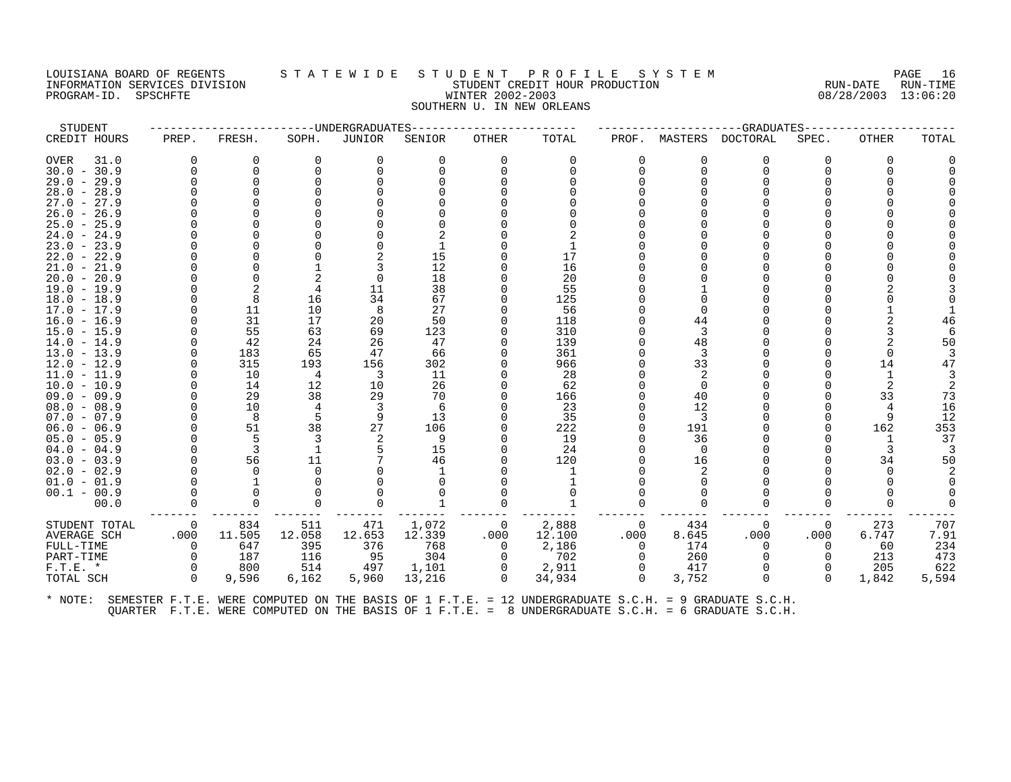## LOUISIANA BOARD OF REGENTS STATEWIDE STUDENT PROFILE SYSTEM NAGE 16 INFORMATION SERVICES DIVISION SUBSERVICES ON STUDENT STUDENT CREDIT HOUR PRODUCTION RUN-DATE RUN-DATE RUN-TIME<br>INFORMATION SERVICES DIVISION STUDENT STUDENT CREDIT HOUR PRODUCTION 808/28/2003 13:06:20 PROGRAM-ID. SPSCHFTE WINTER 2002-2003 SOUTHERN U. IN NEW ORLEANS

| STUDENT             |          |          |          | --UNDERGRADUATES |        |              |          |          |          | -GRADUATES      |          |          |       |
|---------------------|----------|----------|----------|------------------|--------|--------------|----------|----------|----------|-----------------|----------|----------|-------|
| CREDIT HOURS        | PREP.    | FRESH.   | SOPH.    | <b>JUNIOR</b>    | SENIOR | <b>OTHER</b> | TOTAL    | PROF.    | MASTERS  | <b>DOCTORAL</b> | SPEC.    | OTHER    | TOTAL |
| <b>OVER</b><br>31.0 | $\Omega$ | $\Omega$ | $\Omega$ | $\Omega$         | 0      | $\Omega$     | $\Omega$ |          | $\Omega$ | $\Omega$        | ∩        | $\Omega$ |       |
| $30.0 - 30.9$       | $\Omega$ | $\Omega$ | $\Omega$ | $\Omega$         |        | $\Omega$     | U        |          | $\Omega$ | $\Omega$        |          | ∩        |       |
| $29.0 - 29.9$       |          | $\Omega$ |          |                  |        |              |          |          | U        | $\Omega$        |          |          |       |
| $28.0 - 28.9$       |          |          |          |                  |        |              |          |          |          |                 |          |          |       |
| $27.0 - 27.9$       |          |          |          |                  |        |              |          |          |          |                 |          |          |       |
| $26.0 - 26.9$       |          |          |          |                  |        |              |          |          |          |                 |          |          |       |
| $25.0 - 25.9$       |          |          |          |                  |        |              |          |          |          |                 |          |          |       |
| $24.0 - 24.9$       |          |          |          |                  |        |              |          |          |          |                 |          |          |       |
| $23.0 - 23.9$       |          |          |          |                  |        |              |          |          |          | U               |          |          |       |
| $22.0 - 22.9$       |          |          |          |                  | 15     |              | 17       |          |          |                 |          |          |       |
| $21.0 - 21.9$       |          |          |          |                  | 12     |              | 16       |          |          |                 |          |          |       |
| $20.0 - 20.9$       |          |          |          | $\Omega$         | 18     |              | 20       |          |          |                 |          |          |       |
| $19.0 - 19.9$       |          |          |          | 11               | 38     |              | 55       |          |          | U               |          |          |       |
| $18.0 - 18.9$       |          | 8        | 16       | 34               | 67     |              | 125      |          |          |                 |          |          |       |
| $17.0 - 17.9$       |          | 11       | 10       | 8                | 27     |              | 56       |          |          |                 |          |          |       |
| $16.0 - 16.9$       |          | 31       | 17       | 20               | 50     |              | 118      |          | 44       |                 |          |          | 46    |
| $15.0 - 15.9$       |          | 55       | 63       | 69               | 123    |              | 310      |          | 3        |                 |          |          |       |
| $-14.9$<br>14.0     |          | 42       | 24       | 26               | 47     |              | 139      |          | 48       | U               |          |          | 50    |
| $13.0 - 13.9$       |          | 183      | 65       | 47               | 66     |              | 361      |          | 3        | $\Omega$        |          | $\Omega$ |       |
| $-12.9$<br>12.0     |          | 315      | 193      | 156              | 302    |              | 966      |          | 33       |                 |          | 14       | 47    |
| $-11.9$<br>11.0     |          | 10       | 4        | 3                | 11     |              | 28       |          | 2        |                 |          |          |       |
| $10.0 - 10.9$       |          | 14       | 12       | 10               | 26     |              | 62       |          | $\Omega$ |                 |          | 2        |       |
| $09.0 - 09.9$       |          | 29       | 38       | 29               | 70     |              | 166      |          | 40       | $\Omega$        |          | 33       | 73    |
| $08.0 - 08.9$       |          | 10       | 4        | 3                | 6      |              | 23       |          | 12       |                 |          | 4        | 16    |
| $07.0 - 07.9$       |          | 8        |          | 9                | 13     |              | 35       |          | 3        |                 |          | 9        | 12    |
| $06.0 - 06.9$       |          | 51       | 38       | 27               | 106    |              | 222      |          | 191      | O               |          | 162      | 353   |
| $05.0 - 05.9$       |          | 5        |          |                  | 9      |              | 19       |          | 36       |                 |          | 1        | 37    |
| $04.0 - 04.9$       |          | 3        |          | 5                | 15     |              | 24       |          | $\Omega$ | U               |          | 3        |       |
| $03.0 - 03.9$       |          | 56       | 11       |                  | 46     |              | 120      |          | 16       |                 |          | 34       | 50    |
| $02.0 - 02.9$       |          | $\Omega$ |          |                  |        |              |          |          | 2        |                 |          | $\Omega$ |       |
| $01.0 - 01.9$       |          |          |          |                  |        |              |          |          |          |                 |          |          |       |
| $00.1 - 00.9$       |          | 0        |          |                  |        |              |          |          | $\Omega$ |                 |          |          |       |
| 00.0                | $\Omega$ | 0        |          |                  |        | $\Omega$     |          |          | $\Omega$ | $\Omega$        |          |          |       |
| STUDENT TOTAL       | 0        | 834      | 511      | 471              | 1,072  | 0            | 2,888    | 0        | 434      | 0               | 0        | 273      | 707   |
| <b>AVERAGE SCH</b>  | .000     | 11.505   | 12.058   | 12.653           | 12.339 | .000         | 12.100   | .000     | 8.645    | .000            | .000     | 6.747    | 7.91  |
| FULL-TIME           | $\Omega$ | 647      | 395      | 376              | 768    | 0            | 2,186    | $\Omega$ | 174      | $\Omega$        | $\Omega$ | 60       | 234   |
| PART-TIME           | $\Omega$ | 187      | 116      | 95               | 304    | $\Omega$     | 702      |          | 260      | $\Omega$        |          | 213      | 473   |
| $F.T.E.$ *          | $\Omega$ | 800      | 514      | 497              | 1,101  | 0            | 2,911    | $\Omega$ | 417      | $\Omega$        |          | 205      | 622   |
| TOTAL SCH           | $\Omega$ | 9,596    | 6,162    | 5,960            | 13,216 | $\mathbf 0$  | 34,934   | $\Omega$ | 3,752    | 0               | $\Omega$ | 1,842    | 5,594 |
|                     |          |          |          |                  |        |              |          |          |          |                 |          |          |       |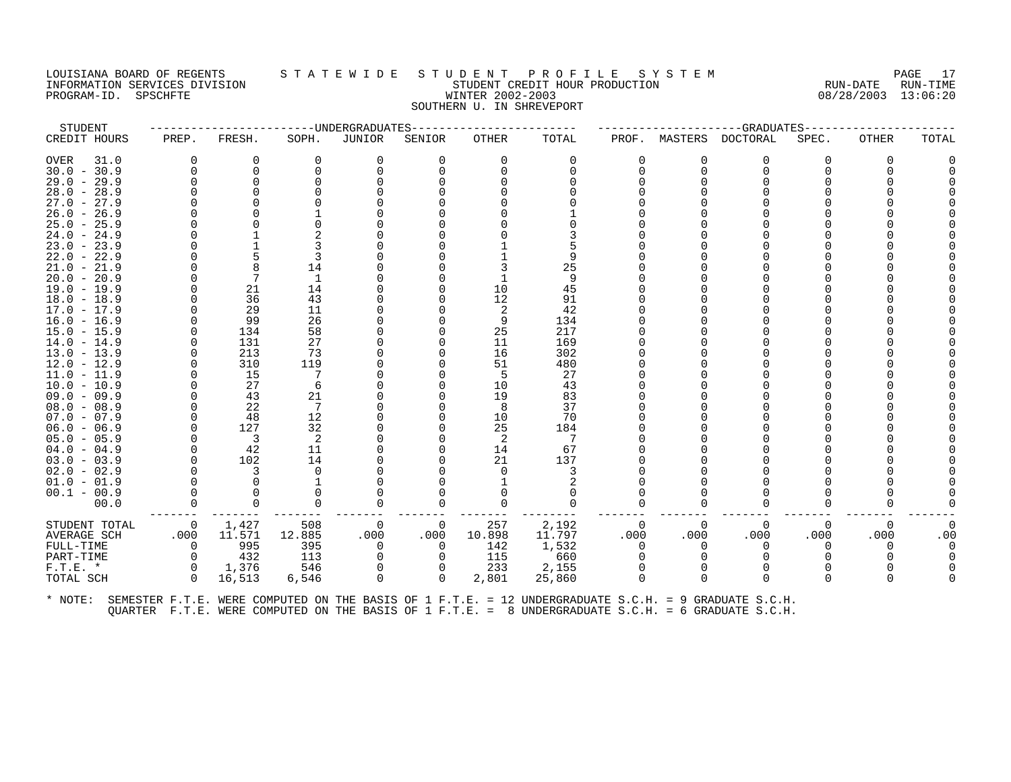### LOUISIANA BOARD OF REGENTS STATEWIDE STUDENT PROFILE SYSTEM NAGE 17 INFORMATION SERVICES DIVISION STATE IN THE STUDENT CREDIT HOUR PRODUCTION STUDENT SUM-DATE RUN-DATE RUN-TIME<br>INFORMATION SERVICES DIVISION STATE STUDENT STUDENT CREDIT HOUR PRODUCTION 3 SOME PRODUCTION 98/28/2003 13:06:20 PROGRAM-ID. SPSCHFTE **WINTER 2002-2003** SOUTHERN U. IN SHREVEPORT

| STUDENT                        |          |                         |          | -----UNDERGRADUATES |          |          |          |          |          | --GRADUATES |          |          |          |
|--------------------------------|----------|-------------------------|----------|---------------------|----------|----------|----------|----------|----------|-------------|----------|----------|----------|
| CREDIT HOURS                   | PREP.    | FRESH.                  | SOPH.    | JUNIOR              | SENIOR   | OTHER    | TOTAL    | PROF.    | MASTERS  | DOCTORAL    | SPEC.    | OTHER    | TOTAL    |
| <b>OVER</b><br>31.0            | $\Omega$ | 0                       | $\Omega$ | 0                   | 0        | $\Omega$ | $\Omega$ | ∩        | 0        | 0           | ∩        | $\Omega$ |          |
| $30.0 - 30.9$                  | $\Omega$ | $\Omega$                |          | $\Omega$            |          | $\Omega$ |          |          | $\Omega$ | $\Omega$    |          |          |          |
| $29.0 - 29.9$                  |          | $\Omega$                |          |                     |          |          |          |          |          | $\Omega$    |          |          |          |
| $28.0 - 28.9$                  |          |                         |          |                     |          |          |          |          |          |             |          |          |          |
| $27.0 - 27.9$                  |          |                         |          |                     |          |          |          |          |          |             |          |          |          |
| $26.0 - 26.9$                  |          |                         |          |                     |          |          |          |          |          |             |          |          |          |
| $25.0 - 25.9$                  |          |                         |          |                     |          |          |          |          |          |             |          |          |          |
| $24.0 - 24.9$                  |          |                         |          |                     |          |          |          |          |          |             |          |          |          |
| $23.0 - 23.9$                  |          |                         |          |                     |          |          |          |          |          |             |          |          |          |
| $22.0 - 22.9$                  |          |                         |          |                     |          |          |          |          |          |             |          |          |          |
| $21.0 - 21.9$                  |          |                         | 14       |                     |          |          | 25       |          |          |             |          |          |          |
| $20.0 - 20.9$                  |          |                         |          |                     |          |          | 9        |          |          |             |          |          |          |
| $19.0 - 19.9$                  |          | 21                      | 14       |                     |          | 10       | 45       |          |          |             |          |          |          |
| $18.0 - 18.9$                  |          | 36                      | 43       |                     |          | 12       | 91       |          |          |             |          |          |          |
| $17.0 - 17.9$                  |          | 29                      | 11       |                     |          | -2       | 42       |          |          |             |          |          |          |
| $16.0 - 16.9$                  |          | 99                      | 26       |                     |          | 9        | 134      |          |          |             |          |          |          |
| $15.0 - 15.9$                  |          | 134                     | 58       |                     |          | 25       | 217      |          |          |             |          |          |          |
| $14.0 - 14.9$                  |          | 131                     | 27       |                     |          | 11       | 169      |          |          |             |          |          |          |
| $13.0 - 13.9$                  |          | 213                     | 73       |                     |          | 16       | 302      |          |          |             |          |          |          |
| $12.0 - 12.9$                  |          | 310                     | 119      |                     |          | 51       | 480      |          |          |             |          |          |          |
| $11.0 - 11.9$                  |          | 15                      |          |                     |          | -5       | 27       |          |          |             |          |          |          |
| $10.0 - 10.9$                  |          | 27                      | 6        |                     |          | 10       | 43       |          |          |             |          |          |          |
| $09.0 - 09.9$                  |          | 43                      | 21       |                     |          | 19       | 83       |          |          |             |          |          |          |
| $08.0 - 08.9$                  |          | 22                      | 7        |                     |          | 8        | 37       |          |          |             |          |          |          |
| $07.0 - 07.9$                  |          | 48                      | 12       |                     |          | 10       | 70       |          |          |             |          |          |          |
| $06.0 - 06.9$                  |          | 127                     | 32       |                     |          | 25       | 184      |          |          |             |          |          |          |
| $05.0 - 05.9$                  |          | $\overline{\mathbf{3}}$ | 2        |                     |          | 2        | -7       |          |          |             |          |          |          |
| $04.0 - 04.9$                  |          | 42                      | 11<br>14 |                     |          | 14<br>21 | 67       |          |          |             |          |          |          |
| $03.0 - 03.9$<br>$02.0 - 02.9$ |          | 102<br>3                | $\Omega$ |                     |          | $\Omega$ | 137<br>3 |          |          |             |          |          |          |
| $01.0 - 01.9$                  |          | $\Omega$                |          |                     |          |          |          |          |          |             |          |          |          |
| $00.1 - 00.9$                  |          | $\Omega$                |          |                     |          |          |          |          |          |             |          |          |          |
| 00.0                           | $\Omega$ | $\Omega$                |          | $\Omega$            | 0        |          | $\Omega$ |          | U        | $\Omega$    |          |          |          |
|                                |          |                         |          |                     |          |          |          |          |          |             |          |          |          |
| STUDENT TOTAL                  | 0        | 1,427                   | 508      | 0                   | 0        | 257      | 2,192    | $\Omega$ | $\Omega$ | $\Omega$    | $\Omega$ | 0        | $\Omega$ |
| <b>AVERAGE SCH</b>             | .000     | 11.571                  | 12.885   | .000                | .000     | 10.898   | 11.797   | .000     | .000     | .000        | .000     | .000     | .00      |
| FULL-TIME                      | 0        | 995                     | 395      | 0                   | 0        | 142      | 1,532    | $\Omega$ | $\Omega$ | 0           |          | $\Omega$ | $\Omega$ |
| PART-TIME                      | $\Omega$ | 432                     | 113      | 0                   | 0        | 115      | 660      |          | $\Omega$ | $\Omega$    |          |          |          |
| $F.T.E.$ *                     | $\Omega$ | 1,376                   | 546      | 0                   |          | 233      | 2,155    |          |          |             |          |          |          |
| TOTAL SCH                      | $\Omega$ | 16,513                  | 6,546    | $\Omega$            | $\Omega$ | 2,801    | 25,860   |          | $\Omega$ | $\Omega$    |          | ∩        |          |
|                                |          |                         |          |                     |          |          |          |          |          |             |          |          |          |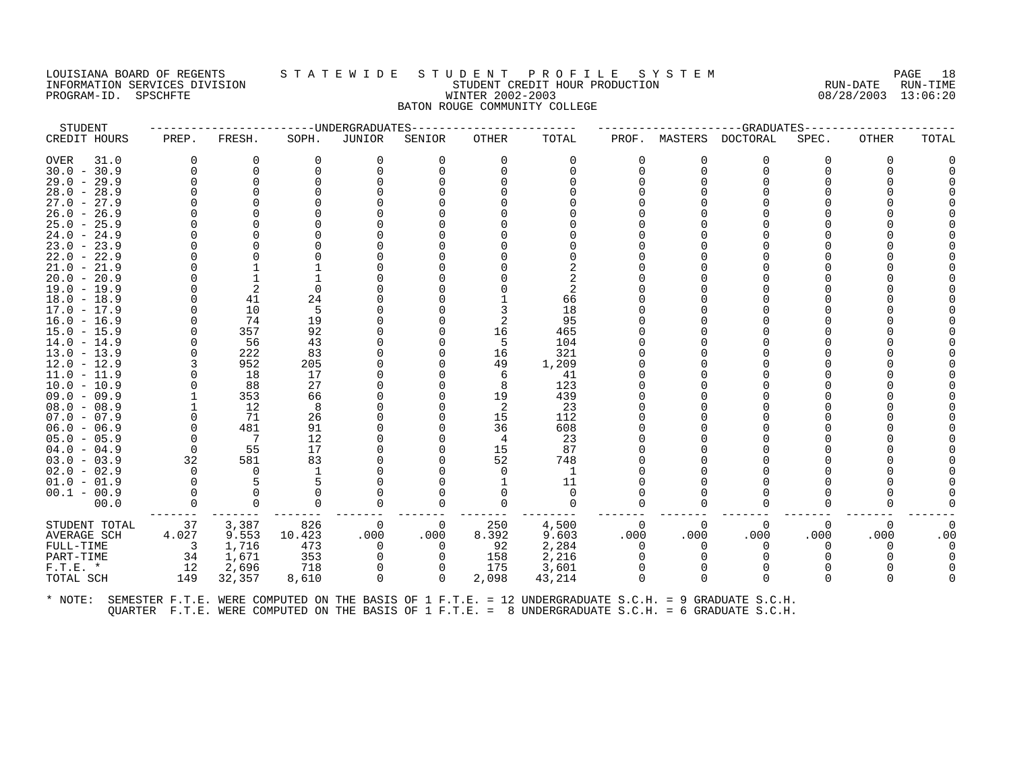## LOUISIANA BOARD OF REGENTS S T A T E W I D E S T U D E N T P R O F I L E S Y S T E M PAGE 18 INFORMATION SERVICES DIVISION STUDENT CREDIT HOUR PRODUCTION RUN-DATE RUN-TIME PROGRAM-ID. SPSCHFTE WINTER 2002-2003 08/28/2003 13:06:20 BATON ROUGE COMMUNITY COLLEGE

| STUDENT             |          |          |          | --UNDERGRADUATES |          |              |          |              |          | $-$ GRADUATES |          |          |       |
|---------------------|----------|----------|----------|------------------|----------|--------------|----------|--------------|----------|---------------|----------|----------|-------|
| CREDIT HOURS        | PREP.    | FRESH.   | SOPH.    | <b>JUNIOR</b>    | SENIOR   | <b>OTHER</b> | TOTAL    | PROF.        | MASTERS  | DOCTORAL      | SPEC.    | OTHER    | TOTAL |
| <b>OVER</b><br>31.0 | $\Omega$ | $\Omega$ | $\Omega$ | $\Omega$         | $\Omega$ | $\Omega$     | $\Omega$ | <sup>0</sup> | $\Omega$ | $\Omega$      | $\Omega$ | $\Omega$ |       |
| $30.0 - 30.9$       | $\Omega$ | $\Omega$ |          | $\Omega$         |          | $\Omega$     | $\Omega$ |              | $\Omega$ | $\Omega$      |          | ∩        |       |
| $29.0 - 29.9$       |          | $\Omega$ |          |                  |          |              |          |              | ∩        | O             |          |          |       |
| $28.0 - 28.9$       |          |          |          |                  |          |              |          |              |          |               |          |          |       |
| $27.0 - 27.9$       |          |          |          |                  |          |              |          |              |          |               |          |          |       |
| $26.0 - 26.9$       |          |          |          |                  |          |              |          |              |          |               |          |          |       |
| $25.0 - 25.9$       |          |          |          |                  |          |              |          |              |          |               |          |          |       |
| $24.0 - 24.9$       |          |          |          |                  |          |              |          |              |          |               |          |          |       |
| $23.0 - 23.9$       |          |          |          |                  |          |              |          |              |          |               |          |          |       |
| $22.0 - 22.9$       |          |          |          |                  |          |              |          |              |          |               |          |          |       |
| $21.0 - 21.9$       |          |          |          |                  |          |              |          |              |          |               |          |          |       |
| $20.0 - 20.9$       |          |          |          |                  |          |              |          |              |          |               |          |          |       |
| $19.0 - 19.9$       |          | 2        |          |                  |          |              | 2        |              |          |               |          |          |       |
| $18.0 - 18.9$       |          | 41       | 24       |                  |          |              | 66       |              |          |               |          |          |       |
| $17.0 - 17.9$       |          | 10       | 5        |                  |          |              | 18       |              |          |               |          |          |       |
| $16.0 - 16.9$       |          | 74       | 19       |                  |          |              | 95       |              |          |               |          |          |       |
| $15.0 - 15.9$       |          | 357      | 92       |                  |          | 16           | 465      |              |          |               |          |          |       |
| $14.0 - 14.9$       | $\cap$   | 56       | 43       |                  |          | 5            | 104      |              |          |               |          |          |       |
| $13.0 - 13.9$       |          | 222      | 83       |                  |          | 16           | 321      |              |          |               |          |          |       |
| $12.0 - 12.9$       |          | 952      | 205      |                  |          | 49           | 1,209    |              |          |               |          |          |       |
| $11.0 - 11.9$       |          | 18       | 17       |                  |          | 6            | 41       |              |          |               |          |          |       |
| $10.0 - 10.9$       |          | 88       | 27       |                  |          | 8            | 123      |              |          |               |          |          |       |
| $09.0 - 09.9$       |          | 353      | 66       |                  |          | 19           | 439      |              |          |               |          |          |       |
| $08.0 - 08.9$       |          | 12       | 8        |                  |          | 2            | 23       |              |          |               |          |          |       |
| $07.0 - 07.9$       |          | 71       | 26       |                  |          | 15           | 112      |              |          |               |          |          |       |
| $06.0 - 06.9$       | $\Omega$ | 481      | 91       |                  |          | 36           | 608      |              |          |               |          |          |       |
| $05.0 - 05.9$       | $\Omega$ | -7       | 12       |                  |          | 4            | 23       |              |          |               |          |          |       |
| $04.0 - 04.9$       | $\Omega$ | 55       | 17       |                  |          | 15           | 87       |              |          |               |          |          |       |
| $03.0 - 03.9$       | 32       | 581      | 83       |                  |          | 52           | 748      |              |          |               |          |          |       |
| $02.0 - 02.9$       | $\Omega$ | 0        |          |                  |          | $\Omega$     | 1        |              |          |               |          |          |       |
| $01.0 - 01.9$       |          | 5        |          |                  |          |              | 11       |              |          |               |          |          |       |
| $00.1 - 00.9$       |          | $\Omega$ |          |                  |          |              | $\Omega$ |              |          |               |          |          |       |
| 00.0                | $\Omega$ | $\Omega$ |          | $\Omega$         | $\Omega$ | $\Omega$     | $\Omega$ |              | 0        | $\Omega$      |          |          |       |
| STUDENT TOTAL       | 37       | 3,387    | 826      | 0                | 0        | 250          | 4,500    |              | 0        | 0             | $\Omega$ | 0        |       |
| <b>AVERAGE SCH</b>  | 4.027    | 9.553    | 10.423   | .000             | .000     | 8.392        | 9.603    | .000         | .000     | .000          | .000     | .000     | .00   |
| FULL-TIME           | 3        | 1,716    | 473      | $\Omega$         | $\Omega$ | 92           | 2,284    | $\Omega$     | $\Omega$ | $\Omega$      |          | $\Omega$ |       |
| PART-TIME           | 34       | 1,671    | 353      | $\Omega$         | $\Omega$ | 158          | 2,216    |              |          |               |          |          |       |
| $F.T.E.$ *          | 12       | 2,696    | 718      | 0                |          | 175          | 3,601    |              | $\Omega$ | $\Omega$      |          |          |       |
| TOTAL SCH           | 149      | 32,357   | 8,610    | $\mathbf 0$      | 0        | 2,098        | 43,214   |              | $\Omega$ | $\Omega$      |          | ∩        |       |
|                     |          |          |          |                  |          |              |          |              |          |               |          |          |       |
|                     |          |          |          |                  |          |              |          |              |          |               |          |          |       |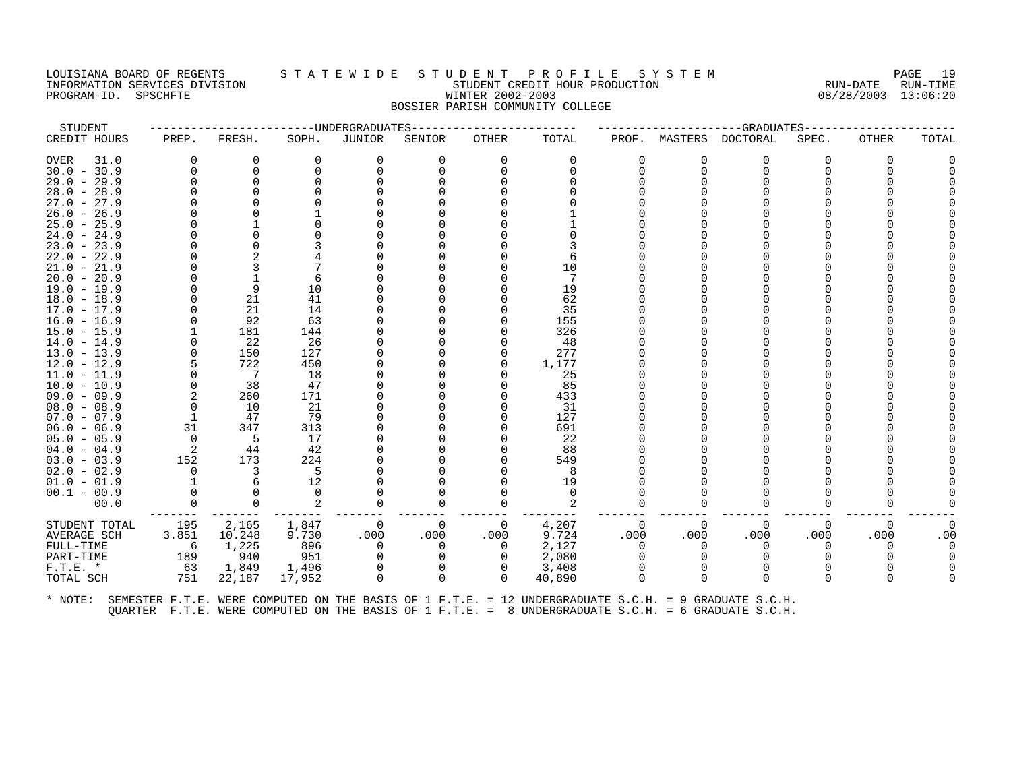# LOUISIANA BOARD OF REGENTS STATEWIDE STUDE NT PROFILE SYSTEM PAGE 19<br>INFORMATION SERVICES DIVISION STATE WILLE STUDENT CREDIT HOUR PRODUCTION RUN-DATE RUN-TIME INFORMATION SERVICES DIVISION SUBSERVICES ON A SUBSERVICE SUBSERVICES ON A SUBSERVICES ON A SUBSERVICES ON A SU<br>PROGRAM-ID. SPSCHFTE SUBSERVICES ON A SUBSERVICES ON A SUBSERVICE ON A SUBSERVICES ON A SUBSERVICES ON A SUBSE PROGRAM-ID. SPSCHFTE WINTER 2002-2003 BOSSIER PARISH COMMUNITY COLLEGE

| STUDENT                                                                                                      |                            |                |          | ------------------------UNDERGRADUATES |          | ----------------- |          |          |          | ------------------GRADUATES------- |          |              |       |
|--------------------------------------------------------------------------------------------------------------|----------------------------|----------------|----------|----------------------------------------|----------|-------------------|----------|----------|----------|------------------------------------|----------|--------------|-------|
| CREDIT HOURS                                                                                                 | PREP.                      | FRESH.         | SOPH.    | <b>JUNIOR</b>                          | SENIOR   | OTHER             | TOTAL    | PROF.    | MASTERS  | DOCTORAL                           | SPEC.    | OTHER        | TOTAL |
| OVER<br>31.0                                                                                                 | 0                          | 0              | 0        |                                        | 0        | $\Omega$          | 0        | 0        |          | 0                                  | 0        | 0            |       |
| $30.0 - 30.9$                                                                                                | $\Omega$                   | 0              |          |                                        |          |                   |          | 0        | $\Omega$ | 0                                  |          |              |       |
| $29.0 - 29.9$                                                                                                | $\Omega$                   |                |          |                                        |          |                   |          |          |          |                                    |          |              |       |
| $28.0 - 28.9$                                                                                                |                            |                |          |                                        |          |                   |          |          |          |                                    |          |              |       |
| $27.0 - 27.9$                                                                                                |                            |                |          |                                        |          |                   |          |          |          |                                    |          |              |       |
| $26.0 - 26.9$                                                                                                |                            |                |          |                                        |          |                   |          |          |          |                                    |          |              |       |
| $25.0 - 25.9$                                                                                                |                            |                |          |                                        |          |                   |          |          |          |                                    |          |              |       |
| $24.0 - 24.9$                                                                                                |                            |                |          |                                        |          |                   |          |          |          |                                    |          |              |       |
| $23.0 - 23.9$                                                                                                |                            |                |          |                                        |          |                   |          |          |          |                                    |          |              |       |
| $22.0 - 22.9$                                                                                                |                            |                |          |                                        |          |                   |          |          |          |                                    |          |              |       |
| $21.0 - 21.9$                                                                                                |                            |                |          |                                        |          |                   | 10       |          |          |                                    |          |              |       |
| $20.0 - 20.9$                                                                                                |                            |                |          |                                        |          |                   |          |          |          |                                    |          |              |       |
| 19.0 - 19.9                                                                                                  |                            | 9              | 10       |                                        |          |                   | 19       |          |          |                                    |          |              |       |
| $18.0 - 18.9$                                                                                                |                            | 21             | 41       |                                        |          |                   | 62       |          |          |                                    |          |              |       |
| $17.0 - 17.9$                                                                                                | 0                          | 21             | 14       |                                        |          |                   | 35       |          |          |                                    |          |              |       |
| $16.0 - 16.9$                                                                                                |                            | 92             | 63       |                                        |          |                   | 155      |          |          |                                    |          |              |       |
| $15.0 - 15.9$                                                                                                |                            | 181            | 144      |                                        |          |                   | 326      |          |          |                                    |          |              |       |
| $14.0 - 14.9$                                                                                                | 0                          | 22             | 26       |                                        |          |                   | 48       |          |          |                                    |          |              |       |
| $13.0 - 13.9$                                                                                                | $\Omega$                   | 150            | 127      |                                        |          |                   | 277      |          |          |                                    |          |              |       |
| $12.0 - 12.9$                                                                                                |                            | 722            | 450      |                                        |          |                   | 1,177    |          |          |                                    |          |              |       |
| $11.0 - 11.9$                                                                                                | 0                          | $\overline{7}$ | 18       |                                        |          |                   | -25      |          |          |                                    |          |              |       |
| $10.0 - 10.9$                                                                                                | $\mathbf 0$                | 38             | 47       |                                        |          |                   | 85       |          |          |                                    |          |              |       |
| $09.0 - 09.9$                                                                                                | 2                          | 260            | 171      |                                        |          |                   | 433      |          |          |                                    |          |              |       |
| $08.0 - 08.9$                                                                                                | $\Omega$                   | 10             | 21       |                                        |          |                   | 31       |          |          |                                    |          |              |       |
| $07.0 - 07.9$                                                                                                | - 1                        | 47             | 79       |                                        |          |                   | 127      |          |          |                                    |          |              |       |
| $06.0 - 06.9$                                                                                                | 31                         | 347            | 313      |                                        |          |                   | 691      |          |          |                                    |          |              |       |
| $05.0 - 05.9$                                                                                                | $\Omega$                   | 5              | 17       |                                        |          |                   | 22       |          |          |                                    |          |              |       |
| $04.0 - 04.9$                                                                                                | $\overline{\phantom{0}}^2$ | 44             | 42       |                                        |          |                   | 88       |          |          |                                    |          |              |       |
| $03.0 - 03.9$                                                                                                | 152                        | 173            | 224      |                                        |          |                   | 549      |          |          |                                    |          |              |       |
| $02.0 - 02.9$                                                                                                | $\Omega$                   | 3              | -5       |                                        |          |                   | -8       |          |          |                                    |          |              |       |
| $01.0 - 01.9$                                                                                                |                            |                | 12       |                                        |          |                   | 19       |          |          |                                    |          |              |       |
| $00.1 - 00.9$                                                                                                | 0                          |                | $\Omega$ |                                        |          |                   | $\Omega$ |          |          |                                    |          |              |       |
| 00.0                                                                                                         | $\Omega$                   | 0              |          |                                        | 0        |                   |          | O        |          | 0                                  |          |              |       |
| STUDENT TOTAL                                                                                                | 195                        | 2,165          | 1,847    | 0                                      | $\Omega$ | 0                 | 4,207    | $\Omega$ | $\Omega$ | $\Omega$                           | $\Omega$ | $\Omega$     |       |
| AVERAGE SCH                                                                                                  | 3.851                      | 10.248         | 9.730    | .000                                   | .000     | .000              | 9.724    | .000     | .000     | .000                               | .000     | .000         | .00   |
| FULL-TIME                                                                                                    | - 6                        | 1,225          | 896      | $\Omega$                               | 0        | $\Omega$          | 2,127    | $\Omega$ | $\Omega$ | $\Omega$                           | 0        | $\Omega$     |       |
| PART-TIME                                                                                                    | 189                        | 940            | 951      |                                        |          |                   | 2,080    | 0        |          |                                    |          |              |       |
| $F.T.E.$ *                                                                                                   | 63                         | 1,849          | 1,496    | $\Omega$                               | 0        | 0                 | 3,408    | $\Omega$ |          | $\Omega$                           |          |              |       |
| TOTAL SCH                                                                                                    | 751                        | 22,187         | 17,952   | $\Omega$                               | $\Omega$ | $\Omega$          | 40,890   | $\Omega$ | $\Omega$ | $\Omega$                           |          | <sup>0</sup> |       |
| * NOTE: SEMESTER F.T.E. WERE COMPUTED ON THE BASIS OF 1 F.T.E. = 12 UNDERGRADUATE S.C.H. = 9 GRADUATE S.C.H. |                            |                |          |                                        |          |                   |          |          |          |                                    |          |              |       |
|                                                                                                              |                            |                |          |                                        |          |                   |          |          |          |                                    |          |              |       |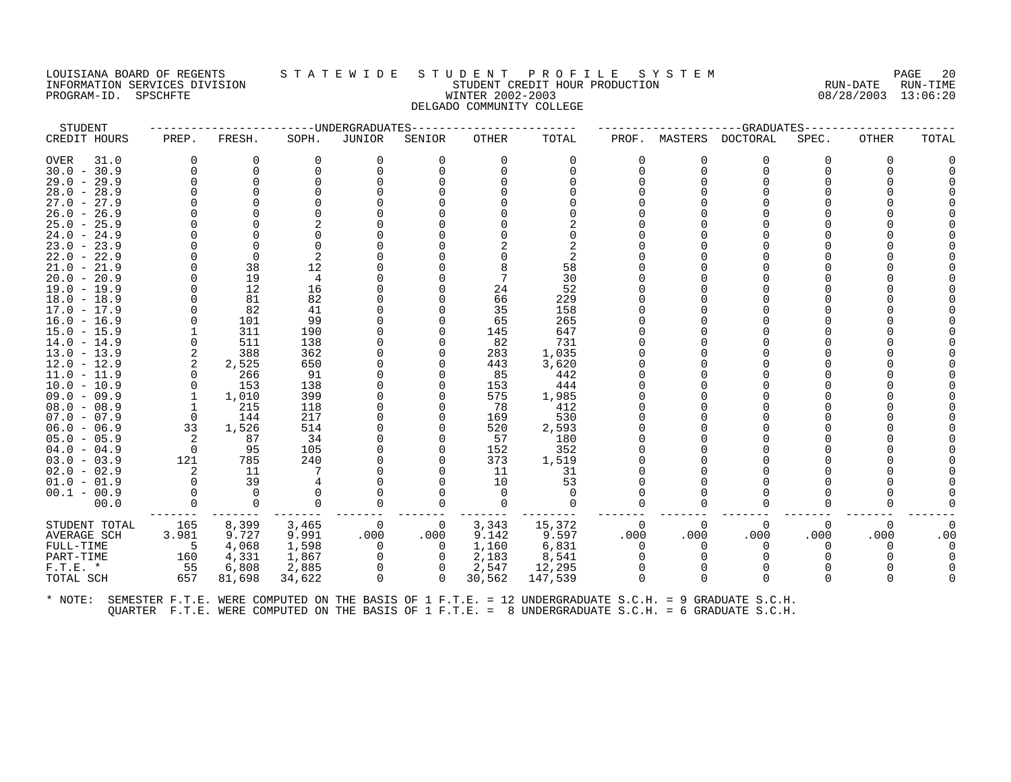## LOUISIANA BOARD OF REGENTS STATEWIDE STUDENT PROFILE SYSTEM NAGE 20 INFORMATION SERVICES DIVISION CONSULTED STUDENT CREDIT HOUR PRODUCTION THE RUN-DATE RUN-TIME RUN-TIME RUN-TIME<br>PROGRAM-ID. SPSCHFTE SERVICES PRODUCTION WINTER 2002-2003 WINTER 2002-2003 PROGRAM-ID. SPSCHFTE **WINTER 2002-2003** DELGADO COMMUNITY COLLEGE

| STUDENT                        |                |              |            | --------------------UNDERGRADUATES |                | -------------- |              |          |              | ------------------GRADUATES----- |          |          |       |
|--------------------------------|----------------|--------------|------------|------------------------------------|----------------|----------------|--------------|----------|--------------|----------------------------------|----------|----------|-------|
| CREDIT HOURS                   | PREP.          | FRESH.       | SOPH.      | JUNIOR                             | SENIOR         | OTHER          | TOTAL        | PROF.    | MASTERS      | <b>DOCTORAL</b>                  | SPEC.    | OTHER    | TOTAL |
| OVER<br>31.0                   | $\Omega$       | 0            | $\Omega$   | 0                                  | 0              | $\Omega$       | 0            | 0        | 0            | 0                                | 0        | O        |       |
| $30.0 - 30.9$                  | $\Omega$       | $\Omega$     |            | $\Omega$                           | U              | $\Omega$       |              | $\Omega$ | $\Omega$     | $\Omega$                         |          |          |       |
| $29.0 - 29.9$                  | $\Omega$       | $\mathbf 0$  |            |                                    |                |                |              |          | $\Omega$     |                                  |          |          |       |
| $28.0 - 28.9$                  |                |              |            |                                    |                |                |              |          |              |                                  |          |          |       |
| $27.0 - 27.9$                  |                |              |            |                                    |                |                |              |          |              |                                  |          |          |       |
| $26.0 - 26.9$                  |                |              |            |                                    |                |                |              |          |              |                                  |          |          |       |
| $25.0 - 25.9$                  |                |              |            |                                    |                |                |              |          |              |                                  |          |          |       |
| $24.0 - 24.9$                  |                |              |            |                                    |                |                |              |          |              |                                  |          |          |       |
| $23.0 - 23.9$                  |                | $\Omega$     |            |                                    |                |                |              |          |              |                                  |          |          |       |
| $22.0 - 22.9$                  |                | $\Omega$     |            |                                    |                |                |              |          |              |                                  |          |          |       |
| $21.0 - 21.9$                  |                | 38           | 12         |                                    |                |                | 58           |          |              |                                  |          |          |       |
| $20.0 - 20.9$                  |                | 19           | 4          |                                    |                |                | 30           |          |              |                                  |          |          |       |
| $19.0 - 19.9$                  |                | 12           | 16         |                                    |                | 24             | 52           |          |              |                                  |          |          |       |
| $18.0 - 18.9$                  |                | 81           | 82         |                                    |                | 66             | 229          |          |              |                                  |          |          |       |
| $17.0 - 17.9$                  |                | 82           | 41         |                                    |                | 35             | 158          |          |              |                                  |          |          |       |
| $16.0 - 16.9$                  |                | 101          | 99         |                                    |                | 65             | 265          |          |              |                                  |          |          |       |
| $15.0 - 15.9$                  |                | 311          | 190        |                                    |                | 145            | 647          |          |              |                                  |          |          |       |
| $14.0 - 14.9$                  |                | 511          | 138        |                                    | O              | 82             | 731          |          |              |                                  |          |          |       |
| $13.0 - 13.9$                  | 2              | 388          | 362        |                                    | U              | 283            | 1,035        |          |              |                                  |          |          |       |
| $12.0 - 12.9$                  | 2              | 2,525        | 650        |                                    |                | 443            | 3,620        |          |              |                                  |          |          |       |
| $11.0 - 11.9$                  | $\Omega$       | 266          | 91         |                                    |                | 85             | 442          |          |              |                                  |          |          |       |
| $10.0 - 10.9$                  | $\Omega$<br>1  | 153          | 138<br>399 |                                    | O              | 153<br>575     | 444          |          |              |                                  |          |          |       |
| $09.0 - 09.9$<br>$08.0 - 08.9$ |                | 1,010<br>215 | 118        |                                    |                | 78             | 1,985<br>412 |          |              |                                  |          |          |       |
| $07.0 - 07.9$                  | 0              | 144          | 217        |                                    | O              | 169            | 530          |          |              |                                  |          |          |       |
| $06.0 - 06.9$                  | 33             | 1,526        | 514        |                                    | 0              | 520            | 2,593        |          |              |                                  |          |          |       |
| $05.0 - 05.9$                  | 2              | 87           | 34         |                                    |                | 57             | 180          |          |              |                                  |          |          |       |
| $04.0 - 04.9$                  | $\overline{0}$ | 95           | 105        |                                    | 0              | 152            | 352          |          |              |                                  |          |          |       |
| $03.0 - 03.9$                  | 121            | 785          | 240        |                                    |                | 373            | 1,519        |          |              |                                  |          |          |       |
| $02.0 - 02.9$                  | 2              | 11           |            |                                    |                | 11             | 31           |          |              |                                  |          |          |       |
| $01.0 - 01.9$                  | $\Omega$       | 39           |            |                                    |                | 10             | 53           |          |              |                                  |          |          |       |
| $00.1 - 00.9$                  |                | $\Omega$     |            |                                    |                | $\Omega$       | $\Omega$     |          |              |                                  |          |          |       |
| 00.0                           | $\Omega$       | $\Omega$     | $\Omega$   | $\Omega$                           | $\Omega$       | $\Omega$       | $\Omega$     | $\Omega$ | $\Omega$     | $\Omega$                         | $\Omega$ |          |       |
| STUDENT TOTAL                  | 165            | 8,399        | 3,465      | 0                                  | $\overline{0}$ | 3,343          | 15,372       | $\Omega$ | $\Omega$     | $\Omega$                         | $\Omega$ | $\Omega$ |       |
| AVERAGE SCH                    | 3.981          | 9.727        | 9.991      | .000                               | .000           | 9.142          | 9.597        | .000     | .000         | .000                             | .000     | .000     | .00   |
| FULL-TIME                      | - 5            | 4,068        | 1,598      | $\overline{0}$                     | $\overline{0}$ | 1,160          | 6,831        | 0        | $\Omega$     | 0                                | 0        |          |       |
| PART-TIME                      | 160            | 4,331        | 1,867      | $\mathbf 0$                        | $\mathbf{0}$   | 2,183          | 8,541        | $\Omega$ | <sup>0</sup> |                                  |          |          |       |
| $F.T.E. *$                     | 55             | 6,808        | 2,885      | 0                                  | 0              | 2,547          | 12,295       |          |              |                                  |          |          |       |
| TOTAL SCH                      | 657            | 81,698       | 34,622     | $\Omega$                           | $\Omega$       | 30,562         | 147,539      | $\Omega$ | $\Omega$     | $\Omega$                         | 0        |          |       |
|                                |                |              |            |                                    |                |                |              |          |              |                                  |          |          |       |
|                                |                |              |            |                                    |                |                |              |          |              |                                  |          |          |       |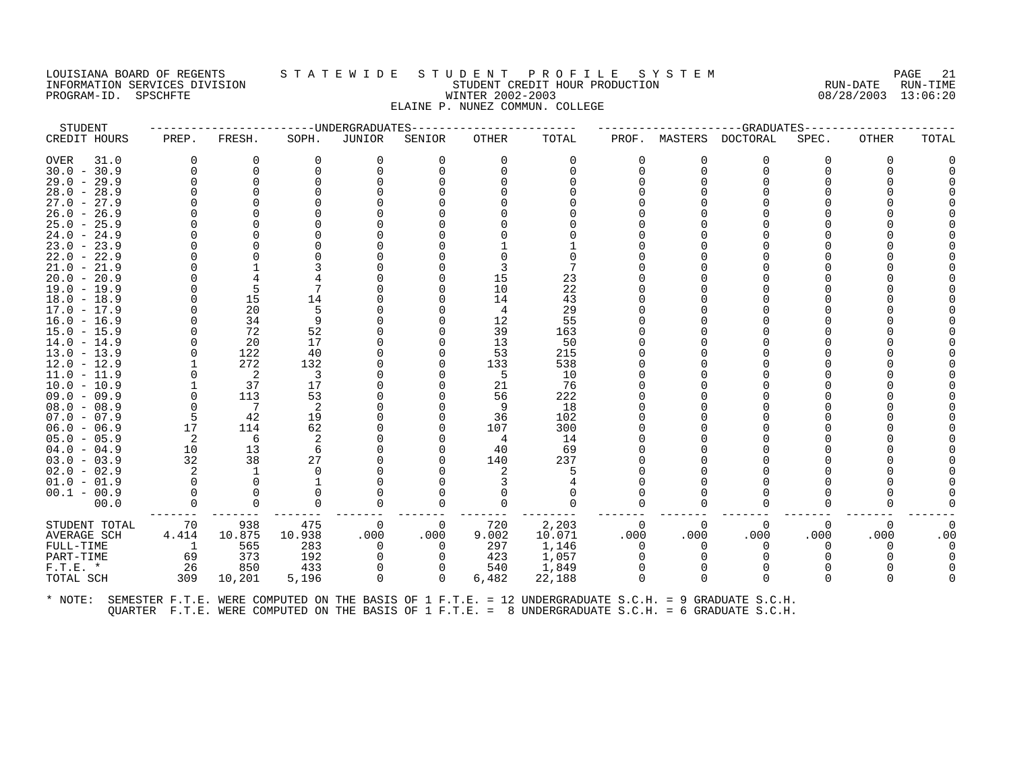## LOUISIANA BOARD OF REGENTS STATEWIDE STUDENT PROFILE SYSTEM PAGE 21 INFORMATION SERVICES DIVISION SUBSERVICES ON STUDENT STUDENT CREDIT HOUR PRODUCTION RUN-DATE RUN-DATE RUN-TIME<br>INFORMATION SERVICES DIVISION STUDENT STUDENT CREDIT HOUR PRODUCTION 808/28/2003 13:06:20 PROGRAM-ID. SPSCHFTE WINTER 2002-2003 ELAINE P. NUNEZ COMMUN. COLLEGE

| STUDENT                        |       |                | -------------------DNDERGRADUATES |             |          |           |            |          |          | --GRADUATES                                                                                          |          |          |       |
|--------------------------------|-------|----------------|-----------------------------------|-------------|----------|-----------|------------|----------|----------|------------------------------------------------------------------------------------------------------|----------|----------|-------|
| CREDIT HOURS                   | PREP. | FRESH.         | SOPH.                             | JUNIOR      | SENIOR   | OTHER     | TOTAL      | PROF.    | MASTERS  | DOCTORAL                                                                                             | SPEC.    | OTHER    | TOTAL |
| <b>OVER</b><br>31.0            | 0     | 0              | 0                                 | 0           | 0        | $\Omega$  | 0          | 0        | O        | 0                                                                                                    | 0        | O        |       |
| $30.0 - 30.9$                  |       |                | <sup>0</sup>                      | $\mathbf 0$ |          | $\Omega$  |            | $\Omega$ | ∩        | $\Omega$                                                                                             |          |          |       |
| $29.0 - 29.9$                  |       |                |                                   |             |          |           |            |          |          |                                                                                                      |          |          |       |
| $28.0 - 28.9$                  |       |                |                                   |             |          |           |            |          |          |                                                                                                      |          |          |       |
| $27.0 - 27.9$                  |       |                |                                   |             |          |           |            |          |          |                                                                                                      |          |          |       |
| $26.0 - 26.9$                  |       |                |                                   |             |          |           |            |          |          |                                                                                                      |          |          |       |
| $25.0 - 25.9$                  |       |                |                                   |             |          |           |            |          |          |                                                                                                      |          |          |       |
| $24.0 - 24.9$                  |       |                |                                   |             |          |           |            |          |          |                                                                                                      |          |          |       |
| 23.9<br>$23.0 -$               |       |                |                                   |             |          |           |            |          |          |                                                                                                      |          |          |       |
| $22.0 - 22.9$                  |       |                |                                   |             |          |           |            |          |          |                                                                                                      |          |          |       |
| $21.0 - 21.9$                  |       |                |                                   |             |          |           |            |          |          |                                                                                                      |          |          |       |
| $20.0 -$<br>20.9               |       |                |                                   |             |          | 15        | 23         |          |          |                                                                                                      |          |          |       |
| $19.0 - 19.9$                  |       |                |                                   |             |          | 10        | 22         |          |          |                                                                                                      |          |          |       |
| $18.0 - 18.9$                  |       | 15             | 14                                |             |          | 14        | 43         |          |          |                                                                                                      |          |          |       |
| $17.0 - 17.9$                  |       | 20             | 5                                 |             |          | 4         | 29         |          |          |                                                                                                      |          |          |       |
| $16.0 - 16.9$                  |       | 34             | 9                                 |             |          | 12        | 55         |          |          |                                                                                                      |          |          |       |
| $15.0 - 15.9$                  |       | 72             | 52                                |             |          | 39        | 163        |          |          |                                                                                                      |          |          |       |
| $14.0 - 14.9$                  |       | 20             | 17                                |             |          | 13        | 50         |          |          |                                                                                                      |          |          |       |
| $13.0 - 13.9$                  |       | 122            | 40                                |             |          | 53        | 215        |          |          |                                                                                                      |          |          |       |
| $12.0 - 12.9$                  |       | 272            | 132                               |             |          | 133       | 538        |          |          |                                                                                                      |          |          |       |
| $11.0 - 11.9$                  |       | 2              | 3                                 |             |          | -5        | 10         |          |          |                                                                                                      |          |          |       |
| $10.0 - 10.9$                  |       | 37             | 17                                |             |          | 21        | 76         |          |          |                                                                                                      |          |          |       |
| $09.0 - 09.9$                  |       | 113            | 53                                |             |          | 56        | 222        |          |          |                                                                                                      |          |          |       |
| $08.0 - 08.9$                  |       | $\overline{7}$ | 2                                 |             |          | -9        | 18         |          |          |                                                                                                      |          |          |       |
| $07.0 - 07.9$                  | 17    | 42<br>114      | 19<br>62                          |             |          | 36<br>107 | 102<br>300 |          |          |                                                                                                      |          |          |       |
| $06.0 - 06.9$<br>$05.0 - 05.9$ | 2     | 6              | 2                                 |             |          | 4         | 14         |          |          |                                                                                                      |          |          |       |
| $04.0 - 04.9$                  | 10    | 13             | 6                                 |             |          | 40        | 69         |          |          |                                                                                                      |          |          |       |
| $03.0 - 03.9$                  | 32    | 38             | 27                                |             |          | 140       | 237        |          |          |                                                                                                      |          |          |       |
| $02.0 - 02.9$                  |       |                |                                   |             |          |           |            |          |          |                                                                                                      |          |          |       |
| $01.0 - 01.9$                  |       |                |                                   |             |          |           |            |          |          |                                                                                                      |          |          |       |
| $00.1 - 00.9$                  |       |                |                                   |             |          |           |            | O        |          |                                                                                                      |          |          |       |
| 00.0                           |       |                | O                                 | $\Omega$    | ∩        |           |            | O        |          | O                                                                                                    |          |          |       |
|                                |       |                |                                   |             |          |           |            |          |          |                                                                                                      |          |          |       |
| STUDENT TOTAL                  | 70    | 938            | 475                               | 0           | 0        | 720       | 2,203      | 0        | $\Omega$ | 0                                                                                                    | 0        | 0        |       |
| AVERAGE SCH                    | 4.414 | 10.875         | 10.938                            | .000        | .000     | 9.002     | 10.071     | .000     | .000     | .000                                                                                                 | .000     | .000     | .00   |
| FULL-TIME                      | 1     | 565            | 283                               | $\Omega$    | $\Omega$ | 297       | 1,146      | $\Omega$ | $\Omega$ | $\Omega$                                                                                             | $\Omega$ | $\Omega$ |       |
| PART-TIME                      | 69    | 373            | 192                               | $\Omega$    |          | 423       | 1,057      | $\Omega$ |          |                                                                                                      |          |          |       |
| $F.T.E.$ *                     | 26    | 850            | 433                               | 0           | 0        | 540       | 1,849      | $\Omega$ |          | $\Omega$                                                                                             |          |          |       |
| TOTAL SCH                      | 309   | 10,201         | 5,196                             | $\Omega$    | $\Omega$ | 6,482     | 22,188     | $\Omega$ | $\Omega$ | $\Omega$                                                                                             |          | ∩        |       |
| * NOTE:                        |       |                |                                   |             |          |           |            |          |          | SEMESTER F.T.E. WERE COMPUTED ON THE BASIS OF 1 F.T.E. = 12 UNDERGRADUATE S.C.H. = 9 GRADUATE S.C.H. |          |          |       |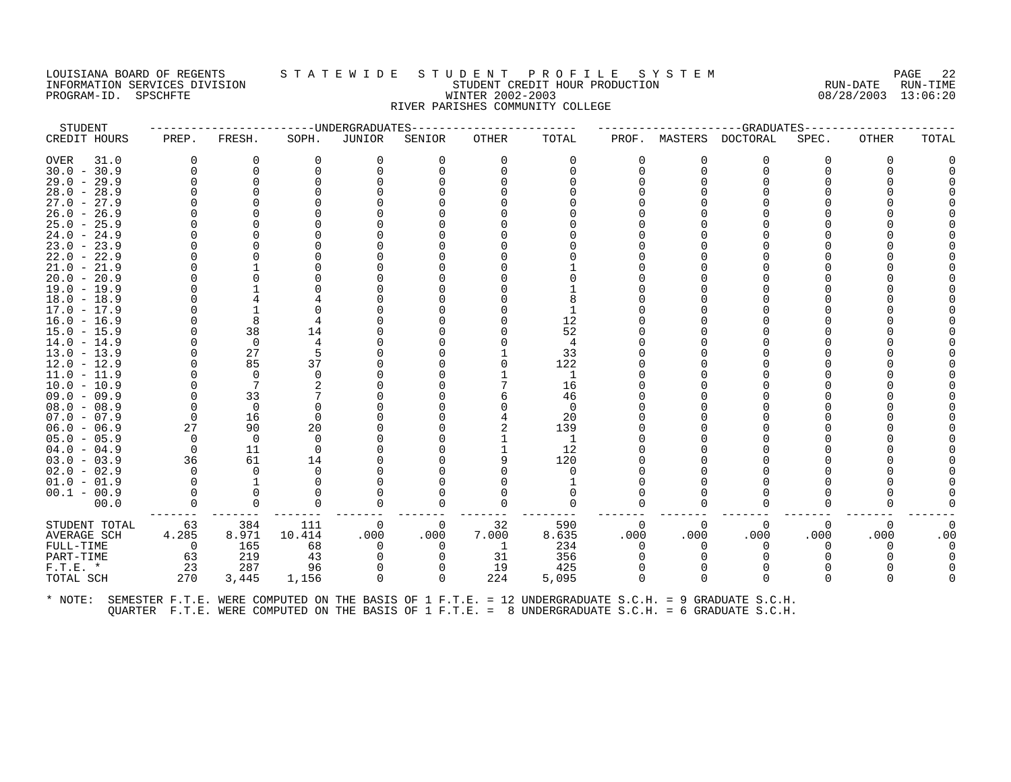#### LOUISIANA BOARD OF REGENTS S T A T E W I D E S T U D E N T P R O F I L E S Y S T E M PAGE 22 INFORMATION SERVICES DIVISION STUDENT CREDIT HOUR PRODUCTION RUN-DATE RUN-TIME PROGRAM-ID. SPSCHFTE WINTER 2002-2003 08/28/2003 13:06:20 RIVER PARISHES COMMUNITY COLLEGE

| PREP. | FRESH.                                                                                                          | SOPH.                                                                                                                                           | -----------------------DNDERGRADUATES<br>JUNIOR  | SENIOR   | OTHER     | TOTAL        | PROF.                                                                                 |          | -----------------GRADUATES<br>MASTERS DOCTORAL | SPEC.                                                                                                                | <b>OTHER</b> | TOTAL |
|-------|-----------------------------------------------------------------------------------------------------------------|-------------------------------------------------------------------------------------------------------------------------------------------------|--------------------------------------------------|----------|-----------|--------------|---------------------------------------------------------------------------------------|----------|------------------------------------------------|----------------------------------------------------------------------------------------------------------------------|--------------|-------|
|       |                                                                                                                 |                                                                                                                                                 |                                                  |          |           |              |                                                                                       |          |                                                |                                                                                                                      |              |       |
|       | 0                                                                                                               | $\Omega$                                                                                                                                        | 0                                                | 0        |           | 0            | 0                                                                                     |          | 0                                              |                                                                                                                      | O            |       |
| ∩     | 0                                                                                                               |                                                                                                                                                 |                                                  |          |           |              | 0                                                                                     |          | 0                                              |                                                                                                                      |              |       |
|       |                                                                                                                 |                                                                                                                                                 |                                                  |          |           |              |                                                                                       |          |                                                |                                                                                                                      |              |       |
|       |                                                                                                                 |                                                                                                                                                 |                                                  |          |           |              |                                                                                       |          |                                                |                                                                                                                      |              |       |
|       |                                                                                                                 |                                                                                                                                                 |                                                  |          |           |              |                                                                                       |          |                                                |                                                                                                                      |              |       |
|       |                                                                                                                 |                                                                                                                                                 |                                                  |          |           |              |                                                                                       |          |                                                |                                                                                                                      |              |       |
|       |                                                                                                                 |                                                                                                                                                 |                                                  |          |           |              |                                                                                       |          |                                                |                                                                                                                      |              |       |
|       |                                                                                                                 |                                                                                                                                                 |                                                  |          |           |              |                                                                                       |          |                                                |                                                                                                                      |              |       |
|       |                                                                                                                 |                                                                                                                                                 |                                                  |          |           |              |                                                                                       |          |                                                |                                                                                                                      |              |       |
|       |                                                                                                                 |                                                                                                                                                 |                                                  |          |           |              |                                                                                       |          |                                                |                                                                                                                      |              |       |
|       |                                                                                                                 |                                                                                                                                                 |                                                  |          |           |              |                                                                                       |          |                                                |                                                                                                                      |              |       |
|       |                                                                                                                 |                                                                                                                                                 |                                                  |          |           |              |                                                                                       |          |                                                |                                                                                                                      |              |       |
|       |                                                                                                                 |                                                                                                                                                 |                                                  |          |           |              |                                                                                       |          |                                                |                                                                                                                      |              |       |
|       |                                                                                                                 |                                                                                                                                                 |                                                  |          |           |              |                                                                                       |          |                                                |                                                                                                                      |              |       |
|       |                                                                                                                 |                                                                                                                                                 |                                                  |          |           |              |                                                                                       |          |                                                |                                                                                                                      |              |       |
|       |                                                                                                                 |                                                                                                                                                 |                                                  |          |           |              |                                                                                       |          |                                                |                                                                                                                      |              |       |
|       |                                                                                                                 | 14                                                                                                                                              |                                                  |          |           |              |                                                                                       |          |                                                |                                                                                                                      |              |       |
|       | 0                                                                                                               |                                                                                                                                                 |                                                  |          |           | 4            |                                                                                       |          |                                                |                                                                                                                      |              |       |
|       |                                                                                                                 |                                                                                                                                                 |                                                  |          |           |              |                                                                                       |          |                                                |                                                                                                                      |              |       |
|       |                                                                                                                 |                                                                                                                                                 |                                                  |          |           |              |                                                                                       |          |                                                |                                                                                                                      |              |       |
|       | 0                                                                                                               |                                                                                                                                                 |                                                  |          |           | 1            |                                                                                       |          |                                                |                                                                                                                      |              |       |
|       |                                                                                                                 |                                                                                                                                                 |                                                  |          |           |              |                                                                                       |          |                                                |                                                                                                                      |              |       |
|       |                                                                                                                 |                                                                                                                                                 |                                                  |          |           |              |                                                                                       |          |                                                |                                                                                                                      |              |       |
|       |                                                                                                                 |                                                                                                                                                 |                                                  |          |           |              |                                                                                       |          |                                                |                                                                                                                      |              |       |
|       |                                                                                                                 |                                                                                                                                                 |                                                  |          |           |              |                                                                                       |          |                                                |                                                                                                                      |              |       |
|       |                                                                                                                 |                                                                                                                                                 |                                                  |          |           |              |                                                                                       |          |                                                |                                                                                                                      |              |       |
|       |                                                                                                                 |                                                                                                                                                 |                                                  |          |           |              |                                                                                       |          |                                                |                                                                                                                      |              |       |
|       |                                                                                                                 |                                                                                                                                                 |                                                  |          |           |              |                                                                                       |          |                                                |                                                                                                                      |              |       |
|       |                                                                                                                 |                                                                                                                                                 |                                                  |          |           |              |                                                                                       |          |                                                |                                                                                                                      |              |       |
|       |                                                                                                                 |                                                                                                                                                 |                                                  |          |           |              |                                                                                       |          |                                                |                                                                                                                      |              |       |
|       |                                                                                                                 |                                                                                                                                                 |                                                  |          |           |              |                                                                                       |          |                                                |                                                                                                                      |              |       |
|       |                                                                                                                 |                                                                                                                                                 |                                                  |          |           |              |                                                                                       |          |                                                |                                                                                                                      |              |       |
|       |                                                                                                                 |                                                                                                                                                 |                                                  |          |           |              |                                                                                       |          |                                                |                                                                                                                      |              |       |
| 63    | 384                                                                                                             | 111                                                                                                                                             | 0                                                | 0        | 32        | 590          | 0                                                                                     | $\Omega$ | 0                                              | $\Omega$                                                                                                             | 0            |       |
|       |                                                                                                                 |                                                                                                                                                 |                                                  |          |           |              |                                                                                       |          |                                                |                                                                                                                      |              | .00   |
| 0     | 165                                                                                                             | 68                                                                                                                                              | 0                                                | 0        | 1         | 234          | 0                                                                                     |          | 0                                              | $\Omega$                                                                                                             | O            |       |
| 63    | 219                                                                                                             | 43                                                                                                                                              | 0                                                | $\Omega$ | 31        | 356          |                                                                                       |          |                                                |                                                                                                                      |              |       |
| 23    | 287                                                                                                             | 96                                                                                                                                              | $\Omega$                                         |          | 19        | 425          |                                                                                       |          |                                                |                                                                                                                      |              |       |
|       | 3,445                                                                                                           | 1,156                                                                                                                                           | 0                                                | 0        |           | 5,095        | $\Omega$                                                                              |          | $\Omega$                                       |                                                                                                                      |              |       |
|       | O<br>$\Omega$<br>0<br>27<br>$\Omega$<br>$\Omega$<br>36<br>$\Omega$<br>$\Omega$<br>$\Omega$<br>∩<br>4.285<br>270 | 8<br>38<br>27<br>85<br>$7\phantom{.0}$<br>33<br>$\Omega$<br>16<br>90<br>$\overline{0}$<br>11<br>61<br>$\Omega$<br>$\Omega$<br>$\Omega$<br>8.971 | 37<br>20<br>$\Omega$<br>$\Omega$<br>14<br>10.414 | .000     | O<br>.000 | 7.000<br>224 | 12<br>52<br>33<br>122<br>16<br>46<br>$\Omega$<br>20<br>139<br>1<br>12<br>120<br>8.635 | .000     | .000                                           | .000<br>* NOTE: SEMESTER F.T.E. WERE COMPUTED ON THE BASIS OF 1 F.T.E. = 12 UNDERGRADUATE S.C.H. = 9 GRADUATE S.C.H. | .000         | .000  |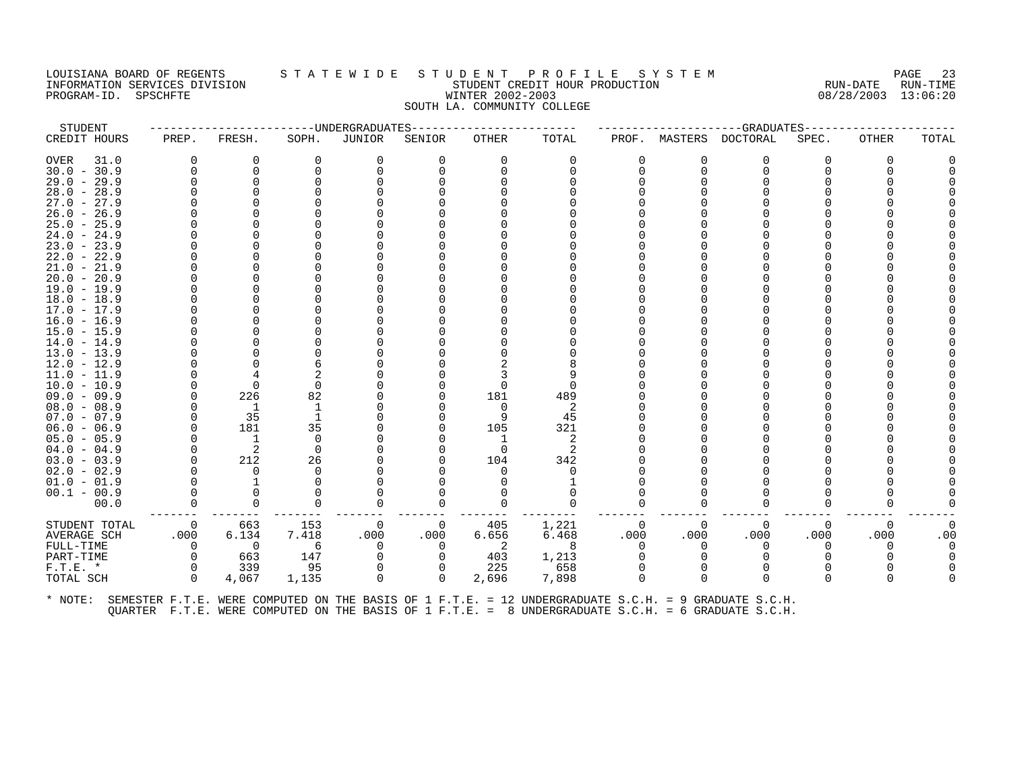## LOUISIANA BOARD OF REGENTS STATEWIDE STUDENT PROFILE SYSTEM NAGE 23 INFORMATION SERVICES DIVISION SUBSERVICES ON STUDENT STUDENT CREDIT HOUR PRODUCTION RUN-DATE RUN-DATE RUN-TIME<br>INFORMATION SERVICES DIVISION STUDENT STUDENT CREDIT HOUR PRODUCTION 808/28/2003 13:06:20 PROGRAM-ID. SPSCHFTE WINTER 2002-2003 SOUTH LA. COMMUNITY COLLEGE

| STUDENT             |              |          |          | --UNDERGRADUATES |          |              |          |       |          | -GRADUATES |          |          |       |
|---------------------|--------------|----------|----------|------------------|----------|--------------|----------|-------|----------|------------|----------|----------|-------|
| CREDIT HOURS        | PREP.        | FRESH.   | SOPH.    | JUNIOR           | SENIOR   | <b>OTHER</b> | TOTAL    | PROF. | MASTERS  | DOCTORAL   | SPEC.    | OTHER    | TOTAL |
| <b>OVER</b><br>31.0 | <sup>0</sup> | $\Omega$ | $\Omega$ | $\Omega$         | 0        | $\Omega$     | $\Omega$ |       | $\Omega$ | $\Omega$   |          | $\Omega$ |       |
| $30.0 - 30.9$       | $\Omega$     | $\Omega$ |          | $\Omega$         |          | ∩            | U        |       | $\Omega$ | $\Omega$   |          |          |       |
| $29.0 - 29.9$       |              | $\Omega$ |          |                  |          |              |          |       |          | U          |          |          |       |
| $28.0 - 28.9$       |              |          |          |                  |          |              |          |       |          |            |          |          |       |
| $27.0 - 27.9$       |              |          |          |                  |          |              |          |       |          |            |          |          |       |
| $26.0 - 26.9$       |              |          |          |                  |          |              |          |       |          |            |          |          |       |
| $25.0 - 25.9$       |              |          |          |                  |          |              |          |       |          |            |          |          |       |
| $24.0 - 24.9$       |              |          |          |                  |          |              |          |       |          |            |          |          |       |
| $23.0 - 23.9$       |              |          |          |                  |          |              |          |       |          |            |          |          |       |
| $22.0 - 22.9$       |              |          |          |                  |          |              |          |       |          |            |          |          |       |
| $21.0 - 21.9$       |              |          |          |                  |          |              |          |       |          |            |          |          |       |
| $20.0 - 20.9$       |              |          |          |                  |          |              |          |       |          |            |          |          |       |
| $19.0 - 19.9$       |              |          |          |                  |          |              |          |       |          |            |          |          |       |
| $18.0 - 18.9$       |              |          |          |                  |          |              |          |       |          |            |          |          |       |
| $17.0 - 17.9$       |              |          |          |                  |          |              |          |       |          |            |          |          |       |
| $16.0 - 16.9$       |              |          |          |                  |          |              |          |       |          |            |          |          |       |
| $15.0 - 15.9$       |              |          |          |                  |          |              |          |       |          |            |          |          |       |
| $14.0 - 14.9$       |              |          |          |                  |          |              |          |       |          |            |          |          |       |
| $13.0 - 13.9$       |              |          |          |                  |          |              |          |       |          |            |          |          |       |
| $12.0 - 12.9$       |              |          |          |                  |          |              |          |       |          |            |          |          |       |
| $11.0 - 11.9$       |              |          |          |                  |          |              |          |       |          |            |          |          |       |
| $10.0 - 10.9$       |              | $\Omega$ |          |                  |          |              | n        |       |          |            |          |          |       |
| $09.0 - 09.9$       |              | 226      | 82       |                  |          | 181          | 489      |       |          |            |          |          |       |
| $08.0 - 08.9$       |              | -1       |          |                  |          | $\Omega$     | 2        |       |          |            |          |          |       |
| $07.0 - 07.9$       |              | 35       |          |                  |          | 9            | 45       |       |          |            |          |          |       |
| $06.0 - 06.9$       |              | 181      | 35       |                  |          | 105          | 321      |       |          |            |          |          |       |
| $05.0 - 05.9$       |              | 1        | $\Omega$ |                  |          | 1            | 2        |       |          |            |          |          |       |
| $04.0 - 04.9$       |              | 2        | $\Omega$ |                  |          | $\Omega$     | 2        |       |          |            |          |          |       |
| $03.0 - 03.9$       |              | 212      | 26       |                  |          | 104          | 342      |       |          |            |          |          |       |
| $02.0 - 02.9$       |              | $\Omega$ |          |                  |          | ∩            | O        |       |          |            |          |          |       |
| $01.0 - 01.9$       |              |          |          |                  |          |              |          |       |          |            |          |          |       |
| $00.1 - 00.9$       |              | $\Omega$ |          |                  |          |              |          |       |          |            |          |          |       |
| 00.0                | $\Omega$     | $\Omega$ |          |                  |          |              | $\Omega$ |       | U        | O          |          |          |       |
|                     |              |          |          |                  |          |              |          |       |          |            |          |          |       |
| STUDENT TOTAL       | 0            | 663      | 153      | 0                | 0        | 405          | 1,221    | O     | 0        | 0          | $\Omega$ | 0        |       |
| AVERAGE SCH         | .000         | 6.134    | 7.418    | .000             | .000     | 6.656        | 6.468    | .000  | .000     | .000       | .000     | .000     | .00   |
| FULL-TIME           | $\Omega$     | 0        | 6        | $\Omega$         | $\Omega$ | 2            | 8        |       | ∩        | $\Omega$   |          | n        |       |
| PART-TIME           | $\Omega$     | 663      | 147      |                  |          | 403          | 1,213    |       |          |            |          |          |       |
| $F.T.E.$ *          | $\Omega$     | 339      | 95       | 0                |          | 225          | 658      |       | $\Omega$ | $\Omega$   |          |          |       |
| TOTAL SCH           | 0            | 4,067    | 1,135    | $\mathbf 0$      | 0        | 2,696        | 7,898    |       | $\Omega$ | $\Omega$   |          | ∩        |       |
|                     |              |          |          |                  |          |              |          |       |          |            |          |          |       |
|                     |              |          |          |                  |          |              |          |       |          |            |          |          |       |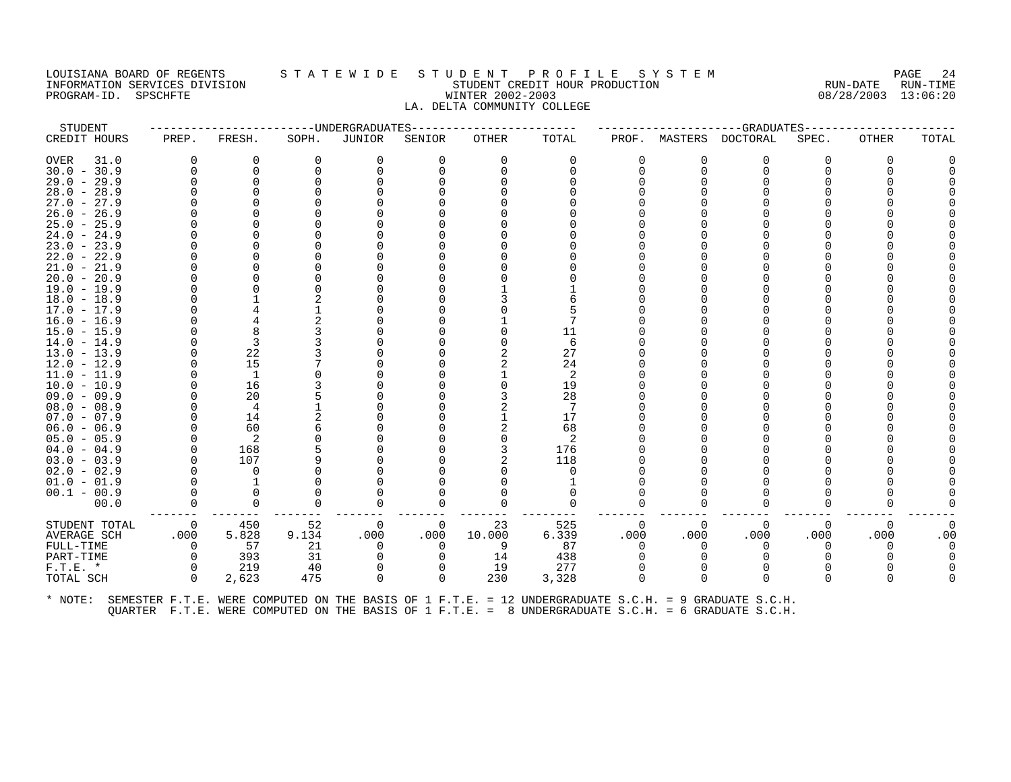#### LOUISIANA BOARD OF REGENTS S T A T E W I D E S T U D E N T P R O F I L E S Y S T E M PAGE 24 INFORMATION SERVICES DIVISION STUDENT CREDIT HOUR PRODUCTION RUN-DATE RUN-TIME PROGRAM-ID. SPSCHFTE WINTER 2002-2003 08/28/2003 13:06:20 LA. DELTA COMMUNITY COLLEGE

| STUDENT                                                                                                      |                |          |       | ------------------------UNDERGRADUATES |          | ----------------- |          |          |              | ------------------GRADUATES--------- |          |              |       |
|--------------------------------------------------------------------------------------------------------------|----------------|----------|-------|----------------------------------------|----------|-------------------|----------|----------|--------------|--------------------------------------|----------|--------------|-------|
| CREDIT HOURS                                                                                                 | PREP.          | FRESH.   | SOPH. | JUNIOR                                 | SENIOR   | OTHER             | TOTAL    | PROF.    |              | MASTERS DOCTORAL                     | SPEC.    | OTHER        | TOTAL |
| OVER<br>31.0                                                                                                 | 0              | 0        | 0     |                                        | 0        | $\Omega$          | 0        | 0        |              | 0                                    | 0        | 0            |       |
| $30.0 - 30.9$                                                                                                | $\Omega$       | 0        |       |                                        |          |                   |          | 0        | $\Omega$     | 0                                    |          |              |       |
| $29.0 - 29.9$                                                                                                |                |          |       |                                        |          |                   |          |          |              |                                      |          |              |       |
| $28.0 - 28.9$                                                                                                |                |          |       |                                        |          |                   |          |          |              |                                      |          |              |       |
| $27.0 - 27.9$                                                                                                |                |          |       |                                        |          |                   |          |          |              |                                      |          |              |       |
| $26.0 - 26.9$                                                                                                |                |          |       |                                        |          |                   |          |          |              |                                      |          |              |       |
| $25.0 - 25.9$                                                                                                |                |          |       |                                        |          |                   |          |          |              |                                      |          |              |       |
| $24.0 - 24.9$                                                                                                |                |          |       |                                        |          |                   |          |          |              |                                      |          |              |       |
| $23.0 - 23.9$                                                                                                |                |          |       |                                        |          |                   |          |          |              |                                      |          |              |       |
| $22.0 - 22.9$                                                                                                |                |          |       |                                        |          |                   |          |          |              |                                      |          |              |       |
| $21.0 - 21.9$                                                                                                |                |          |       |                                        |          |                   |          |          |              |                                      |          |              |       |
| $20.0 - 20.9$                                                                                                |                |          |       |                                        |          |                   |          |          |              |                                      |          |              |       |
| $19.0 - 19.9$                                                                                                |                |          |       |                                        |          |                   |          |          |              |                                      |          |              |       |
| $18.0 - 18.9$                                                                                                |                |          |       |                                        |          |                   |          |          |              |                                      |          |              |       |
| $17.0 - 17.9$                                                                                                |                |          |       |                                        |          |                   |          |          |              |                                      |          |              |       |
| $16.0 - 16.9$                                                                                                |                |          |       |                                        |          |                   |          |          |              |                                      |          |              |       |
| $15.0 - 15.9$                                                                                                |                |          |       |                                        |          |                   | 11       |          |              |                                      |          |              |       |
| $14.0 - 14.9$                                                                                                |                | 3        |       |                                        |          |                   | 6        |          |              |                                      |          |              |       |
| $13.0 - 13.9$                                                                                                |                | 22       |       |                                        |          |                   | 27       |          |              |                                      |          |              |       |
| $12.0 - 12.9$                                                                                                |                | 15       |       |                                        |          |                   | 24       |          |              |                                      |          |              |       |
| $11.0 - 11.9$                                                                                                |                | 1        |       |                                        |          |                   | -2       |          |              |                                      |          |              |       |
| $10.0 - 10.9$                                                                                                | $\Omega$       | 16       |       |                                        |          |                   | 19       |          |              |                                      |          |              |       |
| $09.0 - 09.9$                                                                                                |                | 20       |       |                                        |          |                   | 28       |          |              |                                      |          |              |       |
| $08.0 - 08.9$                                                                                                |                | 4        |       |                                        |          |                   |          |          |              |                                      |          |              |       |
| $07.0 - 07.9$                                                                                                | $\Omega$       | 14       |       |                                        |          |                   | 17       |          |              |                                      |          |              |       |
| $06.0 - 06.9$                                                                                                |                | 60       |       |                                        |          |                   | 68       |          |              |                                      |          |              |       |
| $05.0 - 05.9$                                                                                                |                | -2       |       |                                        |          |                   | -2       |          |              |                                      |          |              |       |
| $04.0 - 04.9$                                                                                                | $\Omega$       | 168      |       |                                        |          |                   | 176      |          |              |                                      |          |              |       |
| $03.0 - 03.9$                                                                                                | $\Omega$       | 107      |       |                                        |          |                   | 118      |          |              |                                      |          |              |       |
| $02.0 - 02.9$                                                                                                |                | $\Omega$ |       |                                        |          |                   | $\Omega$ |          |              |                                      |          |              |       |
| $01.0 - 01.9$                                                                                                |                |          |       |                                        |          |                   |          |          |              |                                      |          |              |       |
| $00.1 - 00.9$                                                                                                | $\Omega$       |          |       |                                        |          |                   |          |          |              |                                      |          |              |       |
| 00.0                                                                                                         |                | 0        | 0     |                                        | 0        |                   | 0        |          |              | 0                                    |          |              |       |
| STUDENT TOTAL                                                                                                | $\overline{0}$ | 450      | 52    | 0                                      | 0        | 23                | 525      | $\Omega$ | $\Omega$     | 0                                    | $\Omega$ | $\Omega$     |       |
| AVERAGE SCH                                                                                                  | .000           | 5.828    | 9.134 | .000                                   | .000     | 10.000            | 6.339    | .000     | .000         | .000                                 | .000     | .000         | .00   |
| FULL-TIME                                                                                                    | $\Omega$       | 57       | 21    | $\Omega$                               | $\Omega$ | 9                 | 87       | $\Omega$ | <sup>n</sup> | $\Omega$                             | 0        | $\Omega$     |       |
| PART-TIME                                                                                                    | 0              | 393      | 31    |                                        | 0        | 14                | 438      |          |              |                                      |          |              |       |
| $F.T.E. *$                                                                                                   | $\Omega$       | 219      | 40    |                                        | 0        | 19                | 277      | $\Omega$ |              | $\Omega$                             |          |              |       |
| TOTAL SCH                                                                                                    | $\Omega$       | 2,623    | 475   | $\Omega$                               | $\Omega$ | 230               | 3,328    | $\Omega$ | $\Omega$     | $\Omega$                             |          | <sup>0</sup> |       |
| * NOTE: SEMESTER F.T.E. WERE COMPUTED ON THE BASIS OF 1 F.T.E. = 12 UNDERGRADUATE S.C.H. = 9 GRADUATE S.C.H. |                |          |       |                                        |          |                   |          |          |              |                                      |          |              |       |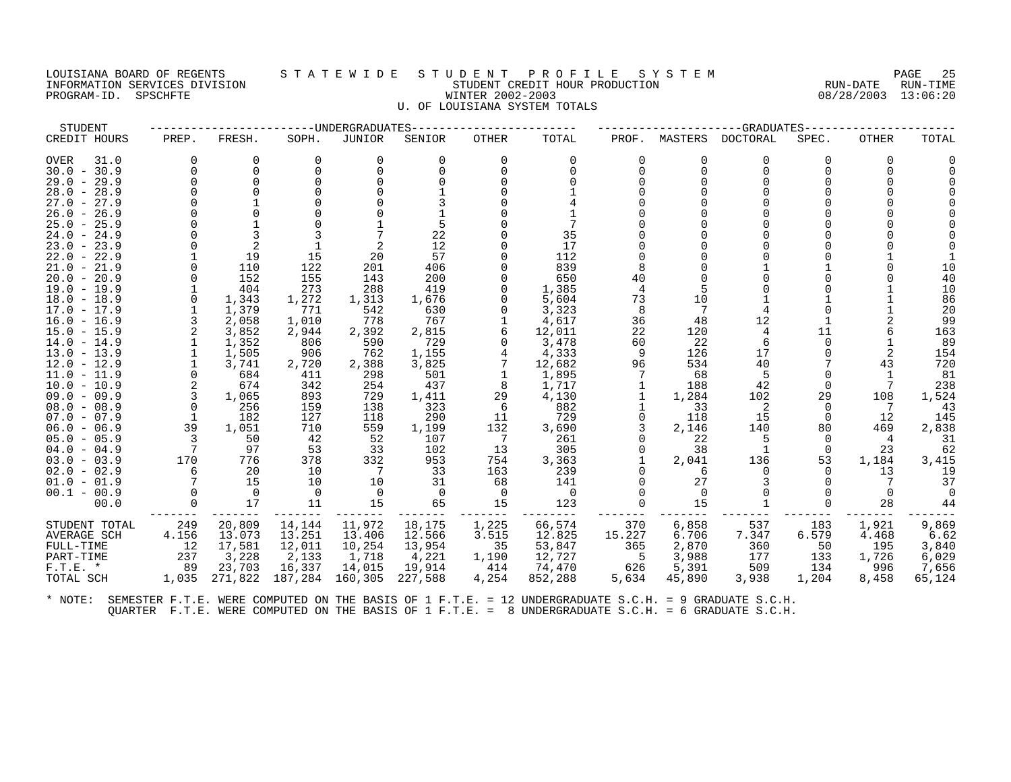#### LOUISIANA BOARD OF REGENTS S T A T E W I D E S T U D E N T P R O F I L E S Y S T E M PAGE 25 INFORMATION SERVICES DIVISION STUDENT CREDIT HOUR PRODUCTION RUN-DATE RUN-TIME PROGRAM-ID. SPSCHFTE WINTER 2002-2003 08/28/2003 13:06:20 U. OF LOUISIANA SYSTEM TOTALS

| STUDENT                                  |       |                |            | -UNDERGRADUATES |                |                |                 |        |          | -GRADUATES   |          |              |          |
|------------------------------------------|-------|----------------|------------|-----------------|----------------|----------------|-----------------|--------|----------|--------------|----------|--------------|----------|
| CREDIT HOURS                             | PREP. | FRESH.         | SOPH.      | <b>JUNIOR</b>   | SENIOR         | <b>OTHER</b>   | TOTAL           | PROF.  | MASTERS  | DOCTORAL     | SPEC.    | <b>OTHER</b> | TOTAL    |
| <b>OVER</b><br>31.0                      |       | 0              | $\Omega$   | 0               | $\Omega$       | 0              | $\Omega$        |        | $\Omega$ | 0            | $\Omega$ | U            |          |
| $30.0 - 30.9$                            |       | $\Omega$       | $\Omega$   |                 |                | $\Omega$       |                 |        | 0        | $\Omega$     |          |              |          |
| 29.0<br>$-29.9$                          |       | $\Omega$       |            |                 |                |                |                 |        |          | $\cap$       |          |              |          |
| $28.0 -$<br>28.9                         |       |                |            |                 |                |                |                 |        |          | <sup>n</sup> |          |              |          |
| 27.9<br>27.0<br>$ \,$                    |       |                |            |                 |                |                |                 |        |          |              |          |              |          |
| $26.0 - 26.9$                            |       |                |            |                 |                |                |                 |        |          |              |          |              |          |
| 25.9<br>25.0<br>$\overline{\phantom{a}}$ |       |                |            |                 |                |                |                 |        |          |              |          |              |          |
| $24.0 -$<br>24.9                         |       |                |            |                 | 22             |                | 35              |        |          |              |          |              |          |
| $23.0 - 23.9$                            |       | 2              |            |                 | 12             |                | 17              |        |          |              |          |              |          |
| 22.0<br>$-22.9$                          |       | 19             | 15         | 20              | 57             |                | 112             |        |          |              |          |              |          |
| 21.0<br>21.9<br>$\overline{\phantom{a}}$ |       | 110            | 122        | 201             | 406            |                | 839             |        |          |              |          |              | 10       |
| $20.0 -$<br>20.9<br>$19.0 - 19.9$        |       | 152<br>404     | 155<br>273 | 143<br>288      | 200<br>419     |                | 650<br>1,385    | 40     |          |              |          |              | 40<br>10 |
| 18.0<br>$-18.9$                          |       | 1,343          | 1,272      | 1,313           | 1,676          |                | 5,604           | 73     | 10       |              |          |              | 86       |
| $17.0 - 17.9$                            |       | 1,379          | 771        | 542             | 630            |                | 3,323           | 8      | 7        | 4            |          |              | 20       |
| $16.0 - 16.9$                            |       | 2,058          | 1,010      | 778             | 767            |                | 4,617           | 36     | 48       | 12           |          |              | 99       |
| $15.0 - 15.9$                            |       | 3,852          | 2,944      | 2,392           | 2,815          |                | 12,011          | 22     | 120      | 4            | 11       |              | 163      |
| $14.0 - 14.9$                            |       | 1,352          | 806        | 590             | 729            |                | 3,478           | 60     | 22       | 6            | $\Omega$ |              | 89       |
| $13.0 - 13.9$                            |       | 1,505          | 906        | 762             | 1,155          |                | 4,333           | 9      | 126      | 17           |          |              | 154      |
| $12.0 - 12.9$                            |       | 3,741          | 2,720      | 2,388           | 3,825          |                | 12,682          | 96     | 534      | 40           |          | 43           | 720      |
| 11.0<br>11.9<br>$\overline{\phantom{a}}$ |       | 684            | 411        | 298             | 501            |                | 1,895           |        | 68       | 5            |          |              | 81       |
| $10.0 - 10.9$                            |       | 674            | 342        | 254             | 437            | 8              | 1,717           |        | 188      | 42           |          |              | 238      |
| $09.0 - 09.9$                            |       | 1,065          | 893        | 729             | 1,411          | 29             | 4,130           |        | 1,284    | 102          | 29       | 108          | 1,524    |
| $08.0 - 08.9$                            |       | 256            | 159        | 138             | 323            | 6              | 882             |        | 33       | -2           |          |              | 43       |
| 07.0<br>$-07.9$                          |       | 182            | 127        | 118             | 290            | 11             | 729             |        | 118      | 15           | $\Omega$ | 12           | 145      |
| $06.0 - 06.9$                            | 39    | 1,051          | 710        | 559             | 1,199          | 132            | 3,690           |        | 2,146    | 140          | 80       | 469          | 2,838    |
| $05.0 - 05.9$                            |       | 50             | 42         | 52              | 107            | -7             | 261             |        | 22       | 5            | $\Omega$ | 4            | 31       |
| 04.0<br>$-04.9$                          | 7     | 97             | 53         | 33              | 102            | 13             | 305             |        | 38       | 1            | $\Omega$ | 23           | 62       |
| $03.0 - 03.9$                            | 170   | 776            | 378        | 332             | 953            | 754            | 3,363           |        | 2,041    | 136          | 53       | 1,184        | 3,415    |
| $02.0 - 02.9$                            |       | 20<br>15       | 10         | 7               | 33             | 163            | 239             |        | 6<br>27  | $\Omega$     |          | 13           | 19<br>37 |
| $01.0 - 01.9$                            |       |                | 10         | 10              | 31             | 68             | 141             |        | $\Omega$ | $\Omega$     |          | $\Omega$     |          |
| $00.1 - 00.9$<br>00.0                    |       | $\Omega$<br>17 | 0<br>11    | $\Omega$<br>15  | $\Omega$<br>65 | $\Omega$<br>15 | $\Omega$<br>123 |        | 15       |              |          | 28           | 44       |
|                                          |       |                |            |                 |                |                |                 |        |          |              |          |              |          |
| STUDENT TOTAL                            | 249   | 20,809         | 14,144     | 11,972          | 18,175         | 1,225          | 66,574          | 370    | 6,858    | 537          | 183      | 1,921        | 9,869    |
| <b>AVERAGE SCH</b>                       | 4.156 | 13.073         | 13.251     | 13.406          | 12.566         | 3.515          | 12.825          | 15.227 | 6.706    | 7.347        | 6.579    | 4.468        | 6.62     |
| FULL-TIME                                | 12    | 17,581         | 12,011     | 10,254          | 13,954         | 35             | 53,847          | 365    | 2,870    | 360          | 50       | 195          | 3,840    |
| PART-TIME                                | 237   | 3,228          | 2,133      | 1,718           | 4,221          | 1,190          | 12,727          | -5     | 3,988    | 177          | 133      | 1,726        | 6,029    |
| $F.T.E.$ *                               | 89    | 23,703         | 16,337     | 14,015          | 19,914         | 414            | 74,470          | 626    | 5,391    | 509          | 134      | 996          | 7,656    |
| TOTAL SCH                                | 1,035 | 271,822        | 187,284    | 160,305         | 227,588        | 4,254          | 852,288         | 5,634  | 45,890   | 3,938        | 1,204    | 8,458        | 65,124   |
|                                          |       |                |            |                 |                |                |                 |        |          |              |          |              |          |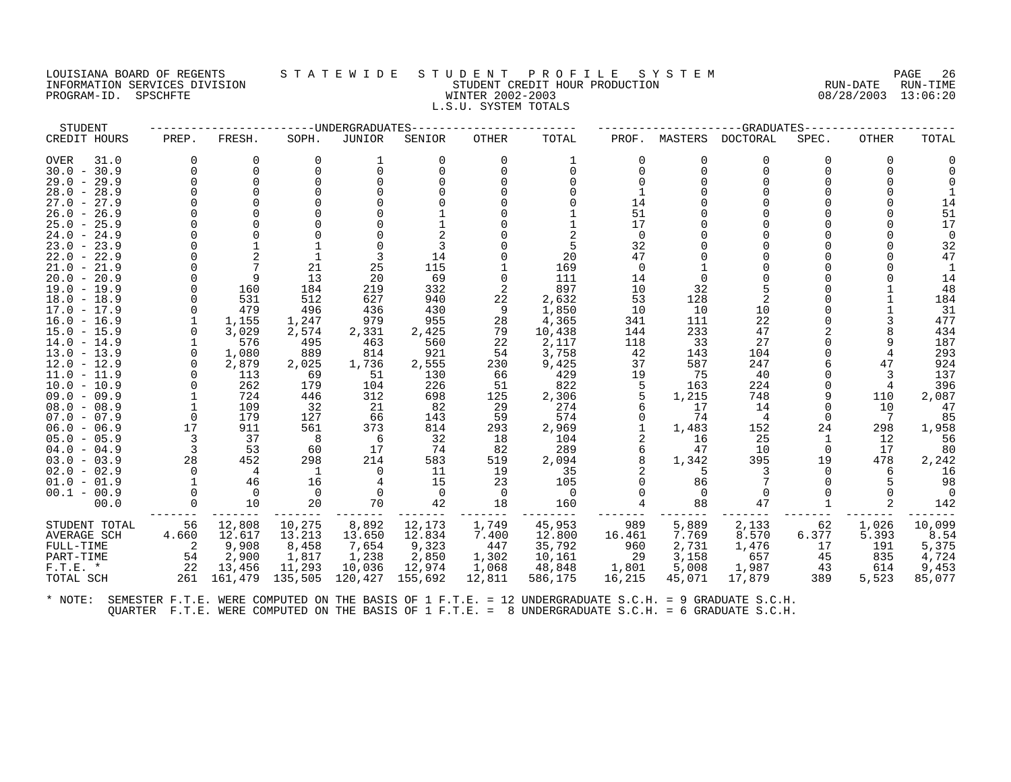### LOUISIANA BOARD OF REGENTS STATEWIDE STUDENT PROFILE SYSTEM NAGE 26 INFORMATION SERVICES DIVISION SUNGLERICAL STUDENT CREDIT HOUR PRODUCTION SUNGLERIC RUN-DATE RUN-TIME RUN-TIME<br>PROGRAM-ID. SPSCHFTE SUN-TIME SUNGLERICAL SERVICE RUN-DATE RUN-TIME SUNGLERICAL SUNGLERICAL SUNGLERICAL SUNGLE PROGRAM-ID. SPSCHFTE WINTER 2002-2003 L.S.U. SYSTEM TOTALS

| STUDENT                        |          |                |           | -UNDERGRADUATES |            | -GRADUATES   |              |          |             |                 |              |              |            |
|--------------------------------|----------|----------------|-----------|-----------------|------------|--------------|--------------|----------|-------------|-----------------|--------------|--------------|------------|
| CREDIT HOURS                   | PREP.    | FRESH.         | SOPH.     | <b>JUNIOR</b>   | SENIOR     | <b>OTHER</b> | TOTAL        | PROF.    | MASTERS     | <b>DOCTORAL</b> | SPEC.        | <b>OTHER</b> | TOTAL      |
| <b>OVER</b><br>31.0            | $\Omega$ |                | $\Omega$  |                 | $\Omega$   | $\Omega$     |              |          | O           | 0               | 0            | 0            |            |
| $30.0 - 30.9$                  | $\Omega$ |                |           | $\Omega$        |            |              | ∩            |          |             | $\Omega$        |              |              |            |
| $29.0 - 29.9$                  |          |                |           |                 |            |              |              |          |             | <sup>n</sup>    |              |              |            |
| $28.0 - 28.9$                  |          |                |           |                 |            |              |              |          |             |                 |              |              |            |
| 27.0<br>$-27.9$                |          |                |           |                 |            |              |              | 14       |             |                 |              |              | 14         |
| $26.0 -$<br>26.9               |          |                |           |                 |            |              |              | 51       |             |                 |              |              | 51         |
| $25.0 - 25.9$                  |          |                |           |                 |            |              |              | 17       |             |                 |              |              | 17         |
| $24.0 - 24.9$                  |          |                |           |                 |            |              |              | $\Omega$ |             |                 |              |              |            |
| $23.0 - 23.9$                  |          |                |           |                 |            |              | 5            | 32       |             |                 |              |              | 32         |
| $22.0 - 22.9$                  |          |                |           |                 | 14         |              | 20           | 47       |             |                 |              |              | 47         |
| $21.0 - 21.9$                  |          |                | 21        | 25              | 115        |              | 169          | $\Omega$ |             |                 |              |              |            |
| $20.0 - 20.9$                  |          |                | 13        | 20              | 69         | $\Omega$     | 111          | 14       | $\Omega$    |                 |              |              | 14         |
| $19.0 - 19.9$                  |          | 160            | 184       | 219             | 332        |              | 897          | 10       | 32          |                 |              |              | 48         |
| $18.0 - 18.9$                  | $\Omega$ | 531            | 512       | 627             | 940        | 22           | 2,632        | 53       | 128         | 2               |              |              | 184        |
| $17.0 - 17.9$                  | $\Omega$ | 479            | 496       | 436             | 430        | 9            | 1,850        | 10       | 10          | 10              |              |              | 31         |
| $16.0 - 16.9$                  |          | 1,155          | 1,247     | 979             | 955        | 28           | 4,365        | 341      | 111         | 22              |              |              | 477        |
| $15.0 - 15.9$                  |          | 3,029          | 2,574     | 2,331           | 2,425      | 79           | 10,438       | 144      | 233         | 47              |              |              | 434        |
| $14.0 - 14.9$                  |          | 576            | 495       | 463             | 560        | 22           | 2,117        | 118      | 33          | 27              |              |              | 187        |
| $13.0 - 13.9$                  | $\Omega$ | 1,080          | 889       | 814             | 921        | 54           | 3,758        | 42       | 143         | 104             |              |              | 293        |
| $12.0 - 12.9$                  | $\Omega$ | 2,879          | 2,025     | 1,736           | 2,555      | 230          | 9,425        | 37       | 587         | 247             |              | 47           | 924        |
| $11.0 - 11.9$                  |          | 113<br>262     | 69<br>179 | 51              | 130<br>226 | 66<br>51     | 429<br>822   | 19       | 75<br>163   | 40<br>224       |              |              | 137<br>396 |
| $10.0 - 10.9$<br>$09.0 - 09.9$ |          | 724            | 446       | 104<br>312      | 698        | 125          |              |          |             | 748             |              | 110          | 2,087      |
| $08.0 - 08.9$                  |          | 109            | 32        |                 | 82         | 29           | 2,306<br>274 |          | 1,215<br>17 |                 |              | 10           |            |
| $07.0 - 07.9$                  | $\Omega$ | 179            | 127       | -21<br>66       | 143        | 59           | 574          |          | 74          | 14<br>4         | $\Omega$     | 7            | 47<br>85   |
| $06.0 - 06.9$                  | 17       | 911            | 561       | 373             | 814        | 293          | 2,969        |          | 1,483       | 152             | 24           | 298          | 1,958      |
| $05.0 - 05.9$                  | 3        | 37             | -8        | 6               | 32         | 18           | 104          |          | 16          | 25              | $\mathbf{1}$ | 12           | 56         |
| $04.0 - 04.9$                  |          | 53             | 60        | 17              | 74         | 82           | 289          |          | 47          | 10              | $\Omega$     | 17           | 80         |
| $03.0 - 03.9$                  | 28       | 452            | 298       | 214             | 583        | 519          | 2,094        |          | 1,342       | 395             | 19           | 478          | 2,242      |
| $02.0 - 02.9$                  | $\Omega$ | $\overline{4}$ |           | $\Omega$        | 11         | 19           | 35           |          | 5           |                 |              | 6            | 16         |
| $01.0 - 01.9$                  |          | 46             | 16        |                 | 15         | 23           | 105          |          | 86          |                 |              |              | 98         |
| $00.1 - 00.9$                  |          | $\Omega$       | $\Omega$  | 0               | $\Omega$   | $\Omega$     | 0            |          |             | $\Omega$        |              |              |            |
| 00.0                           |          | 10             | 20        | 70              | 42         | 18           | 160          |          | 88          | 47              |              |              | 142        |
| STUDENT TOTAL                  | 56       | 12,808         | 10,275    | 8,892           | 12,173     | 1,749        | 45,953       | 989      | 5,889       | 2,133           | 62           | 1,026        | 10,099     |
| <b>AVERAGE SCH</b>             | 4.660    | 12.617         | 13.213    | 13.650          | 12.834     | 7.400        | 12.800       | 16.461   | 7.769       | 8.570           | 6.377        | 5.393        | 8.54       |
| FULL-TIME                      | 2        | 9,908          | 8,458     | 7,654           | 9,323      | 447          | 35,792       | 960      | 2,731       | 1,476           | 17           | 191          | 5,375      |
| PART-TIME                      | 54       | 2,900          | 1,817     | 1,238           | 2,850      | 1,302        | 10,161       | 29       | 3,158       | 657             | 45           | 835          | 4,724      |
| $F.T.E. *$                     | 22       | 13,456         | 11,293    | 10,036          | 12,974     | 1,068        | 48,848       | 1,801    | 5,008       | 1,987           | 43           | 614          | 9,453      |
| TOTAL SCH                      | 261      | 161,479        | 135,505   | 120,427         | 155,692    | 12,811       | 586,175      | 16,215   | 45,071      | 17,879          | 389          | 5,523        | 85,077     |
|                                |          |                |           |                 |            |              |              |          |             |                 |              |              |            |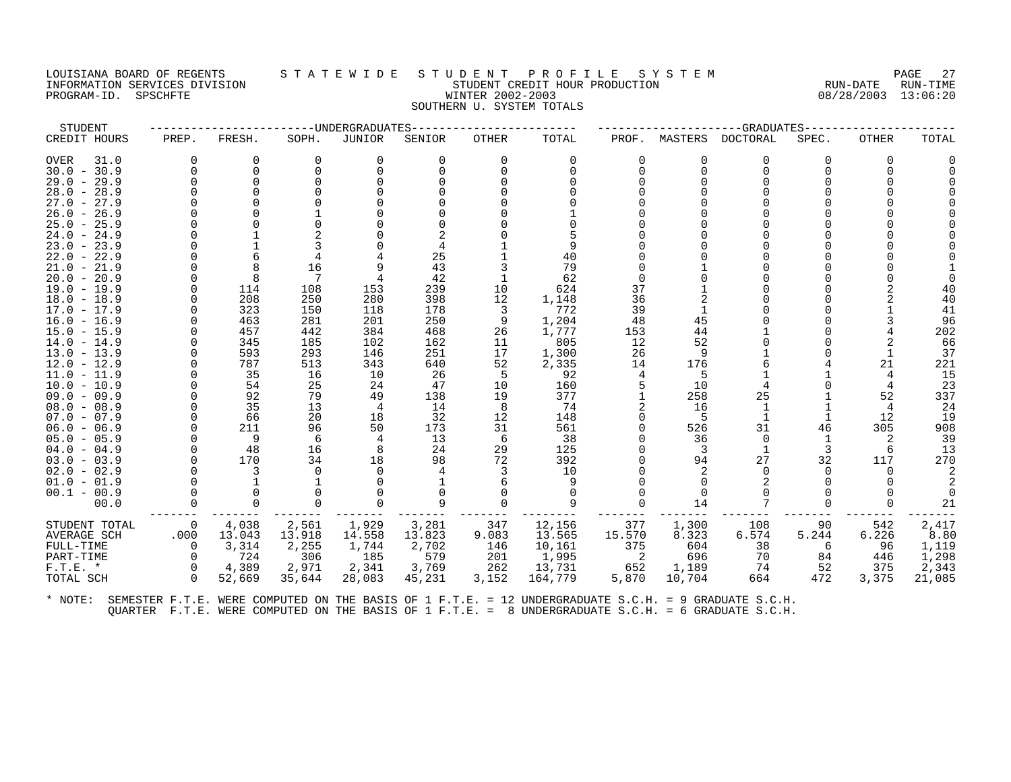# LOUISIANA BOARD OF REGENTS STATEWIDE STUDE NT PROFILE SYSTEM PAGE 27<br>INFORMATION SERVICES DIVISION STATE WILLE STUDENT CREDIT HOUR PRODUCTION RUN-DATE RUN-TIME INFORMATION SERVICES DIVISION STATES OF A STRANGE STATE REPORT CREDIT HOUR PRODUCTION PROGRAM-ID. SPSCHFTE WINTER 2002-2003 08/28/2003 13:06:20 SOUTHERN U. SYSTEM TOTALS

| STUDENT                        |          |          |          | ----UNDERGRADUATES |          |              |           |          |              | -GRADUATES      |              |              |          |
|--------------------------------|----------|----------|----------|--------------------|----------|--------------|-----------|----------|--------------|-----------------|--------------|--------------|----------|
| CREDIT HOURS                   | PREP.    | FRESH.   | SOPH.    | JUNIOR             | SENIOR   | <b>OTHER</b> | TOTAL     | PROF.    | MASTERS      | <b>DOCTORAL</b> | SPEC.        | <b>OTHER</b> | TOTAL    |
| OVER<br>31.0                   |          | $\Omega$ | $\Omega$ | $\Omega$           | $\Omega$ | $\Omega$     | $\Omega$  | $\Omega$ | U            | $\Omega$        | <sup>0</sup> | 0            |          |
| $30.0 - 30.9$                  |          | $\Omega$ |          |                    |          | U            |           | $\Omega$ | U            | $\Omega$        |              |              |          |
| $29.0 - 29.9$                  |          | $\Omega$ |          |                    |          |              |           |          |              |                 |              |              |          |
| $28.0 - 28.9$                  |          |          |          |                    |          |              |           |          |              |                 |              |              |          |
| $27.0 - 27.9$                  |          |          |          |                    |          |              |           |          |              |                 |              |              |          |
| $26.0 - 26.9$                  |          |          |          |                    |          |              |           |          |              |                 |              |              |          |
| $25.0 - 25.9$                  |          |          |          |                    |          |              |           |          |              |                 |              |              |          |
| $24.0 - 24.9$                  |          |          |          |                    |          |              |           |          |              |                 |              |              |          |
| $23.0 - 23.9$                  |          |          |          |                    |          |              |           |          |              |                 |              |              |          |
| $22.0 - 22.9$                  |          |          |          |                    | 25       |              | 40        |          |              |                 |              |              |          |
| $21.0 - 21.9$                  |          |          | 16       |                    | 43       |              | 79        |          |              |                 |              |              |          |
| $20.0 - 20.9$                  |          |          |          |                    | 42       |              | 62        |          |              |                 |              |              |          |
| $19.0 - 19.9$                  |          | 114      | 108      | 153                | 239      | 10           | 624       | 37       |              |                 |              |              |          |
| $18.0 - 18.9$                  |          | 208      | 250      | 280                | 398      | 12           | 1,148     | 36       |              |                 |              |              | 40       |
| $17.0 - 17.9$                  |          | 323      | 150      | 118                | 178      | 3            | 772       | 39       |              |                 |              |              | 41       |
| $16.0 - 16.9$                  |          | 463      | 281      | 201                | 250      | 9            | 1,204     | 48       | 45           |                 |              |              | 96       |
| $15.0 - 15.9$                  |          | 457      | 442      | 384                | 468      | 26           | 1,777     | 153      | 44           |                 |              |              | 202      |
| $14.0 - 14.9$                  |          | 345      | 185      | 102                | 162      | 11           | 805       | 12       | 52           |                 |              |              | 66       |
| $13.0 - 13.9$                  |          | 593      | 293      | 146                | 251      | 17           | 1,300     | 26       | 9            |                 |              |              | 37       |
| $12.0 - 12.9$                  |          | 787      | 513      | 343                | 640      | 52           | 2,335     | 14       | 176          |                 |              | 21           | 221      |
| $11.0 - 11.9$                  |          | 35       | 16       | 10                 | 26       | 5            | 92        | 4        | 5            |                 |              |              | 15       |
| $10.0 - 10.9$                  |          | 54       | 25       | 24                 | 47       | 10           | 160       |          | 10           |                 |              |              | 23       |
| $09.0 - 09.9$                  |          | 92       | 79       | 49                 | 138      | 19           | 377       |          | 258          | 25              |              | 52           | 337      |
| $08.0 - 08.9$                  |          | 35       | 13       | 4                  | 14       | 8            | 74        |          | 16           |                 |              | 4            | 24       |
| $07.0 - 07.9$                  |          | 66       | 20       | 18                 | 32       | 12           | 148       |          | -5           |                 |              | 12<br>305    | 19       |
| $06.0 - 06.9$                  |          | 211<br>9 | 96<br>6  | 50                 | 173      | 31           | 561       |          | 526          | 31<br>$\Omega$  | 46           |              | 908      |
| $05.0 - 05.9$<br>$04.0 - 04.9$ |          | 48       | 16       | 8                  | 13<br>24 | -6<br>29     | 38<br>125 |          | 36<br>3      |                 | 3            | 6            | 39<br>13 |
| $03.0 - 03.9$                  |          | 170      | 34       | 18                 | 98       | 72           | 392       |          | 94           | 27              | 32           | 117          | 270      |
| $02.0 - 02.9$                  |          |          |          |                    |          |              | 10        |          |              |                 |              |              |          |
| $01.0 - 01.9$                  |          |          |          |                    |          |              | 9         |          | $\Omega$     |                 |              |              |          |
| $00.1 - 00.9$                  |          |          |          |                    |          |              | $\Omega$  |          | <sup>0</sup> |                 |              |              |          |
| 00.0                           |          |          |          |                    | 9        |              | 9         |          | 14           |                 |              |              | 21       |
|                                |          |          |          |                    |          |              |           |          |              |                 |              |              |          |
| STUDENT TOTAL                  | 0        | 4,038    | 2,561    | 1,929              | 3,281    | 347          | 12,156    | 377      | 1,300        | 108             | 90           | 542          | 2,417    |
| AVERAGE SCH                    | .000     | 13.043   | 13.918   | 14.558             | 13.823   | 9.083        | 13.565    | 15.570   | 8.323        | 6.574           | 5.244        | 6.226        | 8.80     |
| FULL-TIME                      | 0        | 3,314    | 2,255    | 1,744              | 2,702    | 146          | 10,161    | 375      | 604          | 38              | 6            | 96           | 1,119    |
| PART-TIME                      | $\Omega$ | 724      | 306      | 185                | 579      | 201          | 1,995     | 2        | 696          | 70              | 84           | 446          | 1,298    |
| $F.T.E. *$                     | 0        | 4,389    | 2,971    | 2,341              | 3,769    | 262          | 13,731    | 652      | 1,189        | 74              | 52           | 375          | 2,343    |
| TOTAL SCH                      | $\Omega$ | 52,669   | 35,644   | 28,083             | 45,231   | 3,152        | 164,779   | 5,870    | 10,704       | 664             | 472          | 3,375        | 21,085   |
|                                |          |          |          |                    |          |              |           |          |              |                 |              |              |          |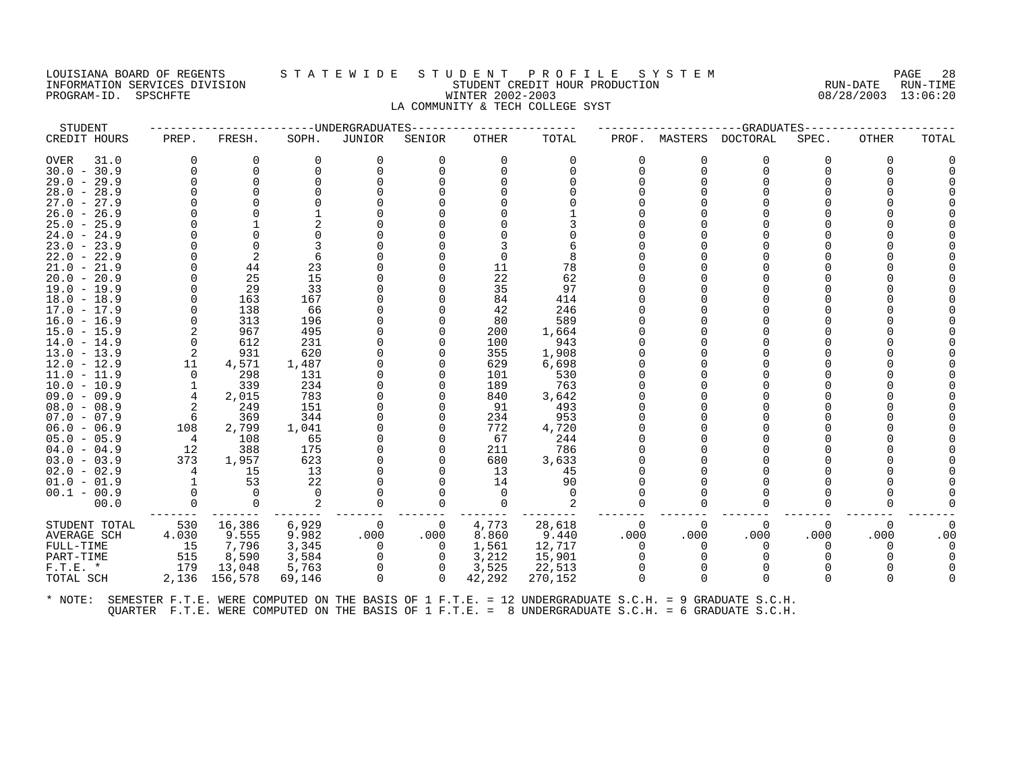#### LOUISIANA BOARD OF REGENTS S T A T E W I D E S T U D E N T P R O F I L E S Y S T E M PAGE 28 INFORMATION SERVICES DIVISION STUDENT CREDIT HOUR PRODUCTION RUN-DATE RUN-TIME PROGRAM-ID. SPSCHFTE WINTER 2002-2003 08/28/2003 13:06:20 LA COMMUNITY & TECH COLLEGE SYST

| STUDENT             |                |             |          | --UNDERGRADUATES- |          | --GRADUATES |          |       |          |             |       |             |          |
|---------------------|----------------|-------------|----------|-------------------|----------|-------------|----------|-------|----------|-------------|-------|-------------|----------|
| CREDIT HOURS        | PREP.          | FRESH.      | SOPH.    | JUNIOR            | SENIOR   | OTHER       | TOTAL    | PROF. | MASTERS  | DOCTORAL    | SPEC. | OTHER       | TOTAL    |
| <b>OVER</b><br>31.0 | $\Omega$       | $\Omega$    | $\Omega$ | 0                 | $\Omega$ | $\Omega$    | $\Omega$ |       | $\Omega$ | $\Omega$    | ∩     | $\Omega$    |          |
| $30.0 - 30.9$       | $\Omega$       | $\Omega$    |          | $\Omega$          |          | $\Omega$    | U        |       | $\Omega$ | $\Omega$    |       |             |          |
| $29.0 - 29.9$       |                | $\Omega$    |          |                   |          |             |          |       |          | $\Omega$    |       |             |          |
| $28.0 - 28.9$       |                |             |          |                   |          |             |          |       |          |             |       |             |          |
| $27.0 - 27.9$       |                |             |          |                   |          |             |          |       |          |             |       |             |          |
| $26.0 - 26.9$       |                |             |          |                   |          |             |          |       |          |             |       |             |          |
| $25.0 - 25.9$       |                |             |          |                   |          |             |          |       |          |             |       |             |          |
| $24.0 - 24.9$       |                |             |          |                   |          |             |          |       |          |             |       |             |          |
| $23.0 - 23.9$       |                |             |          |                   |          |             |          |       |          |             |       |             |          |
| $22.0 - 22.9$       |                | 2           |          |                   |          |             |          |       |          |             |       |             |          |
| $21.0 - 21.9$       |                | 44          | 23       |                   |          | 11          | 78       |       |          |             |       |             |          |
| $20.0 - 20.9$       |                | 25          | 15       |                   |          | 22          | 62       |       |          |             |       |             |          |
| $19.0 - 19.9$       |                | 29          | 33       |                   |          | 35          | 97       |       |          |             |       |             |          |
| $18.0 - 18.9$       |                | 163         | 167      |                   |          | 84          | 414      |       |          |             |       |             |          |
| $17.0 - 17.9$       |                | 138         | 66       |                   |          | 42          | 246      |       |          |             |       |             |          |
| $16.0 - 16.9$       |                | 313         | 196      |                   |          | 80          | 589      |       |          |             |       |             |          |
| $15.0 - 15.9$       |                | 967         | 495      |                   |          | 200         | 1,664    |       |          |             |       |             |          |
| $14.0 - 14.9$       | $\Omega$       | 612         | 231      |                   |          | 100         | 943      |       |          |             |       |             |          |
| $13.0 - 13.9$       | 2              | 931         | 620      |                   |          | 355         | 1,908    |       |          |             |       |             |          |
| $12.0 - 12.9$       | 11             | 4,571       | 1,487    |                   |          | 629         | 6,698    |       |          |             |       |             |          |
| $11.0 - 11.9$       | $\Omega$       | 298         | 131      |                   |          | 101         | 530      |       |          |             |       |             |          |
| $10.0 - 10.9$       |                | 339         | 234      |                   |          | 189         | 763      |       |          |             |       |             |          |
| $09.0 - 09.9$       | $\overline{4}$ | 2,015       | 783      |                   |          | 840         | 3,642    |       |          |             |       |             |          |
| $08.0 - 08.9$       | 2              | 249         | 151      |                   |          | 91          | 493      |       |          |             |       |             |          |
| $07.0 - 07.9$       | 6              | 369         | 344      |                   |          | 234         | 953      |       |          |             |       |             |          |
| $06.0 - 06.9$       | 108            | 2,799       | 1,041    |                   |          | 772         | 4,720    |       |          |             |       |             |          |
| $05.0 - 05.9$       | 4              | 108         | 65       |                   |          | 67          | 244      |       |          |             |       |             |          |
| $04.0 - 04.9$       | 12             | 388         | 175      |                   |          | 211         | 786      |       |          |             |       |             |          |
| $03.0 - 03.9$       | 373            | 1,957       | 623      |                   |          | 680         | 3,633    |       |          |             |       |             |          |
| $02.0 - 02.9$       |                | 15          | 13       |                   |          | 13          | 45       |       |          |             |       |             |          |
| $01.0 - 01.9$       |                | 53          | 22       |                   |          | 14          | 90       |       |          |             |       |             |          |
| $00.1 - 00.9$       |                | $\Omega$    | $\Omega$ |                   |          | 0           | $\Omega$ |       |          |             |       |             |          |
| 00.0                | $\Omega$       | $\mathbf 0$ | 2        | $\Omega$          | $\Omega$ | $\Omega$    | 2        |       |          | U           |       |             |          |
| STUDENT TOTAL       | 530            | 16,386      | 6,929    | $\mathbf 0$       | 0        | 4,773       | 28,618   | 0     | 0        | $\mathbf 0$ | 0     | $\mathbf 0$ | $\Omega$ |
| AVERAGE SCH         | 4.030          | 9.555       | 9.982    | .000              | .000     | 8.860       | 9.440    | .000  | .000     | .000        | .000  | .000        | .00      |
| FULL-TIME           | 15             | 7,796       | 3,345    | 0                 | 0        | 1,561       | 12,717   |       | $\Omega$ | $\Omega$    |       | O           |          |
| PART-TIME           | 515            | 8,590       | 3,584    | 0                 | 0        | 3,212       | 15,901   |       | $\Omega$ | $\Omega$    |       |             |          |
| $F.T.E.$ *          | 179            | 13,048      | 5,763    | $\mathbf 0$       | 0        | 3,525       | 22,513   |       |          |             |       |             |          |
| TOTAL SCH           | 2,136          | 156,578     | 69,146   | $\Omega$          | $\Omega$ | 42,292      | 270,152  |       |          | $\Omega$    |       | ∩           |          |
|                     |                |             |          |                   |          |             |          |       |          |             |       |             |          |